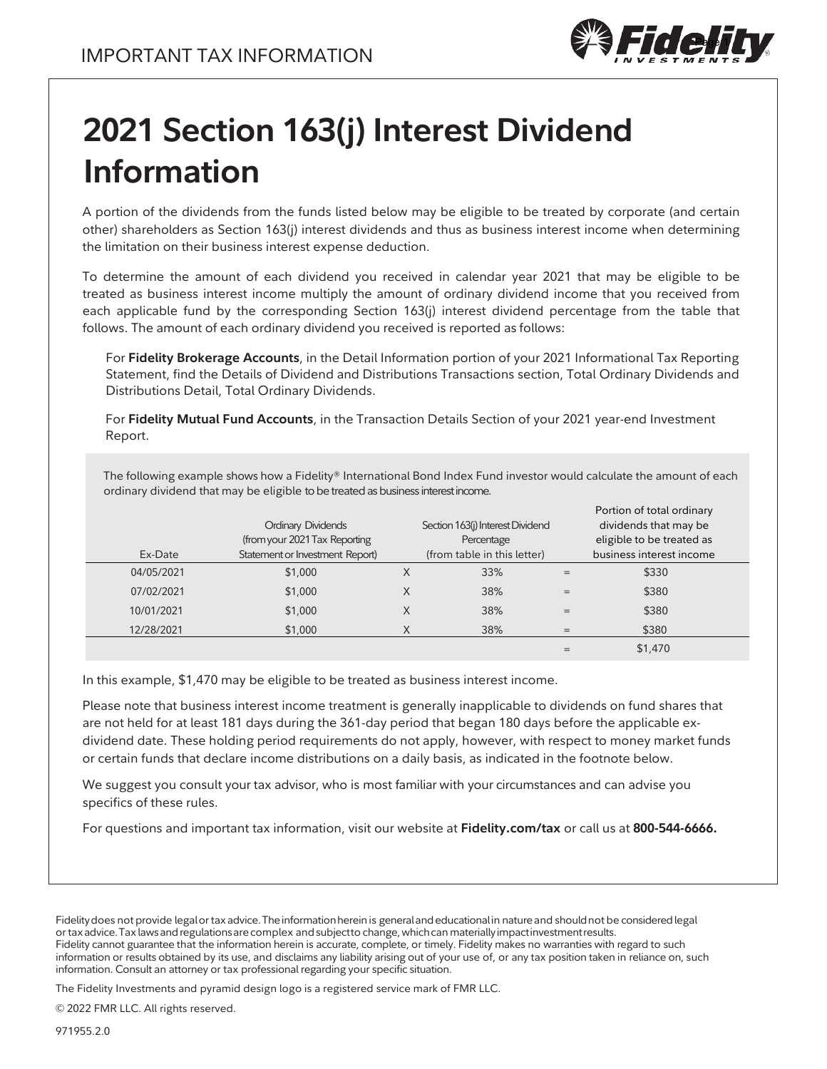

# **2021 Section 163(j) Interest Dividend Information**

A portion of the dividends from the funds listed below may be eligible to be treated by corporate (and certain other) shareholders as Section 163(j) interest dividends and thus as business interest income when determining the limitation on their business interest expense deduction.

To determine the amount of each dividend you received in calendar year 2021 that may be eligible to be treated as business interest income multiply the amount of ordinary dividend income that you received from each applicable fund by the corresponding Section 163(j) interest dividend percentage from the table that follows. The amount of each ordinary dividend you received is reported as follows:

For **Fidelity Brokerage Accounts**, in the Detail Information portion of your 2021 Informational Tax Reporting Statement, find the Details of Dividend and Distributions Transactions section, Total Ordinary Dividends and Distributions Detail, Total Ordinary Dividends.

For **Fidelity Mutual Fund Accounts**, in the Transaction Details Section of your 2021 year-end Investment Report.

The following example shows how a Fidelity® International Bond Index Fund investor would calculate the amount of each ordinary dividend that may be eligible to be treated as business interest income.

| Ex-Date    | <b>Ordinary Dividends</b><br>(from your 2021 Tax Reporting<br>Statement or Investment Report) |   | Section 163(j) Interest Dividend<br>Percentage<br>(from table in this letter) |     | Portion of total ordinary<br>dividends that may be<br>eligible to be treated as<br>business interest income |  |
|------------|-----------------------------------------------------------------------------------------------|---|-------------------------------------------------------------------------------|-----|-------------------------------------------------------------------------------------------------------------|--|
| 04/05/2021 | \$1,000                                                                                       | X | 33%                                                                           | =   | \$330                                                                                                       |  |
| 07/02/2021 | \$1,000                                                                                       | X | 38%                                                                           | $=$ | \$380                                                                                                       |  |
| 10/01/2021 | \$1,000                                                                                       | X | 38%                                                                           | =   | \$380                                                                                                       |  |
| 12/28/2021 | \$1,000                                                                                       |   | 38%                                                                           | $=$ | \$380                                                                                                       |  |
|            |                                                                                               |   |                                                                               |     | \$1,470                                                                                                     |  |

In this example, \$1,470 may be eligible to be treated as business interest income.

Please note that business interest income treatment is generally inapplicable to dividends on fund shares that are not held for at least 181 days during the 361-day period that began 180 days before the applicable exdividend date. These holding period requirements do not apply, however, with respect to money market funds or certain funds that declare income distributions on a daily basis, as indicated in the footnote below.

We suggest you consult your tax advisor, who is most familiar with your circumstances and can advise you specifics of these rules.

For questions and important tax information, visit our website at **Fidelity.com/tax** or call us at **800-544-6666.**

Fidelitydoes not provide legalor tax advice.Theinformationhereinis generalandeducationalin natureand shouldnot be consideredlegal or taxadvice.Tax lawsandregulationsarecomplex andsubjectto change,whichcan materiallyimpactinvestmentresults. Fidelity cannot guarantee that the information herein is accurate, complete, or timely. Fidelity makes no warranties with regard to such information or results obtained by its use, and disclaims any liability arising out of your use of, or any tax position taken in reliance on, such information. Consult an attorney or tax professional regarding your specific situation.

The Fidelity Investments and pyramid design logo is a registered service mark of FMR LLC.

© 2022 FMR LLC. All rights reserved.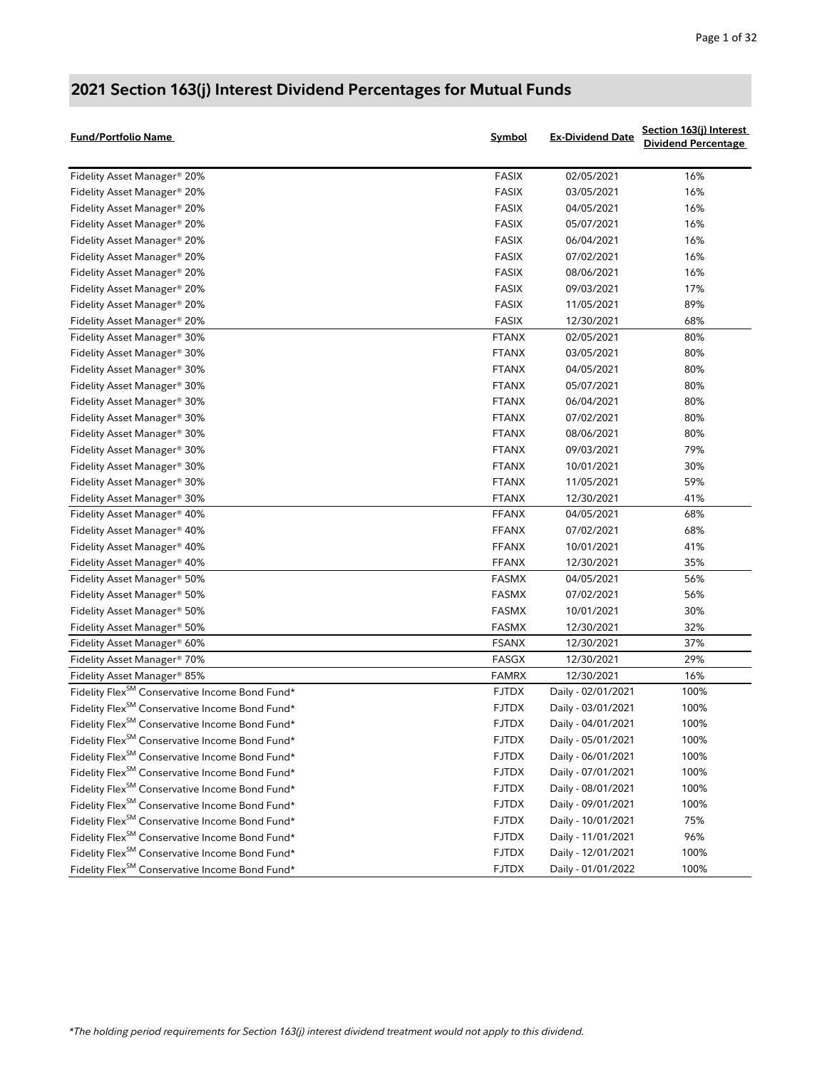| <b>Fund/Portfolio Name</b>                                    | Symbol       | <b>Ex-Dividend Date</b> | Section 163(j) Interest<br><b>Dividend Percentage</b> |
|---------------------------------------------------------------|--------------|-------------------------|-------------------------------------------------------|
| Fidelity Asset Manager <sup>®</sup> 20%                       | <b>FASIX</b> | 02/05/2021              | 16%                                                   |
| Fidelity Asset Manager <sup>®</sup> 20%                       | <b>FASIX</b> | 03/05/2021              | 16%                                                   |
| Fidelity Asset Manager <sup>®</sup> 20%                       | <b>FASIX</b> | 04/05/2021              | 16%                                                   |
| Fidelity Asset Manager® 20%                                   | <b>FASIX</b> | 05/07/2021              | 16%                                                   |
| Fidelity Asset Manager® 20%                                   | <b>FASIX</b> | 06/04/2021              | 16%                                                   |
| Fidelity Asset Manager <sup>®</sup> 20%                       | <b>FASIX</b> | 07/02/2021              | 16%                                                   |
| Fidelity Asset Manager <sup>®</sup> 20%                       | <b>FASIX</b> | 08/06/2021              | 16%                                                   |
| Fidelity Asset Manager <sup>®</sup> 20%                       | <b>FASIX</b> | 09/03/2021              | 17%                                                   |
| Fidelity Asset Manager <sup>®</sup> 20%                       | <b>FASIX</b> | 11/05/2021              | 89%                                                   |
| Fidelity Asset Manager® 20%                                   | <b>FASIX</b> | 12/30/2021              | 68%                                                   |
| Fidelity Asset Manager® 30%                                   | <b>FTANX</b> | 02/05/2021              | 80%                                                   |
| Fidelity Asset Manager® 30%                                   | <b>FTANX</b> | 03/05/2021              | 80%                                                   |
| Fidelity Asset Manager <sup>®</sup> 30%                       | <b>FTANX</b> | 04/05/2021              | 80%                                                   |
| Fidelity Asset Manager <sup>®</sup> 30%                       | <b>FTANX</b> | 05/07/2021              | 80%                                                   |
| Fidelity Asset Manager <sup>®</sup> 30%                       | <b>FTANX</b> | 06/04/2021              | 80%                                                   |
| Fidelity Asset Manager® 30%                                   | <b>FTANX</b> | 07/02/2021              | 80%                                                   |
| Fidelity Asset Manager <sup>®</sup> 30%                       | <b>FTANX</b> | 08/06/2021              | 80%                                                   |
| Fidelity Asset Manager® 30%                                   | <b>FTANX</b> | 09/03/2021              | 79%                                                   |
| Fidelity Asset Manager® 30%                                   | <b>FTANX</b> | 10/01/2021              | 30%                                                   |
| Fidelity Asset Manager® 30%                                   | <b>FTANX</b> | 11/05/2021              | 59%                                                   |
| Fidelity Asset Manager <sup>®</sup> 30%                       | <b>FTANX</b> | 12/30/2021              | 41%                                                   |
| Fidelity Asset Manager <sup>®</sup> 40%                       | <b>FFANX</b> | 04/05/2021              | 68%                                                   |
| Fidelity Asset Manager® 40%                                   | <b>FFANX</b> | 07/02/2021              | 68%                                                   |
| Fidelity Asset Manager <sup>®</sup> 40%                       | <b>FFANX</b> | 10/01/2021              | 41%                                                   |
| Fidelity Asset Manager® 40%                                   | <b>FFANX</b> | 12/30/2021              | 35%                                                   |
| Fidelity Asset Manager® 50%                                   | FASMX        | 04/05/2021              | 56%                                                   |
| Fidelity Asset Manager <sup>®</sup> 50%                       | FASMX        | 07/02/2021              | 56%                                                   |
| Fidelity Asset Manager <sup>®</sup> 50%                       | FASMX        | 10/01/2021              | 30%                                                   |
| Fidelity Asset Manager® 50%                                   | <b>FASMX</b> | 12/30/2021              | 32%                                                   |
| Fidelity Asset Manager® 60%                                   | <b>FSANX</b> | 12/30/2021              | 37%                                                   |
| Fidelity Asset Manager® 70%                                   | FASGX        | 12/30/2021              | 29%                                                   |
| Fidelity Asset Manager® 85%                                   | <b>FAMRX</b> | 12/30/2021              | 16%                                                   |
| Fidelity Flex <sup>SM</sup> Conservative Income Bond Fund*    | <b>FJTDX</b> | Daily - 02/01/2021      | 100%                                                  |
| Fidelity Flex <sup>SM</sup> Conservative Income Bond Fund*    | <b>FJTDX</b> | Daily - 03/01/2021      | 100%                                                  |
| Fidelity Flex $^{\mathsf{SM}}$ Conservative Income Bond Fund* | <b>FJTDX</b> | Daily - 04/01/2021      | 100%                                                  |
| Fidelity Flex <sup>SM</sup> Conservative Income Bond Fund*    | <b>FJTDX</b> | Daily - 05/01/2021      | 100%                                                  |
| Fidelity Flex <sup>SM</sup> Conservative Income Bond Fund*    | <b>FJTDX</b> | Daily - 06/01/2021      | 100%                                                  |
| Fidelity Flex <sup>SM</sup> Conservative Income Bond Fund*    | <b>FJTDX</b> | Daily - 07/01/2021      | 100%                                                  |
| Fidelity Flex <sup>SM</sup> Conservative Income Bond Fund*    | <b>FJTDX</b> | Daily - 08/01/2021      | 100%                                                  |
| Fidelity Flex <sup>SM</sup> Conservative Income Bond Fund*    | <b>FJTDX</b> | Daily - 09/01/2021      | 100%                                                  |
| Fidelity Flex <sup>SM</sup> Conservative Income Bond Fund*    | <b>FJTDX</b> | Daily - 10/01/2021      | 75%                                                   |
| Fidelity Flex <sup>SM</sup> Conservative Income Bond Fund*    | <b>FJTDX</b> | Daily - 11/01/2021      | 96%                                                   |
| Fidelity Flex <sup>SM</sup> Conservative Income Bond Fund*    | <b>FJTDX</b> | Daily - 12/01/2021      | 100%                                                  |
| Fidelity Flex <sup>SM</sup> Conservative Income Bond Fund*    | <b>FJTDX</b> | Daily - 01/01/2022      | 100%                                                  |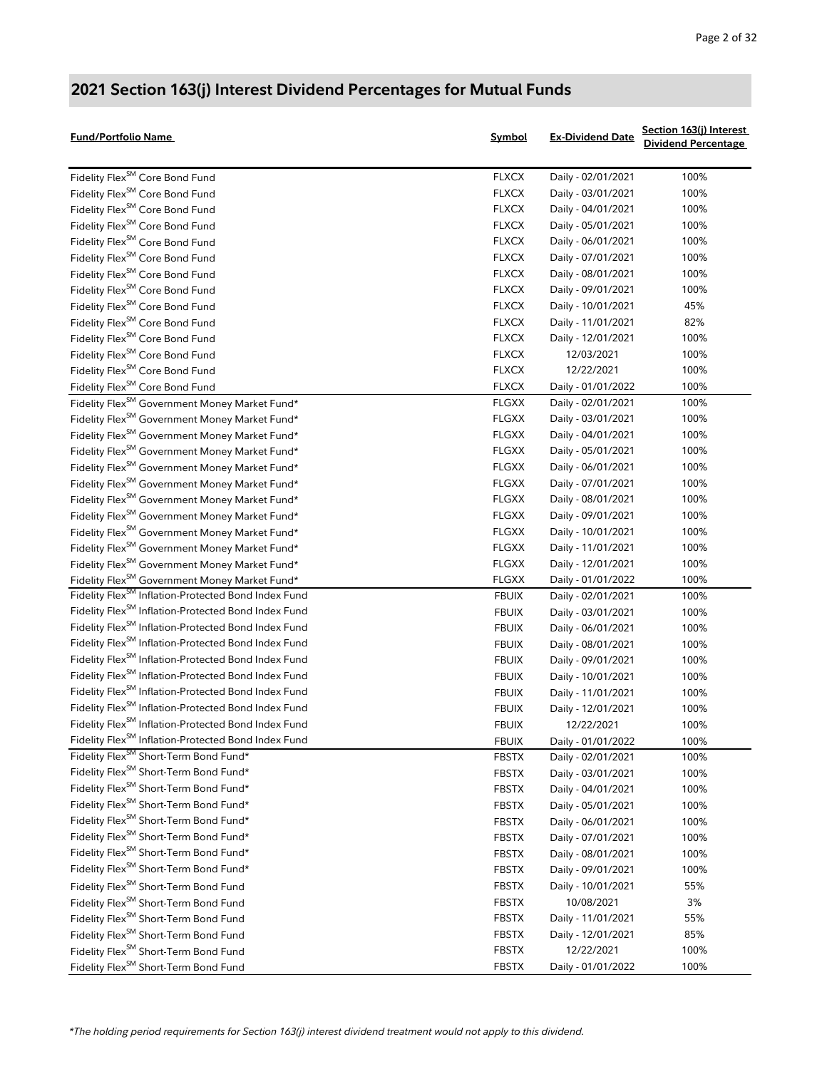| <b>Fund/Portfolio Name</b>                                      | Symbol       | <b>Ex-Dividend Date</b> | Section 163(j) Interest<br><b>Dividend Percentage</b> |
|-----------------------------------------------------------------|--------------|-------------------------|-------------------------------------------------------|
| Fidelity Flex <sup>SM</sup> Core Bond Fund                      | <b>FLXCX</b> | Daily - 02/01/2021      | 100%                                                  |
| Fidelity Flex <sup>SM</sup> Core Bond Fund                      | <b>FLXCX</b> | Daily - 03/01/2021      | 100%                                                  |
| Fidelity Flex <sup>SM</sup> Core Bond Fund                      | <b>FLXCX</b> | Daily - 04/01/2021      | 100%                                                  |
| Fidelity Flex <sup>SM</sup> Core Bond Fund                      | <b>FLXCX</b> | Daily - 05/01/2021      | 100%                                                  |
| Fidelity Flex <sup>SM</sup> Core Bond Fund                      | <b>FLXCX</b> | Daily - 06/01/2021      | 100%                                                  |
| Fidelity Flex <sup>SM</sup> Core Bond Fund                      | <b>FLXCX</b> | Daily - 07/01/2021      | 100%                                                  |
| Fidelity Flex <sup>SM</sup> Core Bond Fund                      | <b>FLXCX</b> | Daily - 08/01/2021      | 100%                                                  |
| Fidelity Flex <sup>SM</sup> Core Bond Fund                      | <b>FLXCX</b> | Daily - 09/01/2021      | 100%                                                  |
| Fidelity Flex <sup>SM</sup> Core Bond Fund                      | <b>FLXCX</b> | Daily - 10/01/2021      | 45%                                                   |
| Fidelity Flex <sup>SM</sup> Core Bond Fund                      | <b>FLXCX</b> | Daily - 11/01/2021      | 82%                                                   |
| Fidelity Flex <sup>SM</sup> Core Bond Fund                      | <b>FLXCX</b> | Daily - 12/01/2021      | 100%                                                  |
| Fidelity Flex <sup>SM</sup> Core Bond Fund                      | <b>FLXCX</b> | 12/03/2021              | 100%                                                  |
| Fidelity Flex <sup>SM</sup> Core Bond Fund                      | <b>FLXCX</b> | 12/22/2021              | 100%                                                  |
| Fidelity Flex <sup>SM</sup> Core Bond Fund                      | <b>FLXCX</b> | Daily - 01/01/2022      | 100%                                                  |
| Fidelity Flex <sup>SM</sup> Government Money Market Fund*       | <b>FLGXX</b> | Daily - 02/01/2021      | 100%                                                  |
| Fidelity Flex <sup>SM</sup> Government Money Market Fund*       | <b>FLGXX</b> | Daily - 03/01/2021      | 100%                                                  |
| Fidelity Flex <sup>SM</sup> Government Money Market Fund*       | <b>FLGXX</b> | Daily - 04/01/2021      | 100%                                                  |
| Fidelity Flex <sup>SM</sup> Government Money Market Fund*       | <b>FLGXX</b> | Daily - 05/01/2021      | 100%                                                  |
| Fidelity Flex <sup>SM</sup> Government Money Market Fund*       | <b>FLGXX</b> | Daily - 06/01/2021      | 100%                                                  |
| Fidelity Flex <sup>SM</sup> Government Money Market Fund*       | <b>FLGXX</b> | Daily - 07/01/2021      | 100%                                                  |
| Fidelity Flex <sup>SM</sup> Government Money Market Fund*       | <b>FLGXX</b> | Daily - 08/01/2021      | 100%                                                  |
| Fidelity Flex <sup>SM</sup> Government Money Market Fund*       | <b>FLGXX</b> | Daily - 09/01/2021      | 100%                                                  |
| Fidelity Flex <sup>SM</sup> Government Money Market Fund*       | <b>FLGXX</b> | Daily - 10/01/2021      | 100%                                                  |
| Fidelity Flex <sup>SM</sup> Government Money Market Fund*       | <b>FLGXX</b> | Daily - 11/01/2021      | 100%                                                  |
| Fidelity Flex <sup>SM</sup> Government Money Market Fund*       | <b>FLGXX</b> | Daily - 12/01/2021      | 100%                                                  |
| Fidelity Flex <sup>SM</sup> Government Money Market Fund*       | <b>FLGXX</b> | Daily - 01/01/2022      | 100%                                                  |
| Fidelity Flex <sup>SM</sup> Inflation-Protected Bond Index Fund | <b>FBUIX</b> | Daily - 02/01/2021      | 100%                                                  |
| Fidelity Flex <sup>SM</sup> Inflation-Protected Bond Index Fund | <b>FBUIX</b> | Daily - 03/01/2021      | 100%                                                  |
| Fidelity Flex <sup>SM</sup> Inflation-Protected Bond Index Fund | <b>FBUIX</b> | Daily - 06/01/2021      | 100%                                                  |
| Fidelity Flex <sup>SM</sup> Inflation-Protected Bond Index Fund | <b>FBUIX</b> | Daily - 08/01/2021      | 100%                                                  |
| Fidelity Flex <sup>SM</sup> Inflation-Protected Bond Index Fund | <b>FBUIX</b> | Daily - 09/01/2021      | 100%                                                  |
| Fidelity Flex <sup>SM</sup> Inflation-Protected Bond Index Fund | <b>FBUIX</b> | Daily - 10/01/2021      | 100%                                                  |
| Fidelity Flex <sup>SM</sup> Inflation-Protected Bond Index Fund | <b>FBUIX</b> | Daily - 11/01/2021      | 100%                                                  |
| Fidelity Flex <sup>SM</sup> Inflation-Protected Bond Index Fund | <b>FBUIX</b> | Daily - 12/01/2021      | 100%                                                  |
| Fidelity Flex <sup>SM</sup> Inflation-Protected Bond Index Fund | <b>FBUIX</b> | 12/22/2021              | 100%                                                  |
| Fidelity Flex <sup>SM</sup> Inflation-Protected Bond Index Fund | <b>FBUIX</b> | Daily - 01/01/2022      | 100%                                                  |
| Fidelity Flex <sup>SM</sup> Short-Term Bond Fund*               | <b>FBSTX</b> | Daily - 02/01/2021      | 100%                                                  |
| Fidelity Flex <sup>SM</sup> Short-Term Bond Fund*               | <b>FBSTX</b> | Daily - 03/01/2021      | 100%                                                  |
| Fidelity Flex <sup>SM</sup> Short-Term Bond Fund*               | <b>FBSTX</b> | Daily - 04/01/2021      | 100%                                                  |
| Fidelity Flex <sup>SM</sup> Short-Term Bond Fund*               | <b>FBSTX</b> | Daily - 05/01/2021      | 100%                                                  |
| Fidelity Flex <sup>SM</sup> Short-Term Bond Fund*               | <b>FBSTX</b> | Daily - 06/01/2021      | 100%                                                  |
| Fidelity Flex <sup>SM</sup> Short-Term Bond Fund*               | <b>FBSTX</b> | Daily - 07/01/2021      | 100%                                                  |
| Fidelity Flex <sup>SM</sup> Short-Term Bond Fund*               | <b>FBSTX</b> | Daily - 08/01/2021      | 100%                                                  |
| Fidelity Flex <sup>SM</sup> Short-Term Bond Fund*               | <b>FBSTX</b> | Daily - 09/01/2021      | 100%                                                  |
| Fidelity Flex <sup>SM</sup> Short-Term Bond Fund                | <b>FBSTX</b> | Daily - 10/01/2021      | 55%                                                   |
| Fidelity Flex <sup>SM</sup> Short-Term Bond Fund                | <b>FBSTX</b> | 10/08/2021              | 3%                                                    |
| Fidelity Flex <sup>SM</sup> Short-Term Bond Fund                | <b>FBSTX</b> | Daily - 11/01/2021      | 55%                                                   |
| Fidelity Flex <sup>SM</sup> Short-Term Bond Fund                | <b>FBSTX</b> | Daily - 12/01/2021      | 85%                                                   |
| Fidelity Flex <sup>SM</sup> Short-Term Bond Fund                | <b>FBSTX</b> | 12/22/2021              | 100%                                                  |
| Fidelity Flex <sup>SM</sup> Short-Term Bond Fund                | <b>FBSTX</b> | Daily - 01/01/2022      | 100%                                                  |
|                                                                 |              |                         |                                                       |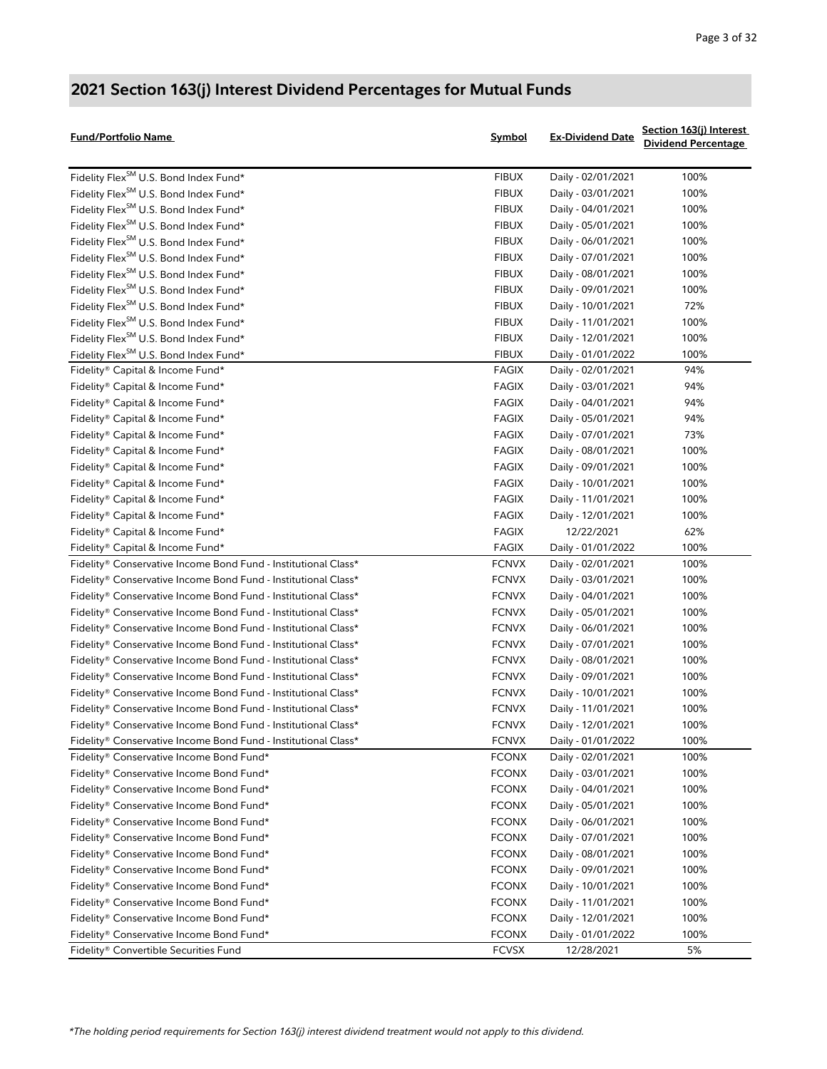| Fund/Portfolio Name                                            | Symbol       | <b>Ex-Dividend Date</b> | Section 163(j) Interest<br><b>Dividend Percentage</b> |
|----------------------------------------------------------------|--------------|-------------------------|-------------------------------------------------------|
| Fidelity Flex <sup>SM</sup> U.S. Bond Index Fund*              | <b>FIBUX</b> | Daily - 02/01/2021      | 100%                                                  |
| Fidelity Flex <sup>SM</sup> U.S. Bond Index Fund*              | <b>FIBUX</b> | Daily - 03/01/2021      | 100%                                                  |
| Fidelity Flex <sup>SM</sup> U.S. Bond Index Fund*              | <b>FIBUX</b> | Daily - 04/01/2021      | 100%                                                  |
| Fidelity Flex <sup>SM</sup> U.S. Bond Index Fund*              | <b>FIBUX</b> | Daily - 05/01/2021      | 100%                                                  |
| Fidelity Flex <sup>SM</sup> U.S. Bond Index Fund*              | <b>FIBUX</b> | Daily - 06/01/2021      | 100%                                                  |
| Fidelity Flex <sup>SM</sup> U.S. Bond Index Fund*              | <b>FIBUX</b> | Daily - 07/01/2021      | 100%                                                  |
| Fidelity Flex <sup>SM</sup> U.S. Bond Index Fund*              | <b>FIBUX</b> | Daily - 08/01/2021      | 100%                                                  |
| Fidelity Flex <sup>SM</sup> U.S. Bond Index Fund*              | <b>FIBUX</b> | Daily - 09/01/2021      | 100%                                                  |
| Fidelity Flex <sup>SM</sup> U.S. Bond Index Fund*              | <b>FIBUX</b> | Daily - 10/01/2021      | 72%                                                   |
| Fidelity Flex <sup>SM</sup> U.S. Bond Index Fund*              | <b>FIBUX</b> | Daily - 11/01/2021      | 100%                                                  |
| Fidelity Flex <sup>SM</sup> U.S. Bond Index Fund*              | <b>FIBUX</b> | Daily - 12/01/2021      | 100%                                                  |
| Fidelity Flex <sup>SM</sup> U.S. Bond Index Fund*              | <b>FIBUX</b> | Daily - 01/01/2022      | 100%                                                  |
| Fidelity® Capital & Income Fund*                               | <b>FAGIX</b> | Daily - 02/01/2021      | 94%                                                   |
| Fidelity® Capital & Income Fund*                               | <b>FAGIX</b> | Daily - 03/01/2021      | 94%                                                   |
| Fidelity® Capital & Income Fund*                               | <b>FAGIX</b> | Daily - 04/01/2021      | 94%                                                   |
| Fidelity® Capital & Income Fund*                               | <b>FAGIX</b> | Daily - 05/01/2021      | 94%                                                   |
| Fidelity® Capital & Income Fund*                               | <b>FAGIX</b> | Daily - 07/01/2021      | 73%                                                   |
| Fidelity® Capital & Income Fund*                               | <b>FAGIX</b> | Daily - 08/01/2021      | 100%                                                  |
| Fidelity® Capital & Income Fund*                               | <b>FAGIX</b> | Daily - 09/01/2021      | 100%                                                  |
| Fidelity® Capital & Income Fund*                               | <b>FAGIX</b> | Daily - 10/01/2021      | 100%                                                  |
| Fidelity® Capital & Income Fund*                               | <b>FAGIX</b> | Daily - 11/01/2021      | 100%                                                  |
| Fidelity® Capital & Income Fund*                               | <b>FAGIX</b> | Daily - 12/01/2021      | 100%                                                  |
| Fidelity® Capital & Income Fund*                               | <b>FAGIX</b> | 12/22/2021              | 62%                                                   |
| Fidelity® Capital & Income Fund*                               | <b>FAGIX</b> | Daily - 01/01/2022      | 100%                                                  |
| Fidelity® Conservative Income Bond Fund - Institutional Class* | <b>FCNVX</b> | Daily - 02/01/2021      | 100%                                                  |
| Fidelity® Conservative Income Bond Fund - Institutional Class* | <b>FCNVX</b> | Daily - 03/01/2021      | 100%                                                  |
| Fidelity® Conservative Income Bond Fund - Institutional Class* | <b>FCNVX</b> | Daily - 04/01/2021      | 100%                                                  |
| Fidelity® Conservative Income Bond Fund - Institutional Class* | <b>FCNVX</b> | Daily - 05/01/2021      | 100%                                                  |
| Fidelity® Conservative Income Bond Fund - Institutional Class* | <b>FCNVX</b> | Daily - 06/01/2021      | 100%                                                  |
| Fidelity® Conservative Income Bond Fund - Institutional Class* | <b>FCNVX</b> | Daily - 07/01/2021      | 100%                                                  |
| Fidelity® Conservative Income Bond Fund - Institutional Class* | <b>FCNVX</b> | Daily - 08/01/2021      | 100%                                                  |
| Fidelity® Conservative Income Bond Fund - Institutional Class* | <b>FCNVX</b> | Daily - 09/01/2021      | 100%                                                  |
| Fidelity® Conservative Income Bond Fund - Institutional Class* | <b>FCNVX</b> | Daily - 10/01/2021      | 100%                                                  |
| Fidelity® Conservative Income Bond Fund - Institutional Class* | <b>FCNVX</b> | Daily - 11/01/2021      | 100%                                                  |
| Fidelity® Conservative Income Bond Fund - Institutional Class* | <b>FCNVX</b> | Daily - 12/01/2021      | 100%                                                  |
| Fidelity® Conservative Income Bond Fund - Institutional Class* | <b>FCNVX</b> | Daily - 01/01/2022      | 100%                                                  |
| Fidelity® Conservative Income Bond Fund*                       | <b>FCONX</b> | Daily - 02/01/2021      | 100%                                                  |
| Fidelity® Conservative Income Bond Fund*                       | <b>FCONX</b> | Daily - 03/01/2021      | 100%                                                  |
| Fidelity® Conservative Income Bond Fund*                       | <b>FCONX</b> | Daily - 04/01/2021      | 100%                                                  |
| Fidelity® Conservative Income Bond Fund*                       | <b>FCONX</b> | Daily - 05/01/2021      | 100%                                                  |
| Fidelity® Conservative Income Bond Fund*                       | <b>FCONX</b> | Daily - 06/01/2021      | 100%                                                  |
| Fidelity® Conservative Income Bond Fund*                       | <b>FCONX</b> | Daily - 07/01/2021      | 100%                                                  |
| Fidelity® Conservative Income Bond Fund*                       | <b>FCONX</b> | Daily - 08/01/2021      | 100%                                                  |
| Fidelity® Conservative Income Bond Fund*                       | <b>FCONX</b> | Daily - 09/01/2021      | 100%                                                  |
| Fidelity® Conservative Income Bond Fund*                       | <b>FCONX</b> | Daily - 10/01/2021      | 100%                                                  |
| Fidelity® Conservative Income Bond Fund*                       | <b>FCONX</b> | Daily - 11/01/2021      | 100%                                                  |
| Fidelity® Conservative Income Bond Fund*                       | <b>FCONX</b> | Daily - 12/01/2021      | 100%                                                  |
| Fidelity® Conservative Income Bond Fund*                       | <b>FCONX</b> | Daily - 01/01/2022      | 100%                                                  |
| Fidelity® Convertible Securities Fund                          | <b>FCVSX</b> | 12/28/2021              | 5%                                                    |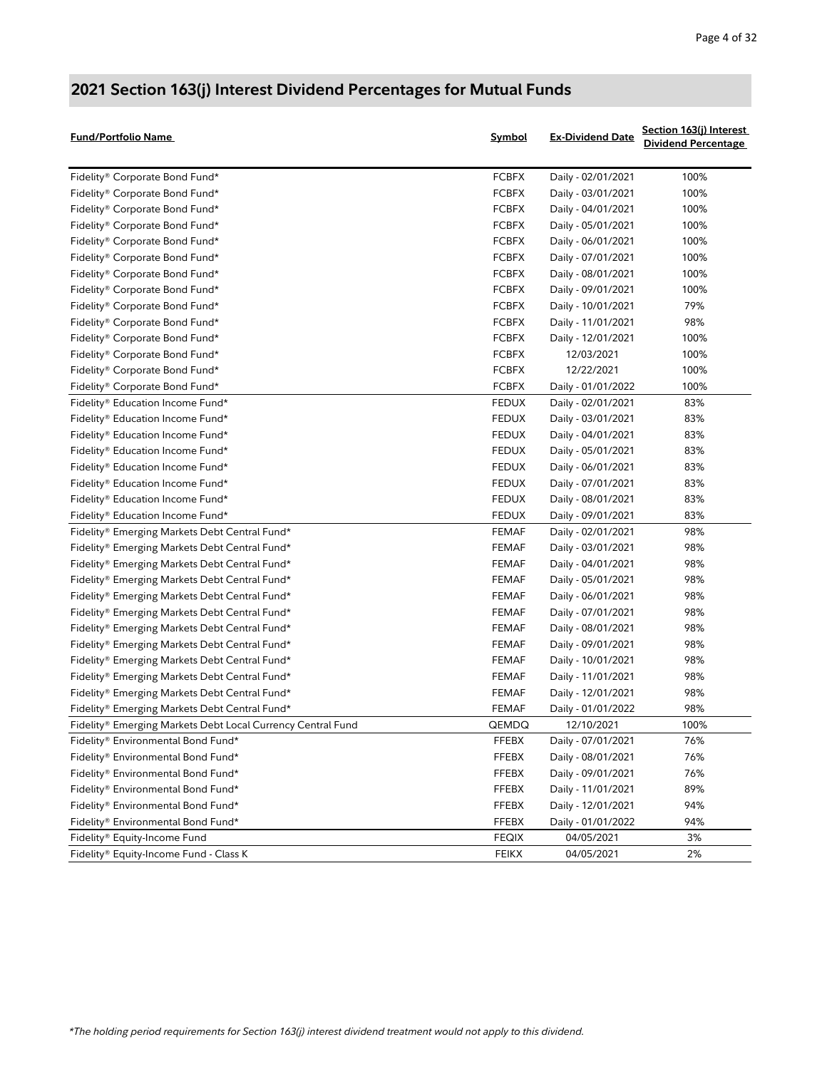| <b>Fund/Portfolio Name</b>                                  | <b>Symbol</b> | <b>Ex-Dividend Date</b> | Section 163(j) Interest<br><b>Dividend Percentage</b> |
|-------------------------------------------------------------|---------------|-------------------------|-------------------------------------------------------|
| Fidelity® Corporate Bond Fund*                              | <b>FCBFX</b>  | Daily - 02/01/2021      | 100%                                                  |
| Fidelity® Corporate Bond Fund*                              | <b>FCBFX</b>  | Daily - 03/01/2021      | 100%                                                  |
| Fidelity® Corporate Bond Fund*                              | <b>FCBFX</b>  | Daily - 04/01/2021      | 100%                                                  |
| Fidelity® Corporate Bond Fund*                              | <b>FCBFX</b>  | Daily - 05/01/2021      | 100%                                                  |
| Fidelity® Corporate Bond Fund*                              | <b>FCBFX</b>  | Daily - 06/01/2021      | 100%                                                  |
| Fidelity® Corporate Bond Fund*                              | <b>FCBFX</b>  | Daily - 07/01/2021      | 100%                                                  |
| Fidelity® Corporate Bond Fund*                              | <b>FCBFX</b>  | Daily - 08/01/2021      | 100%                                                  |
| Fidelity® Corporate Bond Fund*                              | <b>FCBFX</b>  | Daily - 09/01/2021      | 100%                                                  |
| Fidelity® Corporate Bond Fund*                              | <b>FCBFX</b>  | Daily - 10/01/2021      | 79%                                                   |
| Fidelity® Corporate Bond Fund*                              | <b>FCBFX</b>  | Daily - 11/01/2021      | 98%                                                   |
| Fidelity® Corporate Bond Fund*                              | <b>FCBFX</b>  | Daily - 12/01/2021      | 100%                                                  |
| Fidelity® Corporate Bond Fund*                              | <b>FCBFX</b>  | 12/03/2021              | 100%                                                  |
| Fidelity® Corporate Bond Fund*                              | <b>FCBFX</b>  | 12/22/2021              | 100%                                                  |
| Fidelity® Corporate Bond Fund*                              | <b>FCBFX</b>  | Daily - 01/01/2022      | 100%                                                  |
| Fidelity® Education Income Fund*                            | <b>FEDUX</b>  | Daily - 02/01/2021      | 83%                                                   |
| Fidelity® Education Income Fund*                            | <b>FEDUX</b>  | Daily - 03/01/2021      | 83%                                                   |
| Fidelity® Education Income Fund*                            | FEDUX         | Daily - 04/01/2021      | 83%                                                   |
| Fidelity® Education Income Fund*                            | FEDUX         | Daily - 05/01/2021      | 83%                                                   |
| Fidelity® Education Income Fund*                            | FEDUX         | Daily - 06/01/2021      | 83%                                                   |
| Fidelity® Education Income Fund*                            | FEDUX         | Daily - 07/01/2021      | 83%                                                   |
| Fidelity® Education Income Fund*                            | FEDUX         | Daily - 08/01/2021      | 83%                                                   |
| Fidelity® Education Income Fund*                            | FEDUX         | Daily - 09/01/2021      | 83%                                                   |
| Fidelity® Emerging Markets Debt Central Fund*               | FEMAF         | Daily - 02/01/2021      | 98%                                                   |
| Fidelity® Emerging Markets Debt Central Fund*               | <b>FEMAF</b>  | Daily - 03/01/2021      | 98%                                                   |
| Fidelity® Emerging Markets Debt Central Fund*               | <b>FEMAF</b>  | Daily - 04/01/2021      | 98%                                                   |
| Fidelity® Emerging Markets Debt Central Fund*               | <b>FEMAF</b>  | Daily - 05/01/2021      | 98%                                                   |
| Fidelity® Emerging Markets Debt Central Fund*               | <b>FEMAF</b>  | Daily - 06/01/2021      | 98%                                                   |
| Fidelity® Emerging Markets Debt Central Fund*               | <b>FEMAF</b>  | Daily - 07/01/2021      | 98%                                                   |
| Fidelity® Emerging Markets Debt Central Fund*               | FEMAF         | Daily - 08/01/2021      | 98%                                                   |
| Fidelity® Emerging Markets Debt Central Fund*               | FEMAF         | Daily - 09/01/2021      | 98%                                                   |
| Fidelity® Emerging Markets Debt Central Fund*               | FEMAF         | Daily - 10/01/2021      | 98%                                                   |
| Fidelity® Emerging Markets Debt Central Fund*               | FEMAF         | Daily - 11/01/2021      | 98%                                                   |
| Fidelity® Emerging Markets Debt Central Fund*               | <b>FEMAF</b>  | Daily - 12/01/2021      | 98%                                                   |
| Fidelity® Emerging Markets Debt Central Fund*               | <b>FEMAF</b>  | Daily - 01/01/2022      | 98%                                                   |
| Fidelity® Emerging Markets Debt Local Currency Central Fund | QEMDQ         | 12/10/2021              | 100%                                                  |
| Fidelity® Environmental Bond Fund*                          | FFEBX         | Daily - 07/01/2021      | 76%                                                   |
| Fidelity® Environmental Bond Fund*                          | FFEBX         | Daily - 08/01/2021      | 76%                                                   |
| Fidelity® Environmental Bond Fund*                          | FFEBX         | Daily - 09/01/2021      | 76%                                                   |
| Fidelity® Environmental Bond Fund*                          | <b>FFEBX</b>  | Daily - 11/01/2021      | 89%                                                   |
| Fidelity® Environmental Bond Fund*                          | <b>FFEBX</b>  | Daily - 12/01/2021      | 94%                                                   |
| Fidelity® Environmental Bond Fund*                          | <b>FFEBX</b>  | Daily - 01/01/2022      | 94%                                                   |
| Fidelity® Equity-Income Fund                                | <b>FEQIX</b>  | 04/05/2021              | 3%                                                    |
| Fidelity® Equity-Income Fund - Class K                      | <b>FEIKX</b>  | 04/05/2021              | 2%                                                    |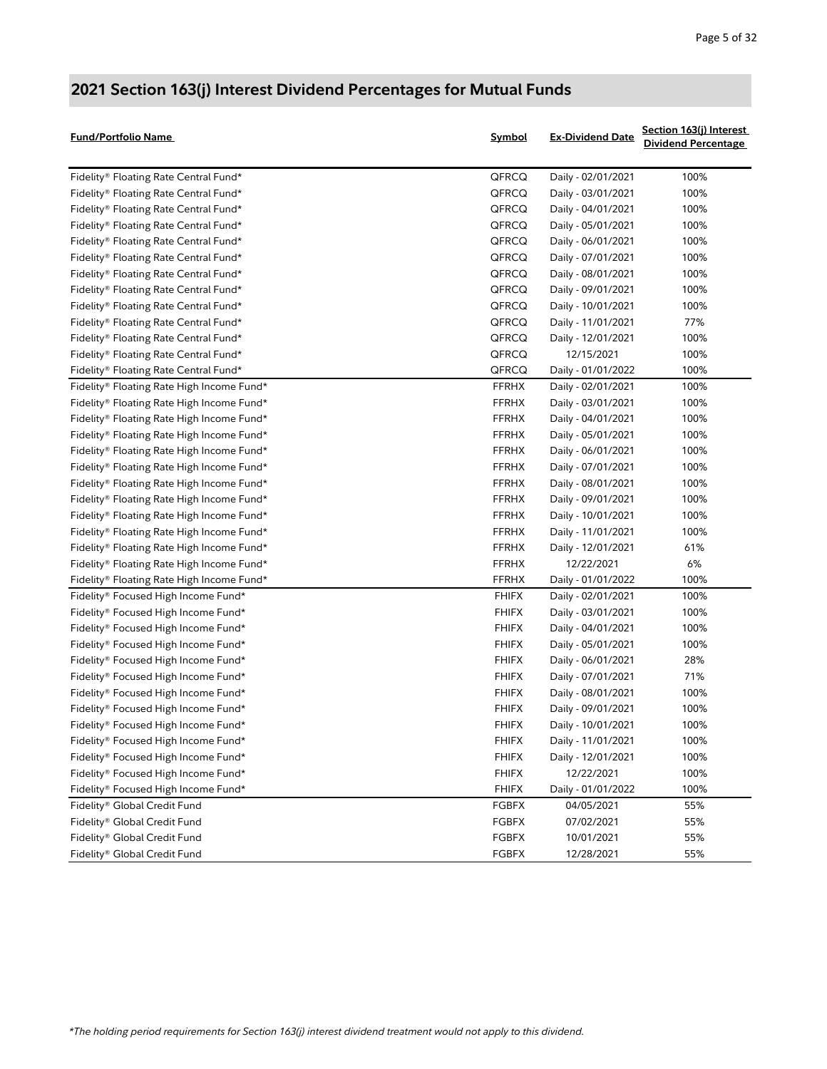| <b>Fund/Portfolio Name</b>                | <b>Symbol</b> | <b>Ex-Dividend Date</b> | Section 163(j) Interest<br><b>Dividend Percentage</b> |
|-------------------------------------------|---------------|-------------------------|-------------------------------------------------------|
| Fidelity® Floating Rate Central Fund*     | QFRCQ         | Daily - 02/01/2021      | 100%                                                  |
| Fidelity® Floating Rate Central Fund*     | QFRCQ         | Daily - 03/01/2021      | 100%                                                  |
| Fidelity® Floating Rate Central Fund*     | QFRCQ         | Daily - 04/01/2021      | 100%                                                  |
| Fidelity® Floating Rate Central Fund*     | QFRCQ         | Daily - 05/01/2021      | 100%                                                  |
| Fidelity® Floating Rate Central Fund*     | QFRCQ         | Daily - 06/01/2021      | 100%                                                  |
| Fidelity® Floating Rate Central Fund*     | QFRCQ         | Daily - 07/01/2021      | 100%                                                  |
| Fidelity® Floating Rate Central Fund*     | QFRCQ         | Daily - 08/01/2021      | 100%                                                  |
| Fidelity® Floating Rate Central Fund*     | QFRCQ         | Daily - 09/01/2021      | 100%                                                  |
| Fidelity® Floating Rate Central Fund*     | QFRCQ         | Daily - 10/01/2021      | 100%                                                  |
| Fidelity® Floating Rate Central Fund*     | QFRCQ         | Daily - 11/01/2021      | 77%                                                   |
| Fidelity® Floating Rate Central Fund*     | QFRCQ         | Daily - 12/01/2021      | 100%                                                  |
| Fidelity® Floating Rate Central Fund*     | QFRCQ         | 12/15/2021              | 100%                                                  |
| Fidelity® Floating Rate Central Fund*     | QFRCQ         | Daily - 01/01/2022      | 100%                                                  |
| Fidelity® Floating Rate High Income Fund* | <b>FFRHX</b>  | Daily - 02/01/2021      | 100%                                                  |
| Fidelity® Floating Rate High Income Fund* | <b>FFRHX</b>  | Daily - 03/01/2021      | 100%                                                  |
| Fidelity® Floating Rate High Income Fund* | <b>FFRHX</b>  | Daily - 04/01/2021      | 100%                                                  |
| Fidelity® Floating Rate High Income Fund* | <b>FFRHX</b>  | Daily - 05/01/2021      | 100%                                                  |
| Fidelity® Floating Rate High Income Fund* | <b>FFRHX</b>  | Daily - 06/01/2021      | 100%                                                  |
| Fidelity® Floating Rate High Income Fund* | <b>FFRHX</b>  | Daily - 07/01/2021      | 100%                                                  |
| Fidelity® Floating Rate High Income Fund* | <b>FFRHX</b>  | Daily - 08/01/2021      | 100%                                                  |
| Fidelity® Floating Rate High Income Fund* | <b>FFRHX</b>  | Daily - 09/01/2021      | 100%                                                  |
| Fidelity® Floating Rate High Income Fund* | <b>FFRHX</b>  | Daily - 10/01/2021      | 100%                                                  |
| Fidelity® Floating Rate High Income Fund* | <b>FFRHX</b>  | Daily - 11/01/2021      | 100%                                                  |
| Fidelity® Floating Rate High Income Fund* | <b>FFRHX</b>  | Daily - 12/01/2021      | 61%                                                   |
| Fidelity® Floating Rate High Income Fund* | <b>FFRHX</b>  | 12/22/2021              | 6%                                                    |
| Fidelity® Floating Rate High Income Fund* | <b>FFRHX</b>  | Daily - 01/01/2022      | 100%                                                  |
| Fidelity® Focused High Income Fund*       | <b>FHIFX</b>  | Daily - 02/01/2021      | 100%                                                  |
| Fidelity® Focused High Income Fund*       | <b>FHIFX</b>  | Daily - 03/01/2021      | 100%                                                  |
| Fidelity® Focused High Income Fund*       | <b>FHIFX</b>  | Daily - 04/01/2021      | 100%                                                  |
| Fidelity® Focused High Income Fund*       | <b>FHIFX</b>  | Daily - 05/01/2021      | 100%                                                  |
| Fidelity® Focused High Income Fund*       | <b>FHIFX</b>  | Daily - 06/01/2021      | 28%                                                   |
| Fidelity® Focused High Income Fund*       | <b>FHIFX</b>  | Daily - 07/01/2021      | 71%                                                   |
| Fidelity® Focused High Income Fund*       | <b>FHIFX</b>  | Daily - 08/01/2021      | 100%                                                  |
| Fidelity® Focused High Income Fund*       | <b>FHIFX</b>  | Daily - 09/01/2021      | 100%                                                  |
| Fidelity® Focused High Income Fund*       | <b>FHIFX</b>  | Daily - 10/01/2021      | 100%                                                  |
| Fidelity® Focused High Income Fund*       | <b>FHIFX</b>  | Daily - 11/01/2021      | 100%                                                  |
| Fidelity® Focused High Income Fund*       | <b>FHIFX</b>  | Daily - 12/01/2021      | 100%                                                  |
| Fidelity® Focused High Income Fund*       | <b>FHIFX</b>  | 12/22/2021              | 100%                                                  |
| Fidelity® Focused High Income Fund*       | <b>FHIFX</b>  | Daily - 01/01/2022      | 100%                                                  |
| Fidelity® Global Credit Fund              | <b>FGBFX</b>  | 04/05/2021              | 55%                                                   |
| Fidelity® Global Credit Fund              | <b>FGBFX</b>  | 07/02/2021              | 55%                                                   |
| Fidelity® Global Credit Fund              | <b>FGBFX</b>  | 10/01/2021              | 55%                                                   |
| Fidelity® Global Credit Fund              | <b>FGBFX</b>  | 12/28/2021              | 55%                                                   |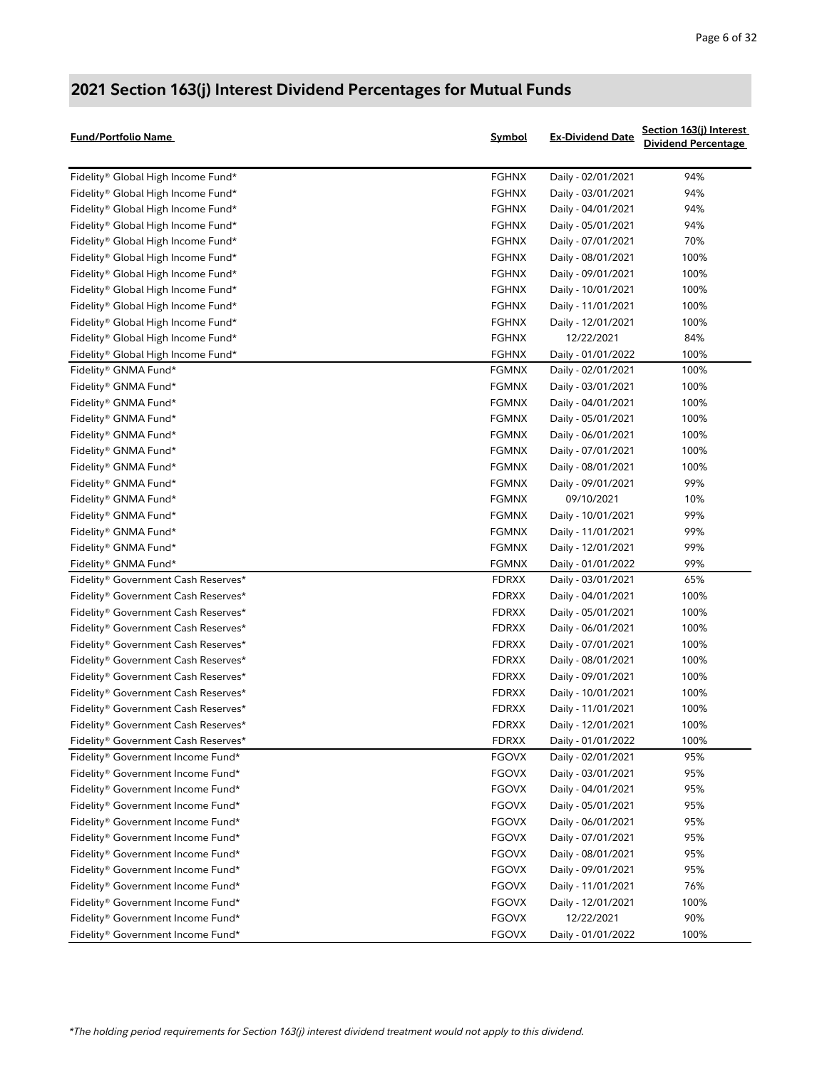| <b>Fund/Portfolio Name</b>                    | Symbol       | <b>Ex-Dividend Date</b> | Section 163(j) Interest<br><b>Dividend Percentage</b> |
|-----------------------------------------------|--------------|-------------------------|-------------------------------------------------------|
| Fidelity® Global High Income Fund*            | <b>FGHNX</b> | Daily - 02/01/2021      | 94%                                                   |
| Fidelity® Global High Income Fund*            | <b>FGHNX</b> | Daily - 03/01/2021      | 94%                                                   |
| Fidelity® Global High Income Fund*            | <b>FGHNX</b> | Daily - 04/01/2021      | 94%                                                   |
| Fidelity® Global High Income Fund*            | <b>FGHNX</b> | Daily - 05/01/2021      | 94%                                                   |
| Fidelity® Global High Income Fund*            | <b>FGHNX</b> | Daily - 07/01/2021      | 70%                                                   |
| Fidelity® Global High Income Fund*            | <b>FGHNX</b> | Daily - 08/01/2021      | 100%                                                  |
| Fidelity® Global High Income Fund*            | <b>FGHNX</b> | Daily - 09/01/2021      | 100%                                                  |
| Fidelity® Global High Income Fund*            | <b>FGHNX</b> | Daily - 10/01/2021      | 100%                                                  |
| Fidelity® Global High Income Fund*            | <b>FGHNX</b> | Daily - 11/01/2021      | 100%                                                  |
| Fidelity® Global High Income Fund*            | <b>FGHNX</b> | Daily - 12/01/2021      | 100%                                                  |
| Fidelity® Global High Income Fund*            | <b>FGHNX</b> | 12/22/2021              | 84%                                                   |
| Fidelity® Global High Income Fund*            | <b>FGHNX</b> | Daily - 01/01/2022      | 100%                                                  |
| Fidelity® GNMA Fund*                          | <b>FGMNX</b> | Daily - 02/01/2021      | 100%                                                  |
| Fidelity® GNMA Fund*                          | <b>FGMNX</b> | Daily - 03/01/2021      | 100%                                                  |
| Fidelity® GNMA Fund*                          | <b>FGMNX</b> | Daily - 04/01/2021      | 100%                                                  |
| Fidelity® GNMA Fund*                          | <b>FGMNX</b> | Daily - 05/01/2021      | 100%                                                  |
| Fidelity® GNMA Fund*                          | <b>FGMNX</b> | Daily - 06/01/2021      | 100%                                                  |
| Fidelity® GNMA Fund*                          | <b>FGMNX</b> | Daily - 07/01/2021      | 100%                                                  |
| Fidelity® GNMA Fund*                          | <b>FGMNX</b> | Daily - 08/01/2021      | 100%                                                  |
| Fidelity® GNMA Fund*                          | <b>FGMNX</b> | Daily - 09/01/2021      | 99%                                                   |
| Fidelity® GNMA Fund*                          | <b>FGMNX</b> | 09/10/2021              | 10%                                                   |
| Fidelity® GNMA Fund*                          | <b>FGMNX</b> | Daily - 10/01/2021      | 99%                                                   |
| Fidelity® GNMA Fund*                          | <b>FGMNX</b> | Daily - 11/01/2021      | 99%                                                   |
| Fidelity® GNMA Fund*                          | <b>FGMNX</b> | Daily - 12/01/2021      | 99%                                                   |
| Fidelity® GNMA Fund*                          | <b>FGMNX</b> | Daily - 01/01/2022      | 99%                                                   |
| Fidelity® Government Cash Reserves*           | <b>FDRXX</b> | Daily - 03/01/2021      | 65%                                                   |
| Fidelity® Government Cash Reserves*           | <b>FDRXX</b> | Daily - 04/01/2021      | 100%                                                  |
| Fidelity® Government Cash Reserves*           | <b>FDRXX</b> | Daily - 05/01/2021      | 100%                                                  |
| Fidelity® Government Cash Reserves*           | <b>FDRXX</b> | Daily - 06/01/2021      | 100%                                                  |
| Fidelity® Government Cash Reserves*           | <b>FDRXX</b> | Daily - 07/01/2021      | 100%                                                  |
| Fidelity® Government Cash Reserves*           | <b>FDRXX</b> | Daily - 08/01/2021      | 100%                                                  |
| Fidelity® Government Cash Reserves*           | <b>FDRXX</b> | Daily - 09/01/2021      | 100%                                                  |
| Fidelity® Government Cash Reserves*           | <b>FDRXX</b> | Daily - 10/01/2021      | 100%                                                  |
| Fidelity® Government Cash Reserves*           | <b>FDRXX</b> | Daily - 11/01/2021      | 100%                                                  |
| Fidelity® Government Cash Reserves*           | <b>FDRXX</b> | Daily - 12/01/2021      | 100%                                                  |
| Fidelity® Government Cash Reserves*           | <b>FDRXX</b> | Daily - 01/01/2022      | 100%                                                  |
| Fidelity® Government Income Fund*             | <b>FGOVX</b> | Daily - 02/01/2021      | 95%                                                   |
| Fidelity® Government Income Fund*             | <b>FGOVX</b> | Daily - 03/01/2021      | 95%                                                   |
| Fidelity® Government Income Fund*             | <b>FGOVX</b> | Daily - 04/01/2021      | 95%                                                   |
| Fidelity® Government Income Fund*             | <b>FGOVX</b> | Daily - 05/01/2021      | 95%                                                   |
| Fidelity® Government Income Fund*             | <b>FGOVX</b> | Daily - 06/01/2021      | 95%                                                   |
| Fidelity® Government Income Fund*             | <b>FGOVX</b> | Daily - 07/01/2021      | 95%                                                   |
| Fidelity® Government Income Fund*             | <b>FGOVX</b> | Daily - 08/01/2021      | 95%                                                   |
| Fidelity <sup>®</sup> Government Income Fund* | <b>FGOVX</b> | Daily - 09/01/2021      | 95%                                                   |
| Fidelity® Government Income Fund*             | <b>FGOVX</b> | Daily - 11/01/2021      | 76%                                                   |
| Fidelity® Government Income Fund*             | <b>FGOVX</b> | Daily - 12/01/2021      | 100%                                                  |
| Fidelity® Government Income Fund*             | <b>FGOVX</b> | 12/22/2021              | 90%                                                   |
| Fidelity® Government Income Fund*             | <b>FGOVX</b> | Daily - 01/01/2022      | 100%                                                  |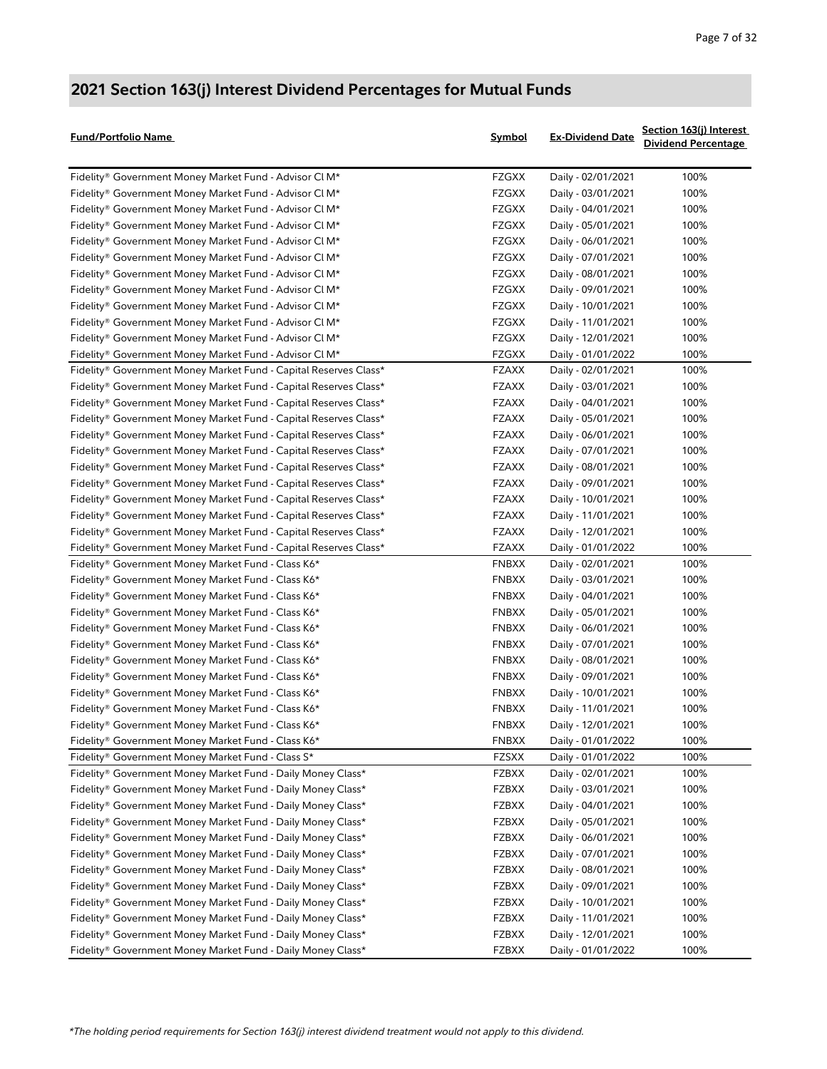| Fund/Portfolio Name                                                                                                        | Symbol         | <b>Ex-Dividend Date</b>                  | Section 163(j) Interest<br><b>Dividend Percentage</b> |
|----------------------------------------------------------------------------------------------------------------------------|----------------|------------------------------------------|-------------------------------------------------------|
| Fidelity® Government Money Market Fund - Advisor Cl M*                                                                     | <b>FZGXX</b>   | Daily - 02/01/2021                       | 100%                                                  |
| Fidelity® Government Money Market Fund - Advisor Cl M*                                                                     | <b>FZGXX</b>   | Daily - 03/01/2021                       | 100%                                                  |
| Fidelity® Government Money Market Fund - Advisor Cl M*                                                                     | FZGXX          | Daily - 04/01/2021                       | 100%                                                  |
| Fidelity® Government Money Market Fund - Advisor Cl M*                                                                     | FZGXX          | Daily - 05/01/2021                       | 100%                                                  |
| Fidelity® Government Money Market Fund - Advisor Cl M*                                                                     | FZGXX          | Daily - 06/01/2021                       | 100%                                                  |
| Fidelity® Government Money Market Fund - Advisor Cl M*                                                                     | FZGXX          | Daily - 07/01/2021                       | 100%                                                  |
| Fidelity® Government Money Market Fund - Advisor Cl M*                                                                     | FZGXX          | Daily - 08/01/2021                       | 100%                                                  |
| Fidelity® Government Money Market Fund - Advisor Cl M*                                                                     | FZGXX          | Daily - 09/01/2021                       | 100%                                                  |
| Fidelity® Government Money Market Fund - Advisor Cl M*                                                                     | FZGXX          | Daily - 10/01/2021                       | 100%                                                  |
| Fidelity® Government Money Market Fund - Advisor Cl M*                                                                     | FZGXX          | Daily - 11/01/2021                       | 100%                                                  |
| Fidelity® Government Money Market Fund - Advisor Cl M*                                                                     | <b>FZGXX</b>   | Daily - 12/01/2021                       | 100%                                                  |
| Fidelity® Government Money Market Fund - Advisor Cl M*                                                                     | <b>FZGXX</b>   | Daily - 01/01/2022                       | 100%                                                  |
| Fidelity® Government Money Market Fund - Capital Reserves Class*                                                           | <b>FZAXX</b>   | Daily - 02/01/2021                       | 100%                                                  |
| Fidelity® Government Money Market Fund - Capital Reserves Class*                                                           | <b>FZAXX</b>   | Daily - 03/01/2021                       | 100%                                                  |
| Fidelity® Government Money Market Fund - Capital Reserves Class*                                                           | <b>FZAXX</b>   | Daily - 04/01/2021                       | 100%                                                  |
| Fidelity® Government Money Market Fund - Capital Reserves Class*                                                           | <b>FZAXX</b>   | Daily - 05/01/2021                       | 100%                                                  |
| Fidelity® Government Money Market Fund - Capital Reserves Class*                                                           | <b>FZAXX</b>   | Daily - 06/01/2021                       | 100%                                                  |
| Fidelity® Government Money Market Fund - Capital Reserves Class*                                                           | <b>FZAXX</b>   | Daily - 07/01/2021                       | 100%                                                  |
| Fidelity® Government Money Market Fund - Capital Reserves Class*                                                           | <b>FZAXX</b>   | Daily - 08/01/2021                       | 100%                                                  |
| Fidelity® Government Money Market Fund - Capital Reserves Class*                                                           | <b>FZAXX</b>   | Daily - 09/01/2021                       | 100%                                                  |
| Fidelity® Government Money Market Fund - Capital Reserves Class*                                                           | <b>FZAXX</b>   | Daily - 10/01/2021                       | 100%                                                  |
| Fidelity® Government Money Market Fund - Capital Reserves Class*                                                           | <b>FZAXX</b>   | Daily - 11/01/2021                       | 100%                                                  |
| Fidelity® Government Money Market Fund - Capital Reserves Class*                                                           | <b>FZAXX</b>   | Daily - 12/01/2021                       | 100%                                                  |
| Fidelity® Government Money Market Fund - Capital Reserves Class*                                                           | <b>FZAXX</b>   | Daily - 01/01/2022                       | 100%                                                  |
| Fidelity® Government Money Market Fund - Class K6*                                                                         | <b>FNBXX</b>   | Daily - 02/01/2021                       | 100%                                                  |
| Fidelity® Government Money Market Fund - Class K6*                                                                         | <b>FNBXX</b>   | Daily - 03/01/2021                       | 100%                                                  |
| Fidelity® Government Money Market Fund - Class K6*                                                                         | <b>FNBXX</b>   | Daily - 04/01/2021                       | 100%                                                  |
| Fidelity® Government Money Market Fund - Class K6*                                                                         | <b>FNBXX</b>   | Daily - 05/01/2021                       | 100%                                                  |
| Fidelity® Government Money Market Fund - Class K6*                                                                         | <b>FNBXX</b>   | Daily - 06/01/2021                       | 100%                                                  |
| Fidelity® Government Money Market Fund - Class K6*                                                                         | <b>FNBXX</b>   | Daily - 07/01/2021                       | 100%                                                  |
| Fidelity® Government Money Market Fund - Class K6*                                                                         | <b>FNBXX</b>   | Daily - 08/01/2021                       | 100%                                                  |
| Fidelity® Government Money Market Fund - Class K6*                                                                         | <b>FNBXX</b>   | Daily - 09/01/2021                       | 100%                                                  |
| Fidelity® Government Money Market Fund - Class K6*                                                                         | <b>FNBXX</b>   | Daily - 10/01/2021                       | 100%                                                  |
| Fidelity® Government Money Market Fund - Class K6*                                                                         | <b>FNBXX</b>   | Daily - 11/01/2021                       | 100%                                                  |
| Fidelity® Government Money Market Fund - Class K6*                                                                         | <b>FNBXX</b>   | Daily - 12/01/2021                       | 100%                                                  |
| Fidelity® Government Money Market Fund - Class K6*                                                                         | <b>FNBXX</b>   | Daily - 01/01/2022                       | 100%                                                  |
| Fidelity® Government Money Market Fund - Class S*                                                                          | <b>FZSXX</b>   | Daily - 01/01/2022                       | 100%                                                  |
| Fidelity® Government Money Market Fund - Daily Money Class*                                                                | <b>FZBXX</b>   | Daily - 02/01/2021                       | 100%                                                  |
| Fidelity® Government Money Market Fund - Daily Money Class*                                                                | <b>FZBXX</b>   | Daily - 03/01/2021                       | 100%                                                  |
| Fidelity® Government Money Market Fund - Daily Money Class*                                                                | <b>FZBXX</b>   | Daily - 04/01/2021                       | 100%                                                  |
| Fidelity® Government Money Market Fund - Daily Money Class*                                                                | <b>FZBXX</b>   | Daily - 05/01/2021                       | 100%                                                  |
| Fidelity® Government Money Market Fund - Daily Money Class*                                                                | FZBXX          | Daily - 06/01/2021                       | 100%                                                  |
|                                                                                                                            |                |                                          |                                                       |
| Fidelity® Government Money Market Fund - Daily Money Class*<br>Fidelity® Government Money Market Fund - Daily Money Class* | FZBXX<br>FZBXX | Daily - 07/01/2021<br>Daily - 08/01/2021 | 100%<br>100%                                          |
|                                                                                                                            |                |                                          |                                                       |
| Fidelity® Government Money Market Fund - Daily Money Class*                                                                | <b>FZBXX</b>   | Daily - 09/01/2021                       | 100%                                                  |
| Fidelity® Government Money Market Fund - Daily Money Class*                                                                | <b>FZBXX</b>   | Daily - 10/01/2021                       | 100%                                                  |
| Fidelity® Government Money Market Fund - Daily Money Class*                                                                | <b>FZBXX</b>   | Daily - 11/01/2021                       | 100%<br>100%                                          |
| Fidelity® Government Money Market Fund - Daily Money Class*                                                                | FZBXX          | Daily - 12/01/2021                       |                                                       |
| Fidelity® Government Money Market Fund - Daily Money Class*                                                                | FZBXX          | Daily - 01/01/2022                       | 100%                                                  |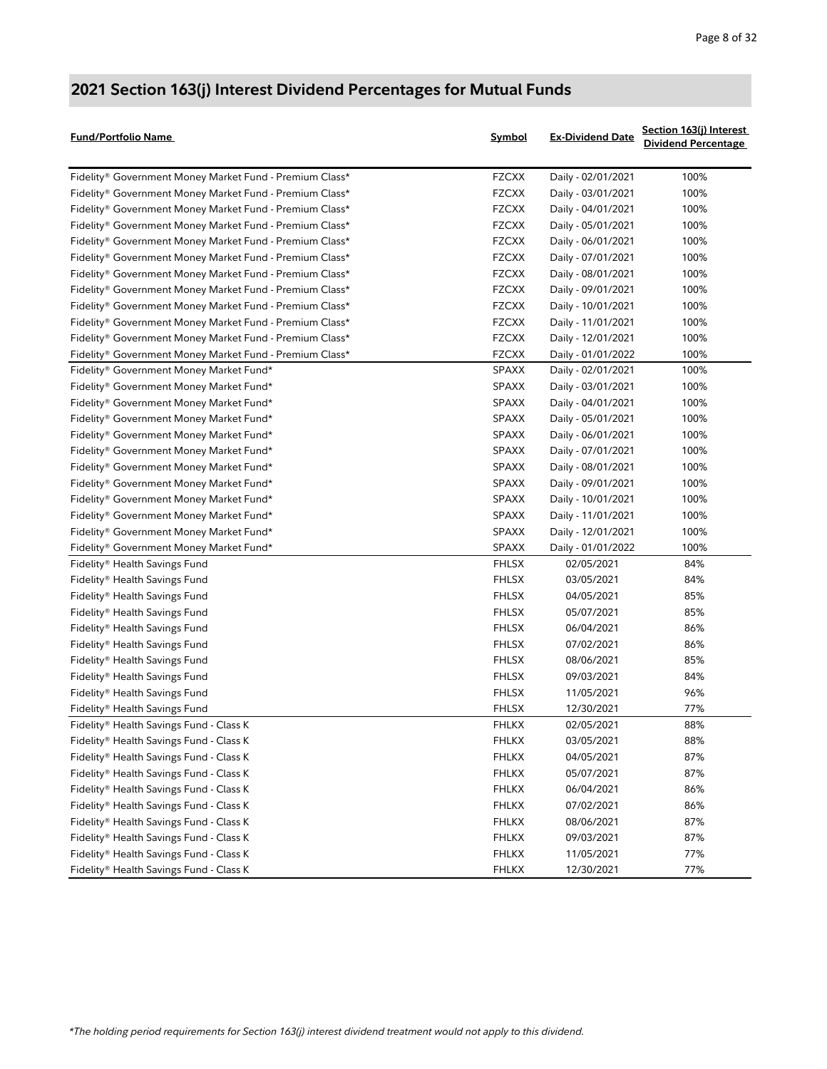| <b>Fund/Portfolio Name</b>                              | <b>Symbol</b> | <b>Ex-Dividend Date</b> | Section 163(j) Interest<br><b>Dividend Percentage</b> |
|---------------------------------------------------------|---------------|-------------------------|-------------------------------------------------------|
| Fidelity® Government Money Market Fund - Premium Class* | <b>FZCXX</b>  | Daily - 02/01/2021      | 100%                                                  |
| Fidelity® Government Money Market Fund - Premium Class* | <b>FZCXX</b>  | Daily - 03/01/2021      | 100%                                                  |
| Fidelity® Government Money Market Fund - Premium Class* | <b>FZCXX</b>  | Daily - 04/01/2021      | 100%                                                  |
| Fidelity® Government Money Market Fund - Premium Class* | <b>FZCXX</b>  | Daily - 05/01/2021      | 100%                                                  |
| Fidelity® Government Money Market Fund - Premium Class* | <b>FZCXX</b>  | Daily - 06/01/2021      | 100%                                                  |
| Fidelity® Government Money Market Fund - Premium Class* | <b>FZCXX</b>  | Daily - 07/01/2021      | 100%                                                  |
| Fidelity® Government Money Market Fund - Premium Class* | <b>FZCXX</b>  | Daily - 08/01/2021      | 100%                                                  |
| Fidelity® Government Money Market Fund - Premium Class* | <b>FZCXX</b>  | Daily - 09/01/2021      | 100%                                                  |
| Fidelity® Government Money Market Fund - Premium Class* | <b>FZCXX</b>  | Daily - 10/01/2021      | 100%                                                  |
| Fidelity® Government Money Market Fund - Premium Class* | <b>FZCXX</b>  | Daily - 11/01/2021      | 100%                                                  |
| Fidelity® Government Money Market Fund - Premium Class* | <b>FZCXX</b>  | Daily - 12/01/2021      | 100%                                                  |
| Fidelity® Government Money Market Fund - Premium Class* | <b>FZCXX</b>  | Daily - 01/01/2022      | 100%                                                  |
| Fidelity® Government Money Market Fund*                 | <b>SPAXX</b>  | Daily - 02/01/2021      | 100%                                                  |
| Fidelity® Government Money Market Fund*                 | <b>SPAXX</b>  | Daily - 03/01/2021      | 100%                                                  |
| Fidelity® Government Money Market Fund*                 | SPAXX         | Daily - 04/01/2021      | 100%                                                  |
| Fidelity® Government Money Market Fund*                 | <b>SPAXX</b>  | Daily - 05/01/2021      | 100%                                                  |
| Fidelity® Government Money Market Fund*                 | <b>SPAXX</b>  | Daily - 06/01/2021      | 100%                                                  |
| Fidelity® Government Money Market Fund*                 | <b>SPAXX</b>  | Daily - 07/01/2021      | 100%                                                  |
| Fidelity® Government Money Market Fund*                 | <b>SPAXX</b>  | Daily - 08/01/2021      | 100%                                                  |
| Fidelity® Government Money Market Fund*                 | <b>SPAXX</b>  | Daily - 09/01/2021      | 100%                                                  |
| Fidelity® Government Money Market Fund*                 | <b>SPAXX</b>  | Daily - 10/01/2021      | 100%                                                  |
| Fidelity® Government Money Market Fund*                 | <b>SPAXX</b>  | Daily - 11/01/2021      | 100%                                                  |
| Fidelity® Government Money Market Fund*                 | <b>SPAXX</b>  | Daily - 12/01/2021      | 100%                                                  |
| Fidelity® Government Money Market Fund*                 | <b>SPAXX</b>  | Daily - 01/01/2022      | 100%                                                  |
| Fidelity® Health Savings Fund                           | <b>FHLSX</b>  | 02/05/2021              | 84%                                                   |
| Fidelity® Health Savings Fund                           | <b>FHLSX</b>  | 03/05/2021              | 84%                                                   |
| Fidelity® Health Savings Fund                           | <b>FHLSX</b>  | 04/05/2021              | 85%                                                   |
| Fidelity® Health Savings Fund                           | <b>FHLSX</b>  | 05/07/2021              | 85%                                                   |
| Fidelity® Health Savings Fund                           | <b>FHLSX</b>  | 06/04/2021              | 86%                                                   |
| Fidelity® Health Savings Fund                           | <b>FHLSX</b>  | 07/02/2021              | 86%                                                   |
| Fidelity® Health Savings Fund                           | <b>FHLSX</b>  | 08/06/2021              | 85%                                                   |
| Fidelity® Health Savings Fund                           | <b>FHLSX</b>  | 09/03/2021              | 84%                                                   |
| Fidelity® Health Savings Fund                           | <b>FHLSX</b>  | 11/05/2021              | 96%                                                   |
| Fidelity® Health Savings Fund                           | <b>FHLSX</b>  | 12/30/2021              | 77%                                                   |
| Fidelity® Health Savings Fund - Class K                 | <b>FHLKX</b>  | 02/05/2021              | 88%                                                   |
| Fidelity® Health Savings Fund - Class K                 | <b>FHLKX</b>  | 03/05/2021              | 88%                                                   |
| Fidelity® Health Savings Fund - Class K                 | <b>FHLKX</b>  | 04/05/2021              | 87%                                                   |
| Fidelity® Health Savings Fund - Class K                 | <b>FHLKX</b>  | 05/07/2021              | 87%                                                   |
| Fidelity® Health Savings Fund - Class K                 | <b>FHLKX</b>  | 06/04/2021              | 86%                                                   |
| Fidelity® Health Savings Fund - Class K                 | <b>FHLKX</b>  | 07/02/2021              | 86%                                                   |
| Fidelity® Health Savings Fund - Class K                 | <b>FHLKX</b>  | 08/06/2021              | 87%                                                   |
| Fidelity® Health Savings Fund - Class K                 | <b>FHLKX</b>  | 09/03/2021              | 87%                                                   |
| Fidelity® Health Savings Fund - Class K                 | <b>FHLKX</b>  | 11/05/2021              | 77%                                                   |
| Fidelity® Health Savings Fund - Class K                 | <b>FHLKX</b>  | 12/30/2021              | 77%                                                   |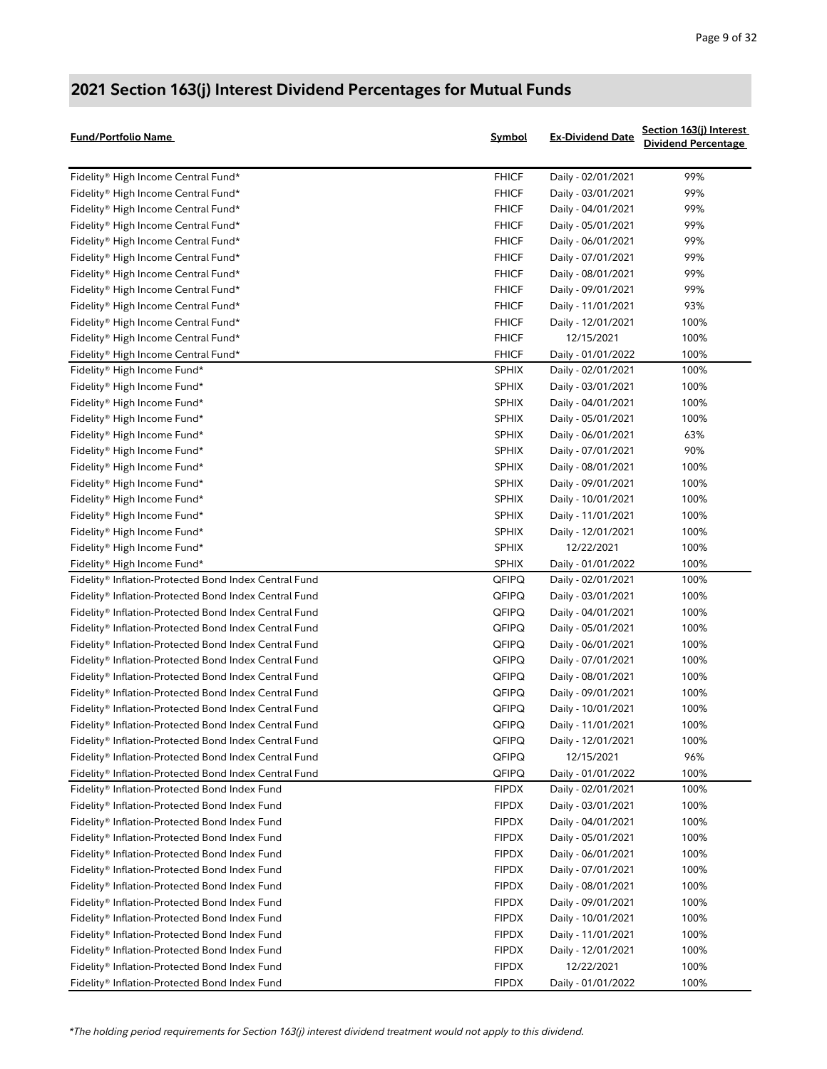| Fund/Portfolio Name                                   | <b>Symbol</b> | <b>Ex-Dividend Date</b> | Section 163(j) Interest<br><b>Dividend Percentage</b> |
|-------------------------------------------------------|---------------|-------------------------|-------------------------------------------------------|
| Fidelity® High Income Central Fund*                   | <b>FHICF</b>  | Daily - 02/01/2021      | 99%                                                   |
| Fidelity® High Income Central Fund*                   | <b>FHICF</b>  | Daily - 03/01/2021      | 99%                                                   |
| Fidelity® High Income Central Fund*                   | <b>FHICF</b>  | Daily - 04/01/2021      | 99%                                                   |
| Fidelity® High Income Central Fund*                   | <b>FHICF</b>  | Daily - 05/01/2021      | 99%                                                   |
| Fidelity® High Income Central Fund*                   | <b>FHICF</b>  | Daily - 06/01/2021      | 99%                                                   |
| Fidelity® High Income Central Fund*                   | <b>FHICF</b>  | Daily - 07/01/2021      | 99%                                                   |
| Fidelity® High Income Central Fund*                   | <b>FHICF</b>  | Daily - 08/01/2021      | 99%                                                   |
| Fidelity® High Income Central Fund*                   | <b>FHICF</b>  | Daily - 09/01/2021      | 99%                                                   |
| Fidelity® High Income Central Fund*                   | <b>FHICF</b>  | Daily - 11/01/2021      | 93%                                                   |
| Fidelity® High Income Central Fund*                   | <b>FHICF</b>  | Daily - 12/01/2021      | 100%                                                  |
| Fidelity® High Income Central Fund*                   | <b>FHICF</b>  | 12/15/2021              | 100%                                                  |
| Fidelity® High Income Central Fund*                   | <b>FHICF</b>  | Daily - 01/01/2022      | 100%                                                  |
| Fidelity® High Income Fund*                           | <b>SPHIX</b>  | Daily - 02/01/2021      | 100%                                                  |
| Fidelity® High Income Fund*                           | <b>SPHIX</b>  | Daily - 03/01/2021      | 100%                                                  |
| Fidelity® High Income Fund*                           | <b>SPHIX</b>  | Daily - 04/01/2021      | 100%                                                  |
| Fidelity® High Income Fund*                           | <b>SPHIX</b>  | Daily - 05/01/2021      | 100%                                                  |
| Fidelity® High Income Fund*                           | <b>SPHIX</b>  | Daily - 06/01/2021      | 63%                                                   |
| Fidelity® High Income Fund*                           | <b>SPHIX</b>  | Daily - 07/01/2021      | 90%                                                   |
| Fidelity® High Income Fund*                           | <b>SPHIX</b>  | Daily - 08/01/2021      | 100%                                                  |
| Fidelity® High Income Fund*                           | <b>SPHIX</b>  | Daily - 09/01/2021      | 100%                                                  |
| Fidelity® High Income Fund*                           | <b>SPHIX</b>  | Daily - 10/01/2021      | 100%                                                  |
| Fidelity® High Income Fund*                           | <b>SPHIX</b>  | Daily - 11/01/2021      | 100%                                                  |
| Fidelity® High Income Fund*                           | <b>SPHIX</b>  | Daily - 12/01/2021      | 100%                                                  |
| Fidelity® High Income Fund*                           | <b>SPHIX</b>  | 12/22/2021              | 100%                                                  |
| Fidelity® High Income Fund*                           | <b>SPHIX</b>  | Daily - 01/01/2022      | 100%                                                  |
| Fidelity® Inflation-Protected Bond Index Central Fund | QFIPQ         | Daily - 02/01/2021      | 100%                                                  |
| Fidelity® Inflation-Protected Bond Index Central Fund | QFIPQ         | Daily - 03/01/2021      | 100%                                                  |
| Fidelity® Inflation-Protected Bond Index Central Fund | QFIPQ         | Daily - 04/01/2021      | 100%                                                  |
| Fidelity® Inflation-Protected Bond Index Central Fund | QFIPQ         | Daily - 05/01/2021      | 100%                                                  |
| Fidelity® Inflation-Protected Bond Index Central Fund | QFIPQ         | Daily - 06/01/2021      | 100%                                                  |
| Fidelity® Inflation-Protected Bond Index Central Fund | QFIPQ         | Daily - 07/01/2021      | 100%                                                  |
| Fidelity® Inflation-Protected Bond Index Central Fund | QFIPQ         | Daily - 08/01/2021      | 100%                                                  |
| Fidelity® Inflation-Protected Bond Index Central Fund | QFIPQ         | Daily - 09/01/2021      | 100%                                                  |
| Fidelity® Inflation-Protected Bond Index Central Fund | QFIPQ         | Daily - 10/01/2021      | 100%                                                  |
| Fidelity® Inflation-Protected Bond Index Central Fund | QFIPQ         | Daily - 11/01/2021      | 100%                                                  |
| Fidelity® Inflation-Protected Bond Index Central Fund | QFIPQ         | Daily - 12/01/2021      | 100%                                                  |
| Fidelity® Inflation-Protected Bond Index Central Fund | QFIPQ         | 12/15/2021              | 96%                                                   |
| Fidelity® Inflation-Protected Bond Index Central Fund | QFIPQ         | Daily - 01/01/2022      | 100%                                                  |
| Fidelity® Inflation-Protected Bond Index Fund         | <b>FIPDX</b>  | Daily - 02/01/2021      | 100%                                                  |
| Fidelity® Inflation-Protected Bond Index Fund         | <b>FIPDX</b>  | Daily - 03/01/2021      | 100%                                                  |
| Fidelity® Inflation-Protected Bond Index Fund         | <b>FIPDX</b>  | Daily - 04/01/2021      | 100%                                                  |
| Fidelity® Inflation-Protected Bond Index Fund         | <b>FIPDX</b>  | Daily - 05/01/2021      | 100%                                                  |
| Fidelity® Inflation-Protected Bond Index Fund         | <b>FIPDX</b>  | Daily - 06/01/2021      | 100%                                                  |
| Fidelity® Inflation-Protected Bond Index Fund         | <b>FIPDX</b>  | Daily - 07/01/2021      | 100%                                                  |
| Fidelity® Inflation-Protected Bond Index Fund         | <b>FIPDX</b>  | Daily - 08/01/2021      | 100%                                                  |
| Fidelity® Inflation-Protected Bond Index Fund         | <b>FIPDX</b>  | Daily - 09/01/2021      | 100%                                                  |
| Fidelity® Inflation-Protected Bond Index Fund         | <b>FIPDX</b>  | Daily - 10/01/2021      | 100%                                                  |
| Fidelity® Inflation-Protected Bond Index Fund         | <b>FIPDX</b>  | Daily - 11/01/2021      | 100%                                                  |
| Fidelity® Inflation-Protected Bond Index Fund         | <b>FIPDX</b>  | Daily - 12/01/2021      | 100%                                                  |
| Fidelity® Inflation-Protected Bond Index Fund         | <b>FIPDX</b>  | 12/22/2021              | 100%                                                  |
| Fidelity® Inflation-Protected Bond Index Fund         | <b>FIPDX</b>  | Daily - 01/01/2022      | 100%                                                  |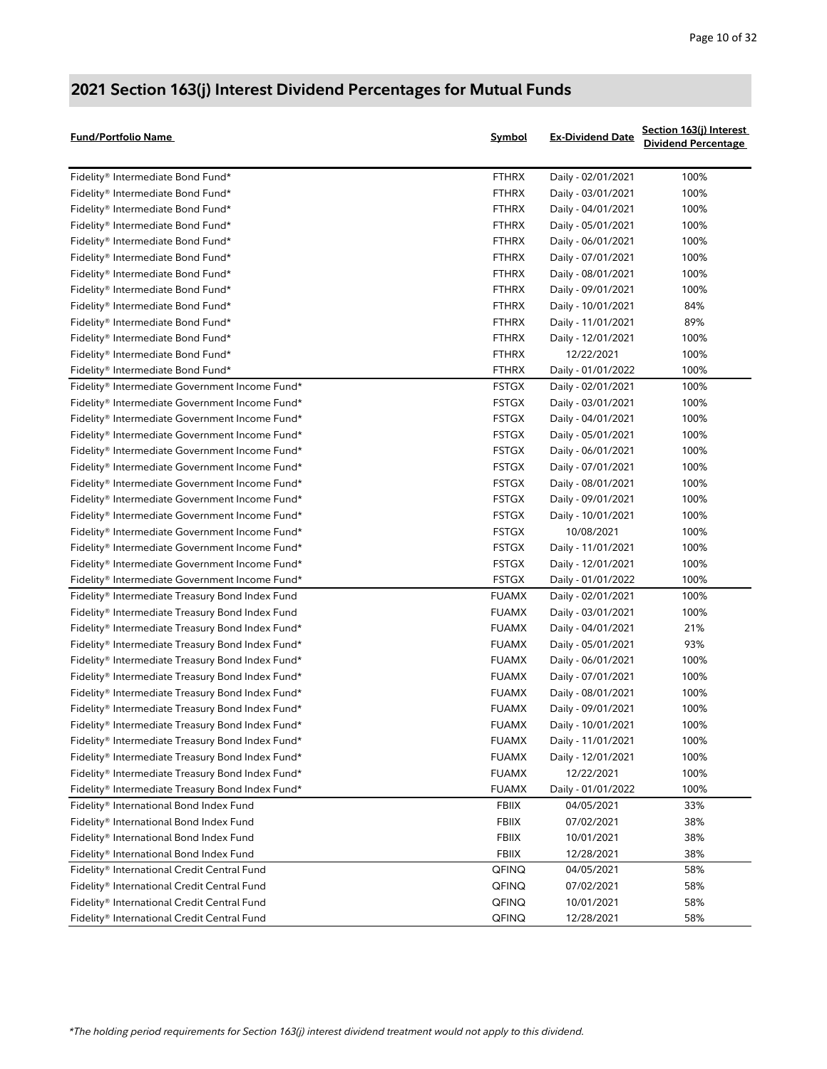| <b>Fund/Portfolio Name</b>                       | Symbol       | <b>Ex-Dividend Date</b> | Section 163(j) Interest<br><b>Dividend Percentage</b> |
|--------------------------------------------------|--------------|-------------------------|-------------------------------------------------------|
| Fidelity® Intermediate Bond Fund*                | <b>FTHRX</b> | Daily - 02/01/2021      | 100%                                                  |
| Fidelity® Intermediate Bond Fund*                | <b>FTHRX</b> | Daily - 03/01/2021      | 100%                                                  |
| Fidelity® Intermediate Bond Fund*                | <b>FTHRX</b> | Daily - 04/01/2021      | 100%                                                  |
| Fidelity® Intermediate Bond Fund*                | <b>FTHRX</b> | Daily - 05/01/2021      | 100%                                                  |
| Fidelity® Intermediate Bond Fund*                | <b>FTHRX</b> | Daily - 06/01/2021      | 100%                                                  |
| Fidelity® Intermediate Bond Fund*                | <b>FTHRX</b> | Daily - 07/01/2021      | 100%                                                  |
| Fidelity® Intermediate Bond Fund*                | <b>FTHRX</b> | Daily - 08/01/2021      | 100%                                                  |
| Fidelity® Intermediate Bond Fund*                | <b>FTHRX</b> | Daily - 09/01/2021      | 100%                                                  |
| Fidelity® Intermediate Bond Fund*                | <b>FTHRX</b> | Daily - 10/01/2021      | 84%                                                   |
| Fidelity® Intermediate Bond Fund*                | <b>FTHRX</b> | Daily - 11/01/2021      | 89%                                                   |
| Fidelity® Intermediate Bond Fund*                | <b>FTHRX</b> | Daily - 12/01/2021      | 100%                                                  |
| Fidelity® Intermediate Bond Fund*                | <b>FTHRX</b> | 12/22/2021              | 100%                                                  |
| Fidelity® Intermediate Bond Fund*                | <b>FTHRX</b> | Daily - 01/01/2022      | 100%                                                  |
| Fidelity® Intermediate Government Income Fund*   | <b>FSTGX</b> | Daily - 02/01/2021      | 100%                                                  |
| Fidelity® Intermediate Government Income Fund*   | <b>FSTGX</b> | Daily - 03/01/2021      | 100%                                                  |
| Fidelity® Intermediate Government Income Fund*   | <b>FSTGX</b> | Daily - 04/01/2021      | 100%                                                  |
| Fidelity® Intermediate Government Income Fund*   | <b>FSTGX</b> | Daily - 05/01/2021      | 100%                                                  |
| Fidelity® Intermediate Government Income Fund*   | <b>FSTGX</b> | Daily - 06/01/2021      | 100%                                                  |
| Fidelity® Intermediate Government Income Fund*   | <b>FSTGX</b> | Daily - 07/01/2021      | 100%                                                  |
| Fidelity® Intermediate Government Income Fund*   | <b>FSTGX</b> | Daily - 08/01/2021      | 100%                                                  |
| Fidelity® Intermediate Government Income Fund*   | <b>FSTGX</b> | Daily - 09/01/2021      | 100%                                                  |
| Fidelity® Intermediate Government Income Fund*   | <b>FSTGX</b> | Daily - 10/01/2021      | 100%                                                  |
| Fidelity® Intermediate Government Income Fund*   | <b>FSTGX</b> | 10/08/2021              | 100%                                                  |
| Fidelity® Intermediate Government Income Fund*   | <b>FSTGX</b> | Daily - 11/01/2021      | 100%                                                  |
| Fidelity® Intermediate Government Income Fund*   | <b>FSTGX</b> | Daily - 12/01/2021      | 100%                                                  |
| Fidelity® Intermediate Government Income Fund*   | <b>FSTGX</b> | Daily - 01/01/2022      | 100%                                                  |
| Fidelity® Intermediate Treasury Bond Index Fund  | <b>FUAMX</b> | Daily - 02/01/2021      | 100%                                                  |
| Fidelity® Intermediate Treasury Bond Index Fund  | <b>FUAMX</b> | Daily - 03/01/2021      | 100%                                                  |
| Fidelity® Intermediate Treasury Bond Index Fund* | <b>FUAMX</b> | Daily - 04/01/2021      | 21%                                                   |
| Fidelity® Intermediate Treasury Bond Index Fund* | <b>FUAMX</b> | Daily - 05/01/2021      | 93%                                                   |
| Fidelity® Intermediate Treasury Bond Index Fund* | <b>FUAMX</b> | Daily - 06/01/2021      | 100%                                                  |
| Fidelity® Intermediate Treasury Bond Index Fund* | <b>FUAMX</b> | Daily - 07/01/2021      | 100%                                                  |
| Fidelity® Intermediate Treasury Bond Index Fund* | <b>FUAMX</b> | Daily - 08/01/2021      | 100%                                                  |
| Fidelity® Intermediate Treasury Bond Index Fund* | <b>FUAMX</b> | Daily - 09/01/2021      | 100%                                                  |
| Fidelity® Intermediate Treasury Bond Index Fund* | <b>FUAMX</b> | Daily - 10/01/2021      | 100%                                                  |
| Fidelity® Intermediate Treasury Bond Index Fund* | <b>FUAMX</b> | Daily - 11/01/2021      | 100%                                                  |
| Fidelity® Intermediate Treasury Bond Index Fund* | <b>FUAMX</b> | Daily - 12/01/2021      | 100%                                                  |
| Fidelity® Intermediate Treasury Bond Index Fund* | <b>FUAMX</b> | 12/22/2021              | 100%                                                  |
| Fidelity® Intermediate Treasury Bond Index Fund* | <b>FUAMX</b> | Daily - 01/01/2022      | 100%                                                  |
| Fidelity® International Bond Index Fund          | <b>FBIIX</b> | 04/05/2021              | 33%                                                   |
| Fidelity® International Bond Index Fund          | FBIIX        | 07/02/2021              | 38%                                                   |
| Fidelity® International Bond Index Fund          | FBIIX        | 10/01/2021              | 38%                                                   |
| Fidelity® International Bond Index Fund          | FBIIX        | 12/28/2021              | 38%                                                   |
| Fidelity® International Credit Central Fund      | QFINQ        | 04/05/2021              | 58%                                                   |
| Fidelity® International Credit Central Fund      | QFINQ        | 07/02/2021              | 58%                                                   |
| Fidelity® International Credit Central Fund      | QFINQ        | 10/01/2021              | 58%                                                   |
| Fidelity® International Credit Central Fund      | QFINQ        | 12/28/2021              | 58%                                                   |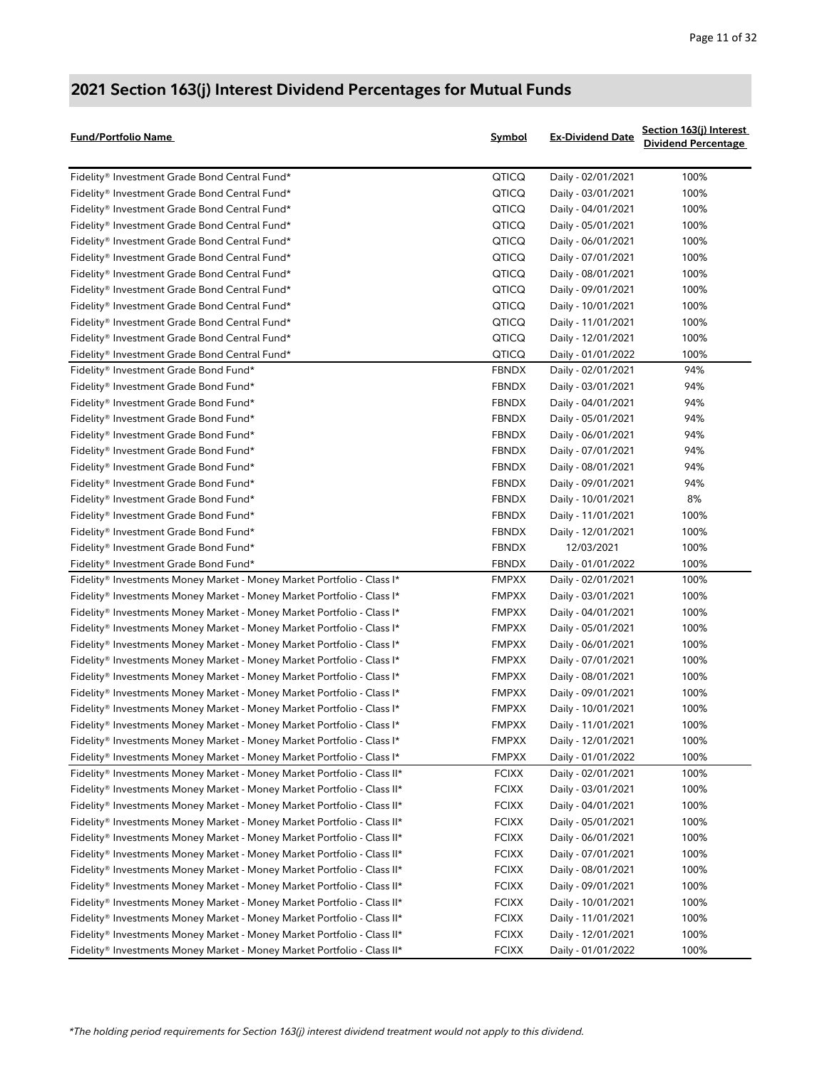| Fund/Portfolio Name                                                     | Symbol       | <b>Ex-Dividend Date</b> | Section 163(j) Interest<br><b>Dividend Percentage</b> |
|-------------------------------------------------------------------------|--------------|-------------------------|-------------------------------------------------------|
| Fidelity® Investment Grade Bond Central Fund*                           | QTICQ        | Daily - 02/01/2021      | 100%                                                  |
| Fidelity® Investment Grade Bond Central Fund*                           | QTICQ        | Daily - 03/01/2021      | 100%                                                  |
| Fidelity® Investment Grade Bond Central Fund*                           | QTICQ        | Daily - 04/01/2021      | 100%                                                  |
| Fidelity® Investment Grade Bond Central Fund*                           | QTICQ        | Daily - 05/01/2021      | 100%                                                  |
| Fidelity® Investment Grade Bond Central Fund*                           | QTICQ        | Daily - 06/01/2021      | 100%                                                  |
| Fidelity® Investment Grade Bond Central Fund*                           | QTICQ        | Daily - 07/01/2021      | 100%                                                  |
| Fidelity® Investment Grade Bond Central Fund*                           | QTICQ        | Daily - 08/01/2021      | 100%                                                  |
| Fidelity® Investment Grade Bond Central Fund*                           | QTICQ        | Daily - 09/01/2021      | 100%                                                  |
| Fidelity® Investment Grade Bond Central Fund*                           | QTICQ        | Daily - 10/01/2021      | 100%                                                  |
| Fidelity® Investment Grade Bond Central Fund*                           | QTICQ        | Daily - 11/01/2021      | 100%                                                  |
| Fidelity® Investment Grade Bond Central Fund*                           | QTICQ        | Daily - 12/01/2021      | 100%                                                  |
| Fidelity® Investment Grade Bond Central Fund*                           | QTICQ        | Daily - 01/01/2022      | 100%                                                  |
| Fidelity® Investment Grade Bond Fund*                                   | <b>FBNDX</b> | Daily - 02/01/2021      | 94%                                                   |
| Fidelity® Investment Grade Bond Fund*                                   | <b>FBNDX</b> | Daily - 03/01/2021      | 94%                                                   |
| Fidelity® Investment Grade Bond Fund*                                   | <b>FBNDX</b> | Daily - 04/01/2021      | 94%                                                   |
| Fidelity® Investment Grade Bond Fund*                                   | <b>FBNDX</b> | Daily - 05/01/2021      | 94%                                                   |
| Fidelity® Investment Grade Bond Fund*                                   | <b>FBNDX</b> | Daily - 06/01/2021      | 94%                                                   |
| Fidelity® Investment Grade Bond Fund*                                   | <b>FBNDX</b> | Daily - 07/01/2021      | 94%                                                   |
| Fidelity® Investment Grade Bond Fund*                                   | <b>FBNDX</b> | Daily - 08/01/2021      | 94%                                                   |
| Fidelity® Investment Grade Bond Fund*                                   | <b>FBNDX</b> | Daily - 09/01/2021      | 94%                                                   |
| Fidelity® Investment Grade Bond Fund*                                   | <b>FBNDX</b> | Daily - 10/01/2021      | 8%                                                    |
| Fidelity® Investment Grade Bond Fund*                                   | <b>FBNDX</b> | Daily - 11/01/2021      | 100%                                                  |
| Fidelity® Investment Grade Bond Fund*                                   | <b>FBNDX</b> | Daily - 12/01/2021      | 100%                                                  |
| Fidelity® Investment Grade Bond Fund*                                   | <b>FBNDX</b> | 12/03/2021              | 100%                                                  |
| Fidelity® Investment Grade Bond Fund*                                   | <b>FBNDX</b> | Daily - 01/01/2022      | 100%                                                  |
| Fidelity® Investments Money Market - Money Market Portfolio - Class I*  | <b>FMPXX</b> | Daily - 02/01/2021      | 100%                                                  |
| Fidelity® Investments Money Market - Money Market Portfolio - Class I*  | <b>FMPXX</b> | Daily - 03/01/2021      | 100%                                                  |
| Fidelity® Investments Money Market - Money Market Portfolio - Class I*  | <b>FMPXX</b> | Daily - 04/01/2021      | 100%                                                  |
| Fidelity® Investments Money Market - Money Market Portfolio - Class I*  | <b>FMPXX</b> | Daily - 05/01/2021      | 100%                                                  |
| Fidelity® Investments Money Market - Money Market Portfolio - Class I*  | <b>FMPXX</b> | Daily - 06/01/2021      | 100%                                                  |
| Fidelity® Investments Money Market - Money Market Portfolio - Class I*  | <b>FMPXX</b> | Daily - 07/01/2021      | 100%                                                  |
| Fidelity® Investments Money Market - Money Market Portfolio - Class I*  | <b>FMPXX</b> | Daily - 08/01/2021      | 100%                                                  |
| Fidelity® Investments Money Market - Money Market Portfolio - Class I*  | <b>FMPXX</b> | Daily - 09/01/2021      | 100%                                                  |
| Fidelity® Investments Money Market - Money Market Portfolio - Class I*  | <b>FMPXX</b> | Daily - 10/01/2021      | 100%                                                  |
| Fidelity® Investments Money Market - Money Market Portfolio - Class I*  | <b>FMPXX</b> | Daily - 11/01/2021      | 100%                                                  |
| Fidelity® Investments Money Market - Money Market Portfolio - Class I*  | <b>FMPXX</b> | Daily - 12/01/2021      | 100%                                                  |
| Fidelity® Investments Money Market - Money Market Portfolio - Class I*  | <b>FMPXX</b> | Daily - 01/01/2022      | 100%                                                  |
| Fidelity® Investments Money Market - Money Market Portfolio - Class II* | <b>FCIXX</b> | Daily - 02/01/2021      | 100%                                                  |
| Fidelity® Investments Money Market - Money Market Portfolio - Class II* | <b>FCIXX</b> | Daily - 03/01/2021      | 100%                                                  |
| Fidelity® Investments Money Market - Money Market Portfolio - Class II* | <b>FCIXX</b> | Daily - 04/01/2021      | 100%                                                  |
| Fidelity® Investments Money Market - Money Market Portfolio - Class II* | <b>FCIXX</b> | Daily - 05/01/2021      | 100%                                                  |
| Fidelity® Investments Money Market - Money Market Portfolio - Class II* | <b>FCIXX</b> | Daily - 06/01/2021      | 100%                                                  |
| Fidelity® Investments Money Market - Money Market Portfolio - Class II* | <b>FCIXX</b> | Daily - 07/01/2021      | 100%                                                  |
| Fidelity® Investments Money Market - Money Market Portfolio - Class II* | <b>FCIXX</b> | Daily - 08/01/2021      | 100%                                                  |
| Fidelity® Investments Money Market - Money Market Portfolio - Class II* | <b>FCIXX</b> | Daily - 09/01/2021      | 100%                                                  |
| Fidelity® Investments Money Market - Money Market Portfolio - Class II* | <b>FCIXX</b> | Daily - 10/01/2021      | 100%                                                  |
| Fidelity® Investments Money Market - Money Market Portfolio - Class II* | <b>FCIXX</b> | Daily - 11/01/2021      | 100%                                                  |
| Fidelity® Investments Money Market - Money Market Portfolio - Class II* | <b>FCIXX</b> | Daily - 12/01/2021      | 100%                                                  |
| Fidelity® Investments Money Market - Money Market Portfolio - Class II* | <b>FCIXX</b> | Daily - 01/01/2022      | 100%                                                  |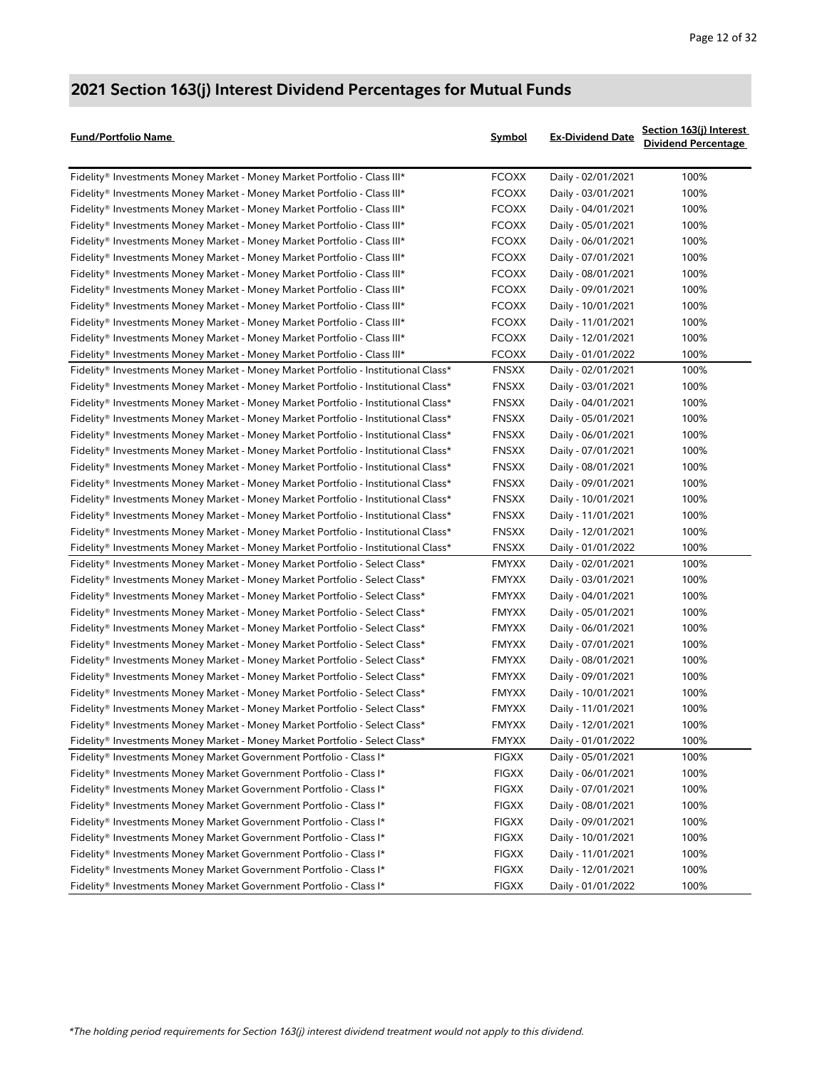| <b>Fund/Portfolio Name</b>                                                         | Symbol       | <b>Ex-Dividend Date</b> | Section 163(j) Interest<br><b>Dividend Percentage</b> |
|------------------------------------------------------------------------------------|--------------|-------------------------|-------------------------------------------------------|
| Fidelity® Investments Money Market - Money Market Portfolio - Class III*           | <b>FCOXX</b> | Daily - 02/01/2021      | 100%                                                  |
| Fidelity® Investments Money Market - Money Market Portfolio - Class III*           | <b>FCOXX</b> | Daily - 03/01/2021      | 100%                                                  |
| Fidelity® Investments Money Market - Money Market Portfolio - Class III*           | <b>FCOXX</b> | Daily - 04/01/2021      | 100%                                                  |
| Fidelity® Investments Money Market - Money Market Portfolio - Class III*           | <b>FCOXX</b> | Daily - 05/01/2021      | 100%                                                  |
| Fidelity® Investments Money Market - Money Market Portfolio - Class III*           | <b>FCOXX</b> | Daily - 06/01/2021      | 100%                                                  |
| Fidelity® Investments Money Market - Money Market Portfolio - Class III*           | <b>FCOXX</b> | Daily - 07/01/2021      | 100%                                                  |
| Fidelity® Investments Money Market - Money Market Portfolio - Class III*           | <b>FCOXX</b> | Daily - 08/01/2021      | 100%                                                  |
| Fidelity® Investments Money Market - Money Market Portfolio - Class III*           | <b>FCOXX</b> | Daily - 09/01/2021      | 100%                                                  |
| Fidelity® Investments Money Market - Money Market Portfolio - Class III*           | <b>FCOXX</b> | Daily - 10/01/2021      | 100%                                                  |
| Fidelity® Investments Money Market - Money Market Portfolio - Class III*           | <b>FCOXX</b> | Daily - 11/01/2021      | 100%                                                  |
| Fidelity® Investments Money Market - Money Market Portfolio - Class III*           | <b>FCOXX</b> | Daily - 12/01/2021      | 100%                                                  |
| Fidelity® Investments Money Market - Money Market Portfolio - Class III*           | <b>FCOXX</b> | Daily - 01/01/2022      | 100%                                                  |
| Fidelity® Investments Money Market - Money Market Portfolio - Institutional Class* | <b>FNSXX</b> | Daily - 02/01/2021      | 100%                                                  |
| Fidelity® Investments Money Market - Money Market Portfolio - Institutional Class* | <b>FNSXX</b> | Daily - 03/01/2021      | 100%                                                  |
| Fidelity® Investments Money Market - Money Market Portfolio - Institutional Class* | <b>FNSXX</b> | Daily - 04/01/2021      | 100%                                                  |
| Fidelity® Investments Money Market - Money Market Portfolio - Institutional Class* | <b>FNSXX</b> | Daily - 05/01/2021      | 100%                                                  |
| Fidelity® Investments Money Market - Money Market Portfolio - Institutional Class* | <b>FNSXX</b> | Daily - 06/01/2021      | 100%                                                  |
| Fidelity® Investments Money Market - Money Market Portfolio - Institutional Class* | <b>FNSXX</b> | Daily - 07/01/2021      | 100%                                                  |
| Fidelity® Investments Money Market - Money Market Portfolio - Institutional Class* | <b>FNSXX</b> | Daily - 08/01/2021      | 100%                                                  |
| Fidelity® Investments Money Market - Money Market Portfolio - Institutional Class* | <b>FNSXX</b> | Daily - 09/01/2021      | 100%                                                  |
| Fidelity® Investments Money Market - Money Market Portfolio - Institutional Class* | <b>FNSXX</b> | Daily - 10/01/2021      | 100%                                                  |
| Fidelity® Investments Money Market - Money Market Portfolio - Institutional Class* | <b>FNSXX</b> | Daily - 11/01/2021      | 100%                                                  |
| Fidelity® Investments Money Market - Money Market Portfolio - Institutional Class* | <b>FNSXX</b> | Daily - 12/01/2021      | 100%                                                  |
| Fidelity® Investments Money Market - Money Market Portfolio - Institutional Class* | <b>FNSXX</b> | Daily - 01/01/2022      | 100%                                                  |
| Fidelity® Investments Money Market - Money Market Portfolio - Select Class*        | <b>FMYXX</b> | Daily - 02/01/2021      | 100%                                                  |
| Fidelity® Investments Money Market - Money Market Portfolio - Select Class*        | FMYXX        | Daily - 03/01/2021      | 100%                                                  |
| Fidelity® Investments Money Market - Money Market Portfolio - Select Class*        | FMYXX        | Daily - 04/01/2021      | 100%                                                  |
| Fidelity® Investments Money Market - Money Market Portfolio - Select Class*        | FMYXX        | Daily - 05/01/2021      | 100%                                                  |
| Fidelity® Investments Money Market - Money Market Portfolio - Select Class*        | <b>FMYXX</b> | Daily - 06/01/2021      | 100%                                                  |
| Fidelity® Investments Money Market - Money Market Portfolio - Select Class*        | <b>FMYXX</b> | Daily - 07/01/2021      | 100%                                                  |
| Fidelity® Investments Money Market - Money Market Portfolio - Select Class*        | <b>FMYXX</b> | Daily - 08/01/2021      | 100%                                                  |
| Fidelity® Investments Money Market - Money Market Portfolio - Select Class*        | <b>FMYXX</b> | Daily - 09/01/2021      | 100%                                                  |
| Fidelity® Investments Money Market - Money Market Portfolio - Select Class*        | <b>FMYXX</b> | Daily - 10/01/2021      | 100%                                                  |
| Fidelity® Investments Money Market - Money Market Portfolio - Select Class*        | <b>FMYXX</b> | Daily - 11/01/2021      | 100%                                                  |
| Fidelity® Investments Money Market - Money Market Portfolio - Select Class*        | FMYXX        | Daily - 12/01/2021      | 100%                                                  |
| Fidelity® Investments Money Market - Money Market Portfolio - Select Class*        | FMYXX        | Daily - 01/01/2022      | 100%                                                  |
| Fidelity® Investments Money Market Government Portfolio - Class I*                 | <b>FIGXX</b> | Daily - 05/01/2021      | 100%                                                  |
| Fidelity® Investments Money Market Government Portfolio - Class I*                 | <b>FIGXX</b> | Daily - 06/01/2021      | 100%                                                  |
| Fidelity® Investments Money Market Government Portfolio - Class I*                 | <b>FIGXX</b> | Daily - 07/01/2021      | 100%                                                  |
| Fidelity® Investments Money Market Government Portfolio - Class I*                 | <b>FIGXX</b> | Daily - 08/01/2021      | 100%                                                  |
| Fidelity® Investments Money Market Government Portfolio - Class I*                 | <b>FIGXX</b> | Daily - 09/01/2021      | 100%                                                  |
| Fidelity® Investments Money Market Government Portfolio - Class I*                 | <b>FIGXX</b> | Daily - 10/01/2021      | 100%                                                  |
| Fidelity® Investments Money Market Government Portfolio - Class I*                 | <b>FIGXX</b> | Daily - 11/01/2021      | 100%                                                  |
| Fidelity® Investments Money Market Government Portfolio - Class I*                 | <b>FIGXX</b> | Daily - 12/01/2021      | 100%                                                  |
| Fidelity® Investments Money Market Government Portfolio - Class I*                 | <b>FIGXX</b> | Daily - 01/01/2022      | 100%                                                  |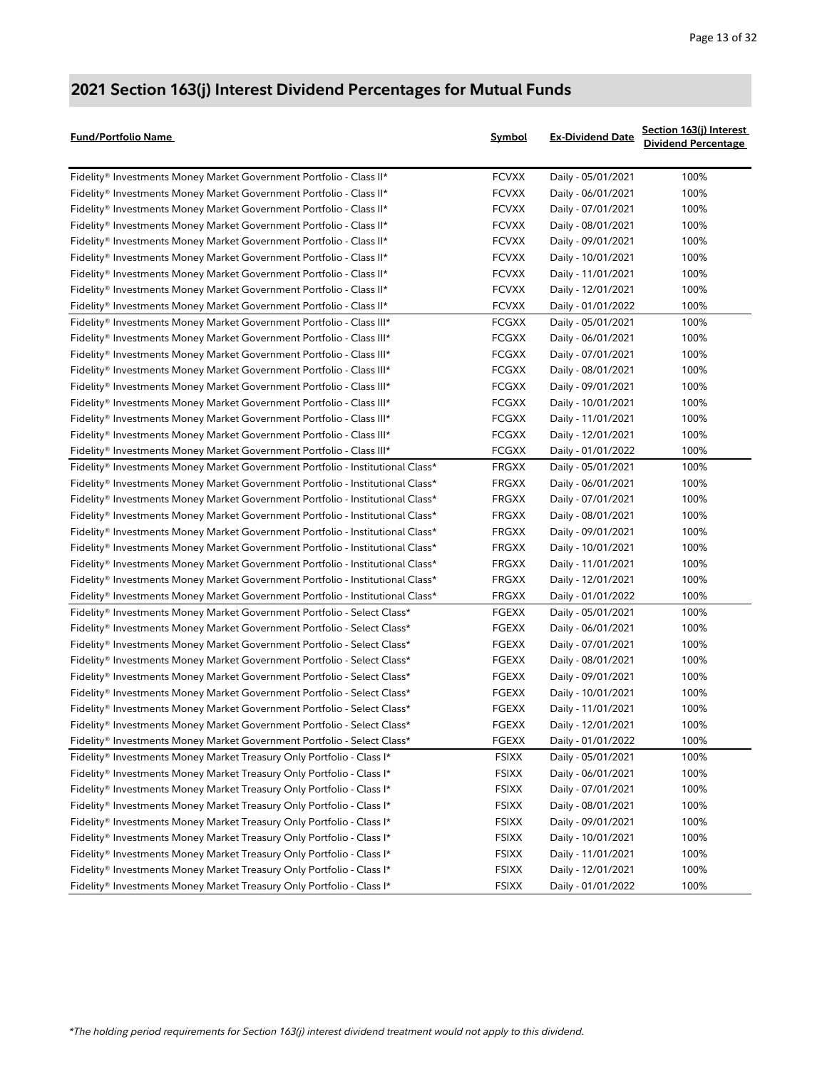| Fund/Portfolio Name                                                            | <b>Symbol</b> | <b>Ex-Dividend Date</b> | Section 163(j) Interest<br><b>Dividend Percentage</b> |
|--------------------------------------------------------------------------------|---------------|-------------------------|-------------------------------------------------------|
| Fidelity® Investments Money Market Government Portfolio - Class II*            | <b>FCVXX</b>  | Daily - 05/01/2021      | 100%                                                  |
| Fidelity® Investments Money Market Government Portfolio - Class II*            | <b>FCVXX</b>  | Daily - 06/01/2021      | 100%                                                  |
| Fidelity® Investments Money Market Government Portfolio - Class II*            | <b>FCVXX</b>  | Daily - 07/01/2021      | 100%                                                  |
| Fidelity® Investments Money Market Government Portfolio - Class II*            | <b>FCVXX</b>  | Daily - 08/01/2021      | 100%                                                  |
| Fidelity® Investments Money Market Government Portfolio - Class II*            | <b>FCVXX</b>  | Daily - 09/01/2021      | 100%                                                  |
| Fidelity® Investments Money Market Government Portfolio - Class II*            | <b>FCVXX</b>  | Daily - 10/01/2021      | 100%                                                  |
| Fidelity® Investments Money Market Government Portfolio - Class II*            | <b>FCVXX</b>  | Daily - 11/01/2021      | 100%                                                  |
| Fidelity® Investments Money Market Government Portfolio - Class II*            | <b>FCVXX</b>  | Daily - 12/01/2021      | 100%                                                  |
| Fidelity® Investments Money Market Government Portfolio - Class II*            | <b>FCVXX</b>  | Daily - 01/01/2022      | 100%                                                  |
| Fidelity® Investments Money Market Government Portfolio - Class III*           | <b>FCGXX</b>  | Daily - 05/01/2021      | 100%                                                  |
| Fidelity® Investments Money Market Government Portfolio - Class III*           | <b>FCGXX</b>  | Daily - 06/01/2021      | 100%                                                  |
| Fidelity® Investments Money Market Government Portfolio - Class III*           | <b>FCGXX</b>  | Daily - 07/01/2021      | 100%                                                  |
| Fidelity® Investments Money Market Government Portfolio - Class III*           | <b>FCGXX</b>  | Daily - 08/01/2021      | 100%                                                  |
| Fidelity® Investments Money Market Government Portfolio - Class III*           | <b>FCGXX</b>  | Daily - 09/01/2021      | 100%                                                  |
| Fidelity® Investments Money Market Government Portfolio - Class III*           | <b>FCGXX</b>  | Daily - 10/01/2021      | 100%                                                  |
| Fidelity® Investments Money Market Government Portfolio - Class III*           | <b>FCGXX</b>  | Daily - 11/01/2021      | 100%                                                  |
| Fidelity® Investments Money Market Government Portfolio - Class III*           | <b>FCGXX</b>  | Daily - 12/01/2021      | 100%                                                  |
| Fidelity® Investments Money Market Government Portfolio - Class III*           | <b>FCGXX</b>  | Daily - 01/01/2022      | 100%                                                  |
| Fidelity® Investments Money Market Government Portfolio - Institutional Class* | FRGXX         | Daily - 05/01/2021      | 100%                                                  |
| Fidelity® Investments Money Market Government Portfolio - Institutional Class* | <b>FRGXX</b>  | Daily - 06/01/2021      | 100%                                                  |
| Fidelity® Investments Money Market Government Portfolio - Institutional Class* | <b>FRGXX</b>  | Daily - 07/01/2021      | 100%                                                  |
| Fidelity® Investments Money Market Government Portfolio - Institutional Class* | <b>FRGXX</b>  | Daily - 08/01/2021      | 100%                                                  |
| Fidelity® Investments Money Market Government Portfolio - Institutional Class* | FRGXX         | Daily - 09/01/2021      | 100%                                                  |
| Fidelity® Investments Money Market Government Portfolio - Institutional Class* | FRGXX         | Daily - 10/01/2021      | 100%                                                  |
| Fidelity® Investments Money Market Government Portfolio - Institutional Class* | FRGXX         | Daily - 11/01/2021      | 100%                                                  |
| Fidelity® Investments Money Market Government Portfolio - Institutional Class* | FRGXX         | Daily - 12/01/2021      | 100%                                                  |
| Fidelity® Investments Money Market Government Portfolio - Institutional Class* | FRGXX         | Daily - 01/01/2022      | 100%                                                  |
| Fidelity® Investments Money Market Government Portfolio - Select Class*        | <b>FGEXX</b>  | Daily - 05/01/2021      | 100%                                                  |
| Fidelity® Investments Money Market Government Portfolio - Select Class*        | <b>FGEXX</b>  | Daily - 06/01/2021      | 100%                                                  |
| Fidelity® Investments Money Market Government Portfolio - Select Class*        | <b>FGEXX</b>  | Daily - 07/01/2021      | 100%                                                  |
| Fidelity® Investments Money Market Government Portfolio - Select Class*        | <b>FGEXX</b>  | Daily - 08/01/2021      | 100%                                                  |
| Fidelity® Investments Money Market Government Portfolio - Select Class*        | <b>FGEXX</b>  | Daily - 09/01/2021      | 100%                                                  |
| Fidelity® Investments Money Market Government Portfolio - Select Class*        | <b>FGEXX</b>  | Daily - 10/01/2021      | 100%                                                  |
| Fidelity® Investments Money Market Government Portfolio - Select Class*        | <b>FGEXX</b>  | Daily - 11/01/2021      | 100%                                                  |
| Fidelity® Investments Money Market Government Portfolio - Select Class*        | FGEXX         | Daily - 12/01/2021      | 100%                                                  |
| Fidelity® Investments Money Market Government Portfolio - Select Class*        | <b>FGEXX</b>  | Daily - 01/01/2022      | 100%                                                  |
| Fidelity® Investments Money Market Treasury Only Portfolio - Class I*          | <b>FSIXX</b>  | Daily - 05/01/2021      | 100%                                                  |
| Fidelity® Investments Money Market Treasury Only Portfolio - Class I*          | FSIXX         | Daily - 06/01/2021      | 100%                                                  |
| Fidelity® Investments Money Market Treasury Only Portfolio - Class I*          | <b>FSIXX</b>  | Daily - 07/01/2021      | 100%                                                  |
| Fidelity® Investments Money Market Treasury Only Portfolio - Class I*          | <b>FSIXX</b>  | Daily - 08/01/2021      | 100%                                                  |
| Fidelity® Investments Money Market Treasury Only Portfolio - Class I*          | <b>FSIXX</b>  | Daily - 09/01/2021      | 100%                                                  |
| Fidelity® Investments Money Market Treasury Only Portfolio - Class I*          | <b>FSIXX</b>  | Daily - 10/01/2021      | 100%                                                  |
| Fidelity® Investments Money Market Treasury Only Portfolio - Class I*          | FSIXX         | Daily - 11/01/2021      | 100%                                                  |
| Fidelity® Investments Money Market Treasury Only Portfolio - Class I*          | <b>FSIXX</b>  | Daily - 12/01/2021      | 100%                                                  |
| Fidelity® Investments Money Market Treasury Only Portfolio - Class I*          | <b>FSIXX</b>  | Daily - 01/01/2022      | 100%                                                  |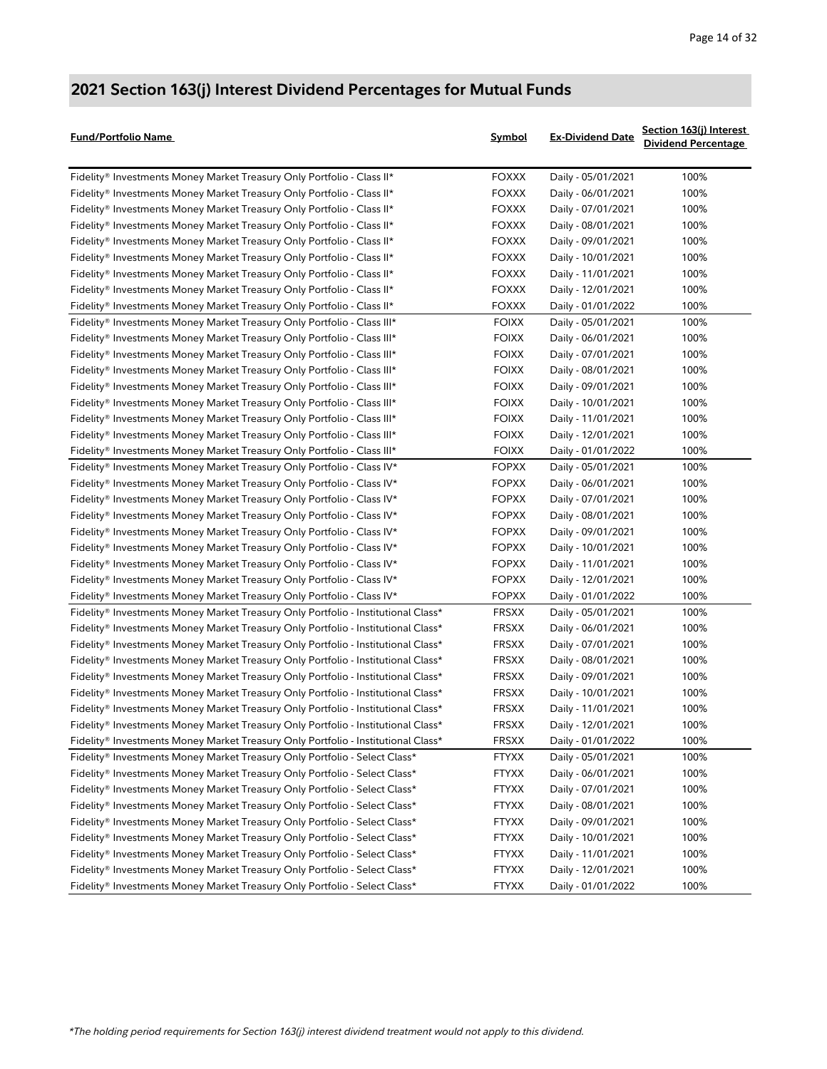| Fund/Portfolio Name                                                               | Symbol       | <b>Ex-Dividend Date</b> | Section 163(j) Interest<br><b>Dividend Percentage</b> |
|-----------------------------------------------------------------------------------|--------------|-------------------------|-------------------------------------------------------|
| Fidelity® Investments Money Market Treasury Only Portfolio - Class II*            | <b>FOXXX</b> | Daily - 05/01/2021      | 100%                                                  |
| Fidelity® Investments Money Market Treasury Only Portfolio - Class II*            | <b>FOXXX</b> | Daily - 06/01/2021      | 100%                                                  |
| Fidelity® Investments Money Market Treasury Only Portfolio - Class II*            | <b>FOXXX</b> | Daily - 07/01/2021      | 100%                                                  |
| Fidelity® Investments Money Market Treasury Only Portfolio - Class II*            | <b>FOXXX</b> | Daily - 08/01/2021      | 100%                                                  |
| Fidelity® Investments Money Market Treasury Only Portfolio - Class II*            | <b>FOXXX</b> | Daily - 09/01/2021      | 100%                                                  |
| Fidelity® Investments Money Market Treasury Only Portfolio - Class II*            | <b>FOXXX</b> | Daily - 10/01/2021      | 100%                                                  |
| Fidelity® Investments Money Market Treasury Only Portfolio - Class II*            | <b>FOXXX</b> | Daily - 11/01/2021      | 100%                                                  |
| Fidelity® Investments Money Market Treasury Only Portfolio - Class II*            | <b>FOXXX</b> | Daily - 12/01/2021      | 100%                                                  |
| Fidelity® Investments Money Market Treasury Only Portfolio - Class II*            | <b>FOXXX</b> | Daily - 01/01/2022      | 100%                                                  |
| Fidelity® Investments Money Market Treasury Only Portfolio - Class III*           | <b>FOIXX</b> | Daily - 05/01/2021      | 100%                                                  |
| Fidelity® Investments Money Market Treasury Only Portfolio - Class III*           | <b>FOIXX</b> | Daily - 06/01/2021      | 100%                                                  |
| Fidelity® Investments Money Market Treasury Only Portfolio - Class III*           | <b>FOIXX</b> | Daily - 07/01/2021      | 100%                                                  |
| Fidelity® Investments Money Market Treasury Only Portfolio - Class III*           | <b>FOIXX</b> | Daily - 08/01/2021      | 100%                                                  |
| Fidelity® Investments Money Market Treasury Only Portfolio - Class III*           | <b>FOIXX</b> | Daily - 09/01/2021      | 100%                                                  |
| Fidelity® Investments Money Market Treasury Only Portfolio - Class III*           | <b>FOIXX</b> | Daily - 10/01/2021      | 100%                                                  |
| Fidelity® Investments Money Market Treasury Only Portfolio - Class III*           | <b>FOIXX</b> | Daily - 11/01/2021      | 100%                                                  |
| Fidelity® Investments Money Market Treasury Only Portfolio - Class III*           | <b>FOIXX</b> | Daily - 12/01/2021      | 100%                                                  |
| Fidelity® Investments Money Market Treasury Only Portfolio - Class III*           | <b>FOIXX</b> | Daily - 01/01/2022      | 100%                                                  |
| Fidelity® Investments Money Market Treasury Only Portfolio - Class IV*            | <b>FOPXX</b> | Daily - 05/01/2021      | 100%                                                  |
| Fidelity® Investments Money Market Treasury Only Portfolio - Class IV*            | <b>FOPXX</b> | Daily - 06/01/2021      | 100%                                                  |
| Fidelity® Investments Money Market Treasury Only Portfolio - Class IV*            | <b>FOPXX</b> | Daily - 07/01/2021      | 100%                                                  |
| Fidelity® Investments Money Market Treasury Only Portfolio - Class IV*            | <b>FOPXX</b> | Daily - 08/01/2021      | 100%                                                  |
| Fidelity® Investments Money Market Treasury Only Portfolio - Class IV*            | <b>FOPXX</b> | Daily - 09/01/2021      | 100%                                                  |
| Fidelity® Investments Money Market Treasury Only Portfolio - Class IV*            | <b>FOPXX</b> | Daily - 10/01/2021      | 100%                                                  |
| Fidelity® Investments Money Market Treasury Only Portfolio - Class IV*            | <b>FOPXX</b> | Daily - 11/01/2021      | 100%                                                  |
| Fidelity® Investments Money Market Treasury Only Portfolio - Class IV*            | <b>FOPXX</b> | Daily - 12/01/2021      | 100%                                                  |
| Fidelity® Investments Money Market Treasury Only Portfolio - Class IV*            | <b>FOPXX</b> | Daily - 01/01/2022      | 100%                                                  |
| Fidelity® Investments Money Market Treasury Only Portfolio - Institutional Class* | <b>FRSXX</b> | Daily - 05/01/2021      | 100%                                                  |
| Fidelity® Investments Money Market Treasury Only Portfolio - Institutional Class* | <b>FRSXX</b> | Daily - 06/01/2021      | 100%                                                  |
| Fidelity® Investments Money Market Treasury Only Portfolio - Institutional Class* | <b>FRSXX</b> | Daily - 07/01/2021      | 100%                                                  |
| Fidelity® Investments Money Market Treasury Only Portfolio - Institutional Class* | <b>FRSXX</b> | Daily - 08/01/2021      | 100%                                                  |
| Fidelity® Investments Money Market Treasury Only Portfolio - Institutional Class* | <b>FRSXX</b> | Daily - 09/01/2021      | 100%                                                  |
| Fidelity® Investments Money Market Treasury Only Portfolio - Institutional Class* | <b>FRSXX</b> | Daily - 10/01/2021      | 100%                                                  |
| Fidelity® Investments Money Market Treasury Only Portfolio - Institutional Class* | <b>FRSXX</b> | Daily - 11/01/2021      | 100%                                                  |
| Fidelity® Investments Money Market Treasury Only Portfolio - Institutional Class* | FRSXX        | Daily - 12/01/2021      | 100%                                                  |
| Fidelity® Investments Money Market Treasury Only Portfolio - Institutional Class* | FRSXX        | Daily - 01/01/2022      | 100%                                                  |
| Fidelity® Investments Money Market Treasury Only Portfolio - Select Class*        | <b>FTYXX</b> | Daily - 05/01/2021      | 100%                                                  |
| Fidelity® Investments Money Market Treasury Only Portfolio - Select Class*        | <b>FTYXX</b> | Daily - 06/01/2021      | 100%                                                  |
| Fidelity® Investments Money Market Treasury Only Portfolio - Select Class*        | <b>FTYXX</b> | Daily - 07/01/2021      | 100%                                                  |
| Fidelity® Investments Money Market Treasury Only Portfolio - Select Class*        | <b>FTYXX</b> | Daily - 08/01/2021      | 100%                                                  |
| Fidelity® Investments Money Market Treasury Only Portfolio - Select Class*        | <b>FTYXX</b> | Daily - 09/01/2021      | 100%                                                  |
| Fidelity® Investments Money Market Treasury Only Portfolio - Select Class*        | <b>FTYXX</b> | Daily - 10/01/2021      | 100%                                                  |
| Fidelity® Investments Money Market Treasury Only Portfolio - Select Class*        | <b>FTYXX</b> | Daily - 11/01/2021      | 100%                                                  |
| Fidelity® Investments Money Market Treasury Only Portfolio - Select Class*        | <b>FTYXX</b> | Daily - 12/01/2021      | 100%                                                  |
| Fidelity® Investments Money Market Treasury Only Portfolio - Select Class*        | <b>FTYXX</b> | Daily - 01/01/2022      | 100%                                                  |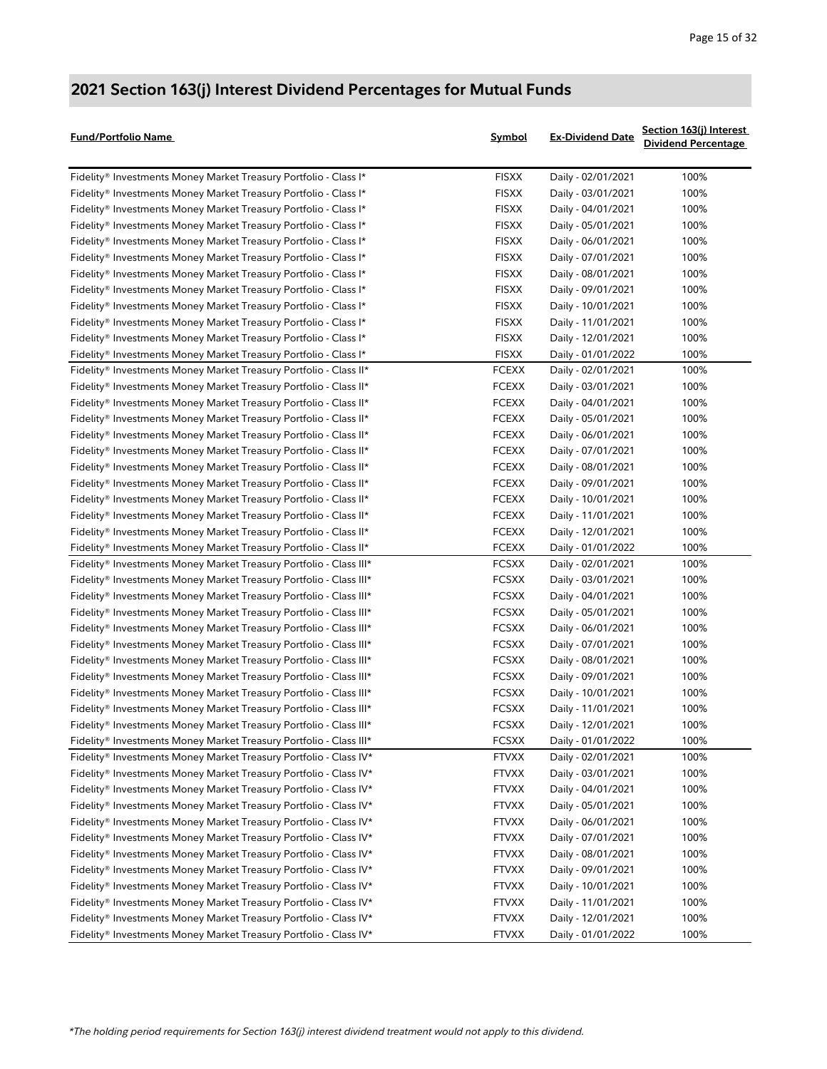| Fund/Portfolio Name                                                | Symbol       | <b>Ex-Dividend Date</b> | Section 163(j) Interest<br><b>Dividend Percentage</b> |
|--------------------------------------------------------------------|--------------|-------------------------|-------------------------------------------------------|
| Fidelity® Investments Money Market Treasury Portfolio - Class I*   | <b>FISXX</b> | Daily - 02/01/2021      | 100%                                                  |
| Fidelity® Investments Money Market Treasury Portfolio - Class I*   | <b>FISXX</b> | Daily - 03/01/2021      | 100%                                                  |
| Fidelity® Investments Money Market Treasury Portfolio - Class I*   | <b>FISXX</b> | Daily - 04/01/2021      | 100%                                                  |
| Fidelity® Investments Money Market Treasury Portfolio - Class I*   | <b>FISXX</b> | Daily - 05/01/2021      | 100%                                                  |
| Fidelity® Investments Money Market Treasury Portfolio - Class I*   | <b>FISXX</b> | Daily - 06/01/2021      | 100%                                                  |
| Fidelity® Investments Money Market Treasury Portfolio - Class I*   | <b>FISXX</b> | Daily - 07/01/2021      | 100%                                                  |
| Fidelity® Investments Money Market Treasury Portfolio - Class I*   | <b>FISXX</b> | Daily - 08/01/2021      | 100%                                                  |
| Fidelity® Investments Money Market Treasury Portfolio - Class I*   | <b>FISXX</b> | Daily - 09/01/2021      | 100%                                                  |
| Fidelity® Investments Money Market Treasury Portfolio - Class I*   | <b>FISXX</b> | Daily - 10/01/2021      | 100%                                                  |
| Fidelity® Investments Money Market Treasury Portfolio - Class I*   | <b>FISXX</b> | Daily - 11/01/2021      | 100%                                                  |
| Fidelity® Investments Money Market Treasury Portfolio - Class I*   | <b>FISXX</b> | Daily - 12/01/2021      | 100%                                                  |
| Fidelity® Investments Money Market Treasury Portfolio - Class I*   | <b>FISXX</b> | Daily - 01/01/2022      | 100%                                                  |
| Fidelity® Investments Money Market Treasury Portfolio - Class II*  | <b>FCEXX</b> | Daily - 02/01/2021      | 100%                                                  |
| Fidelity® Investments Money Market Treasury Portfolio - Class II*  | <b>FCEXX</b> | Daily - 03/01/2021      | 100%                                                  |
| Fidelity® Investments Money Market Treasury Portfolio - Class II*  | <b>FCEXX</b> | Daily - 04/01/2021      | 100%                                                  |
| Fidelity® Investments Money Market Treasury Portfolio - Class II*  | <b>FCEXX</b> | Daily - 05/01/2021      | 100%                                                  |
| Fidelity® Investments Money Market Treasury Portfolio - Class II*  | <b>FCEXX</b> | Daily - 06/01/2021      | 100%                                                  |
| Fidelity® Investments Money Market Treasury Portfolio - Class II*  | <b>FCEXX</b> | Daily - 07/01/2021      | 100%                                                  |
| Fidelity® Investments Money Market Treasury Portfolio - Class II*  | <b>FCEXX</b> | Daily - 08/01/2021      | 100%                                                  |
| Fidelity® Investments Money Market Treasury Portfolio - Class II*  | <b>FCEXX</b> | Daily - 09/01/2021      | 100%                                                  |
| Fidelity® Investments Money Market Treasury Portfolio - Class II*  | <b>FCEXX</b> | Daily - 10/01/2021      | 100%                                                  |
| Fidelity® Investments Money Market Treasury Portfolio - Class II*  | <b>FCEXX</b> | Daily - 11/01/2021      | 100%                                                  |
| Fidelity® Investments Money Market Treasury Portfolio - Class II*  | <b>FCEXX</b> | Daily - 12/01/2021      | 100%                                                  |
| Fidelity® Investments Money Market Treasury Portfolio - Class II*  | <b>FCEXX</b> | Daily - 01/01/2022      | 100%                                                  |
| Fidelity® Investments Money Market Treasury Portfolio - Class III* | <b>FCSXX</b> | Daily - 02/01/2021      | 100%                                                  |
| Fidelity® Investments Money Market Treasury Portfolio - Class III* | <b>FCSXX</b> | Daily - 03/01/2021      | 100%                                                  |
| Fidelity® Investments Money Market Treasury Portfolio - Class III* | <b>FCSXX</b> | Daily - 04/01/2021      | 100%                                                  |
| Fidelity® Investments Money Market Treasury Portfolio - Class III* | <b>FCSXX</b> | Daily - 05/01/2021      | 100%                                                  |
| Fidelity® Investments Money Market Treasury Portfolio - Class III* | <b>FCSXX</b> | Daily - 06/01/2021      | 100%                                                  |
| Fidelity® Investments Money Market Treasury Portfolio - Class III* | <b>FCSXX</b> | Daily - 07/01/2021      | 100%                                                  |
| Fidelity® Investments Money Market Treasury Portfolio - Class III* | <b>FCSXX</b> | Daily - 08/01/2021      | 100%                                                  |
| Fidelity® Investments Money Market Treasury Portfolio - Class III* | <b>FCSXX</b> | Daily - 09/01/2021      | 100%                                                  |
| Fidelity® Investments Money Market Treasury Portfolio - Class III* | <b>FCSXX</b> | Daily - 10/01/2021      | 100%                                                  |
| Fidelity® Investments Money Market Treasury Portfolio - Class III* | <b>FCSXX</b> | Daily - 11/01/2021      | 100%                                                  |
| Fidelity® Investments Money Market Treasury Portfolio - Class III* | FCSXX        | Daily - 12/01/2021      | 100%                                                  |
| Fidelity® Investments Money Market Treasury Portfolio - Class III* | <b>FCSXX</b> | Daily - 01/01/2022      | 100%                                                  |
| Fidelity® Investments Money Market Treasury Portfolio - Class IV*  | <b>FTVXX</b> | Daily - 02/01/2021      | 100%                                                  |
| Fidelity® Investments Money Market Treasury Portfolio - Class IV*  | <b>FTVXX</b> | Daily - 03/01/2021      | 100%                                                  |
| Fidelity® Investments Money Market Treasury Portfolio - Class IV*  | <b>FTVXX</b> | Daily - 04/01/2021      | 100%                                                  |
| Fidelity® Investments Money Market Treasury Portfolio - Class IV*  | <b>FTVXX</b> | Daily - 05/01/2021      | 100%                                                  |
| Fidelity® Investments Money Market Treasury Portfolio - Class IV*  | <b>FTVXX</b> | Daily - 06/01/2021      | 100%                                                  |
| Fidelity® Investments Money Market Treasury Portfolio - Class IV*  | <b>FTVXX</b> | Daily - 07/01/2021      | 100%                                                  |
| Fidelity® Investments Money Market Treasury Portfolio - Class IV*  | <b>FTVXX</b> | Daily - 08/01/2021      | 100%                                                  |
| Fidelity® Investments Money Market Treasury Portfolio - Class IV*  | <b>FTVXX</b> | Daily - 09/01/2021      | 100%                                                  |
| Fidelity® Investments Money Market Treasury Portfolio - Class IV*  | <b>FTVXX</b> | Daily - 10/01/2021      | 100%                                                  |
| Fidelity® Investments Money Market Treasury Portfolio - Class IV*  | <b>FTVXX</b> | Daily - 11/01/2021      | 100%                                                  |
| Fidelity® Investments Money Market Treasury Portfolio - Class IV*  | <b>FTVXX</b> | Daily - 12/01/2021      | 100%                                                  |
| Fidelity® Investments Money Market Treasury Portfolio - Class IV*  | <b>FTVXX</b> | Daily - 01/01/2022      | 100%                                                  |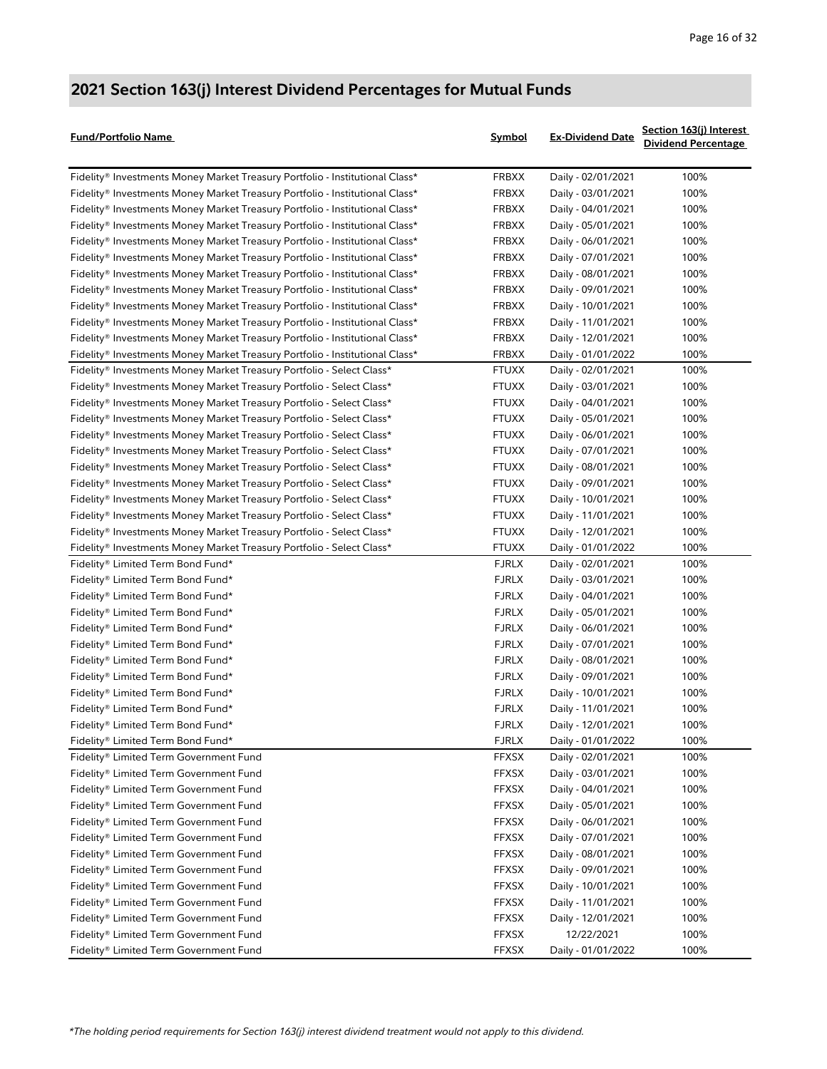| <b>Fund/Portfolio Name</b>                                                   | Symbol       | <b>Ex-Dividend Date</b> | Section 163(j) Interest<br><b>Dividend Percentage</b> |
|------------------------------------------------------------------------------|--------------|-------------------------|-------------------------------------------------------|
| Fidelity® Investments Money Market Treasury Portfolio - Institutional Class* | <b>FRBXX</b> | Daily - 02/01/2021      | 100%                                                  |
| Fidelity® Investments Money Market Treasury Portfolio - Institutional Class* | FRBXX        | Daily - 03/01/2021      | 100%                                                  |
| Fidelity® Investments Money Market Treasury Portfolio - Institutional Class* | <b>FRBXX</b> | Daily - 04/01/2021      | 100%                                                  |
| Fidelity® Investments Money Market Treasury Portfolio - Institutional Class* | <b>FRBXX</b> | Daily - 05/01/2021      | 100%                                                  |
| Fidelity® Investments Money Market Treasury Portfolio - Institutional Class* | FRBXX        | Daily - 06/01/2021      | 100%                                                  |
| Fidelity® Investments Money Market Treasury Portfolio - Institutional Class* | <b>FRBXX</b> | Daily - 07/01/2021      | 100%                                                  |
| Fidelity® Investments Money Market Treasury Portfolio - Institutional Class* | <b>FRBXX</b> | Daily - 08/01/2021      | 100%                                                  |
| Fidelity® Investments Money Market Treasury Portfolio - Institutional Class* | <b>FRBXX</b> | Daily - 09/01/2021      | 100%                                                  |
| Fidelity® Investments Money Market Treasury Portfolio - Institutional Class* | <b>FRBXX</b> | Daily - 10/01/2021      | 100%                                                  |
| Fidelity® Investments Money Market Treasury Portfolio - Institutional Class* | <b>FRBXX</b> | Daily - 11/01/2021      | 100%                                                  |
| Fidelity® Investments Money Market Treasury Portfolio - Institutional Class* | <b>FRBXX</b> | Daily - 12/01/2021      | 100%                                                  |
| Fidelity® Investments Money Market Treasury Portfolio - Institutional Class* | <b>FRBXX</b> | Daily - 01/01/2022      | 100%                                                  |
| Fidelity® Investments Money Market Treasury Portfolio - Select Class*        | <b>FTUXX</b> | Daily - 02/01/2021      | 100%                                                  |
| Fidelity® Investments Money Market Treasury Portfolio - Select Class*        | <b>FTUXX</b> | Daily - 03/01/2021      | 100%                                                  |
| Fidelity® Investments Money Market Treasury Portfolio - Select Class*        | <b>FTUXX</b> | Daily - 04/01/2021      | 100%                                                  |
| Fidelity® Investments Money Market Treasury Portfolio - Select Class*        | <b>FTUXX</b> | Daily - 05/01/2021      | 100%                                                  |
| Fidelity® Investments Money Market Treasury Portfolio - Select Class*        | <b>FTUXX</b> | Daily - 06/01/2021      | 100%                                                  |
| Fidelity® Investments Money Market Treasury Portfolio - Select Class*        | <b>FTUXX</b> | Daily - 07/01/2021      | 100%                                                  |
| Fidelity® Investments Money Market Treasury Portfolio - Select Class*        | <b>FTUXX</b> | Daily - 08/01/2021      | 100%                                                  |
| Fidelity® Investments Money Market Treasury Portfolio - Select Class*        | <b>FTUXX</b> | Daily - 09/01/2021      | 100%                                                  |
| Fidelity® Investments Money Market Treasury Portfolio - Select Class*        | <b>FTUXX</b> | Daily - 10/01/2021      | 100%                                                  |
| Fidelity® Investments Money Market Treasury Portfolio - Select Class*        | <b>FTUXX</b> | Daily - 11/01/2021      | 100%                                                  |
| Fidelity® Investments Money Market Treasury Portfolio - Select Class*        | <b>FTUXX</b> | Daily - 12/01/2021      | 100%                                                  |
| Fidelity® Investments Money Market Treasury Portfolio - Select Class*        | <b>FTUXX</b> | Daily - 01/01/2022      | 100%                                                  |
| Fidelity® Limited Term Bond Fund*                                            | <b>FJRLX</b> | Daily - 02/01/2021      | 100%                                                  |
| Fidelity® Limited Term Bond Fund*                                            | <b>FJRLX</b> | Daily - 03/01/2021      | 100%                                                  |
| Fidelity® Limited Term Bond Fund*                                            | <b>FJRLX</b> | Daily - 04/01/2021      | 100%                                                  |
| Fidelity® Limited Term Bond Fund*                                            | <b>FJRLX</b> | Daily - 05/01/2021      | 100%                                                  |
| Fidelity® Limited Term Bond Fund*                                            | <b>FJRLX</b> | Daily - 06/01/2021      | 100%                                                  |
| Fidelity® Limited Term Bond Fund*                                            | <b>FJRLX</b> | Daily - 07/01/2021      | 100%                                                  |
| Fidelity® Limited Term Bond Fund*                                            | <b>FJRLX</b> | Daily - 08/01/2021      | 100%                                                  |
| Fidelity® Limited Term Bond Fund*                                            | <b>FJRLX</b> | Daily - 09/01/2021      | 100%                                                  |
| Fidelity® Limited Term Bond Fund*                                            | <b>FJRLX</b> | Daily - 10/01/2021      | 100%                                                  |
| Fidelity® Limited Term Bond Fund*                                            | <b>FJRLX</b> | Daily - 11/01/2021      | 100%                                                  |
| Fidelity® Limited Term Bond Fund*                                            | <b>FJRLX</b> | Daily - 12/01/2021      | 100%                                                  |
| Fidelity® Limited Term Bond Fund*                                            | <b>FJRLX</b> | Daily - 01/01/2022      | 100%                                                  |
| Fidelity® Limited Term Government Fund                                       | <b>FFXSX</b> | Daily - 02/01/2021      | 100%                                                  |
| Fidelity® Limited Term Government Fund                                       | <b>FFXSX</b> | Daily - 03/01/2021      | 100%                                                  |
| Fidelity® Limited Term Government Fund                                       | <b>FFXSX</b> | Daily - 04/01/2021      | 100%                                                  |
| Fidelity® Limited Term Government Fund                                       | <b>FFXSX</b> | Daily - 05/01/2021      | 100%                                                  |
| Fidelity® Limited Term Government Fund                                       | <b>FFXSX</b> | Daily - 06/01/2021      | 100%                                                  |
| Fidelity® Limited Term Government Fund                                       | <b>FFXSX</b> | Daily - 07/01/2021      | 100%                                                  |
| Fidelity® Limited Term Government Fund                                       | <b>FFXSX</b> | Daily - 08/01/2021      | 100%                                                  |
| Fidelity® Limited Term Government Fund                                       | <b>FFXSX</b> | Daily - 09/01/2021      | 100%                                                  |
| Fidelity® Limited Term Government Fund                                       | <b>FFXSX</b> | Daily - 10/01/2021      | 100%                                                  |
| Fidelity® Limited Term Government Fund                                       | <b>FFXSX</b> | Daily - 11/01/2021      | 100%                                                  |
| Fidelity® Limited Term Government Fund                                       | <b>FFXSX</b> | Daily - 12/01/2021      | 100%                                                  |
| Fidelity® Limited Term Government Fund                                       | <b>FFXSX</b> | 12/22/2021              | 100%                                                  |
| Fidelity® Limited Term Government Fund                                       | <b>FFXSX</b> | Daily - 01/01/2022      | 100%                                                  |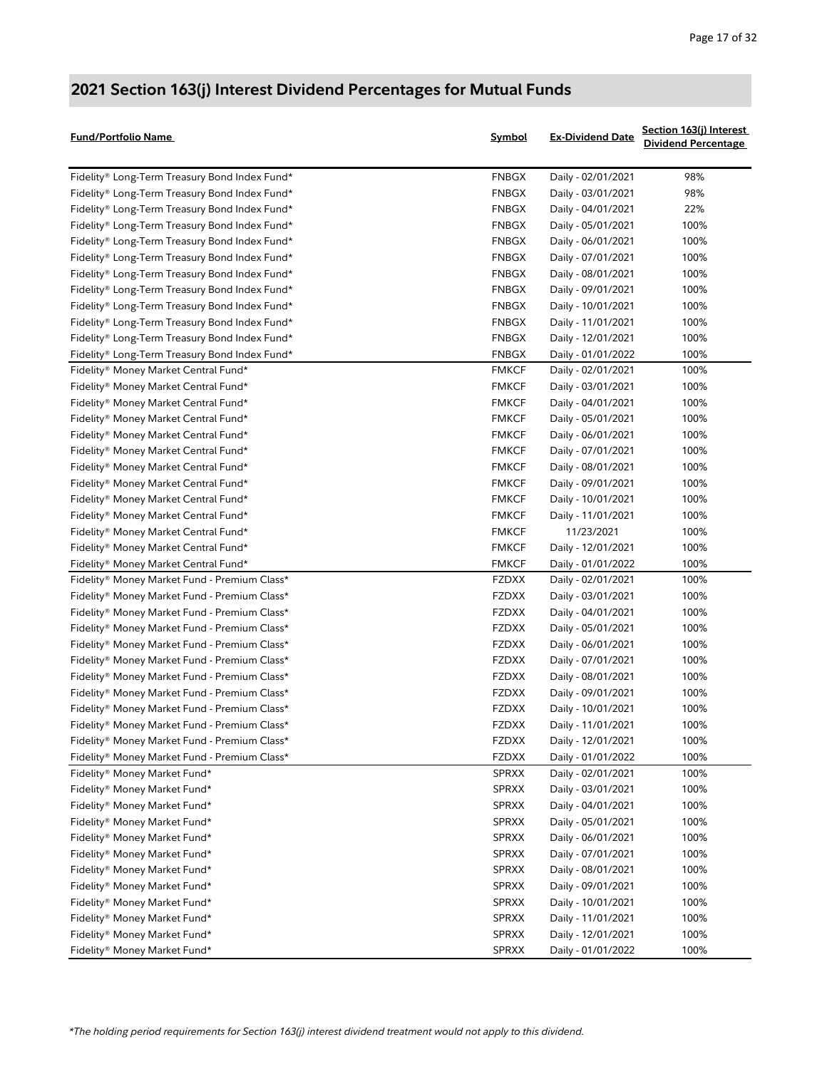| <b>Fund/Portfolio Name</b>                    | <u>Symbol</u> | <b>Ex-Dividend Date</b> | Section 163(j) Interest<br><b>Dividend Percentage</b> |
|-----------------------------------------------|---------------|-------------------------|-------------------------------------------------------|
| Fidelity® Long-Term Treasury Bond Index Fund* | <b>FNBGX</b>  | Daily - 02/01/2021      | 98%                                                   |
| Fidelity® Long-Term Treasury Bond Index Fund* | <b>FNBGX</b>  | Daily - 03/01/2021      | 98%                                                   |
| Fidelity® Long-Term Treasury Bond Index Fund* | <b>FNBGX</b>  | Daily - 04/01/2021      | 22%                                                   |
| Fidelity® Long-Term Treasury Bond Index Fund* | FNBGX         | Daily - 05/01/2021      | 100%                                                  |
| Fidelity® Long-Term Treasury Bond Index Fund* | <b>FNBGX</b>  | Daily - 06/01/2021      | 100%                                                  |
| Fidelity® Long-Term Treasury Bond Index Fund* | <b>FNBGX</b>  | Daily - 07/01/2021      | 100%                                                  |
| Fidelity® Long-Term Treasury Bond Index Fund* | <b>FNBGX</b>  | Daily - 08/01/2021      | 100%                                                  |
| Fidelity® Long-Term Treasury Bond Index Fund* | <b>FNBGX</b>  | Daily - 09/01/2021      | 100%                                                  |
| Fidelity® Long-Term Treasury Bond Index Fund* | <b>FNBGX</b>  | Daily - 10/01/2021      | 100%                                                  |
| Fidelity® Long-Term Treasury Bond Index Fund* | FNBGX         | Daily - 11/01/2021      | 100%                                                  |
| Fidelity® Long-Term Treasury Bond Index Fund* | <b>FNBGX</b>  | Daily - 12/01/2021      | 100%                                                  |
| Fidelity® Long-Term Treasury Bond Index Fund* | <b>FNBGX</b>  | Daily - 01/01/2022      | 100%                                                  |
| Fidelity® Money Market Central Fund*          | <b>FMKCF</b>  | Daily - 02/01/2021      | 100%                                                  |
| Fidelity® Money Market Central Fund*          | <b>FMKCF</b>  | Daily - 03/01/2021      | 100%                                                  |
| Fidelity® Money Market Central Fund*          | <b>FMKCF</b>  | Daily - 04/01/2021      | 100%                                                  |
| Fidelity® Money Market Central Fund*          | <b>FMKCF</b>  | Daily - 05/01/2021      | 100%                                                  |
| Fidelity® Money Market Central Fund*          | <b>FMKCF</b>  | Daily - 06/01/2021      | 100%                                                  |
| Fidelity® Money Market Central Fund*          | <b>FMKCF</b>  | Daily - 07/01/2021      | 100%                                                  |
| Fidelity® Money Market Central Fund*          | <b>FMKCF</b>  | Daily - 08/01/2021      | 100%                                                  |
| Fidelity® Money Market Central Fund*          | <b>FMKCF</b>  | Daily - 09/01/2021      | 100%                                                  |
| Fidelity® Money Market Central Fund*          | <b>FMKCF</b>  | Daily - 10/01/2021      | 100%                                                  |
| Fidelity® Money Market Central Fund*          | <b>FMKCF</b>  | Daily - 11/01/2021      | 100%                                                  |
| Fidelity® Money Market Central Fund*          | <b>FMKCF</b>  | 11/23/2021              | 100%                                                  |
| Fidelity® Money Market Central Fund*          | <b>FMKCF</b>  | Daily - 12/01/2021      | 100%                                                  |
| Fidelity® Money Market Central Fund*          | <b>FMKCF</b>  | Daily - 01/01/2022      | 100%                                                  |
| Fidelity® Money Market Fund - Premium Class*  | <b>FZDXX</b>  | Daily - 02/01/2021      | 100%                                                  |
| Fidelity® Money Market Fund - Premium Class*  | <b>FZDXX</b>  | Daily - 03/01/2021      | 100%                                                  |
| Fidelity® Money Market Fund - Premium Class*  | <b>FZDXX</b>  | Daily - 04/01/2021      | 100%                                                  |
| Fidelity® Money Market Fund - Premium Class*  | <b>FZDXX</b>  | Daily - 05/01/2021      | 100%                                                  |
| Fidelity® Money Market Fund - Premium Class*  | <b>FZDXX</b>  | Daily - 06/01/2021      | 100%                                                  |
| Fidelity® Money Market Fund - Premium Class*  | <b>FZDXX</b>  | Daily - 07/01/2021      | 100%                                                  |
| Fidelity® Money Market Fund - Premium Class*  | <b>FZDXX</b>  | Daily - 08/01/2021      | 100%                                                  |
| Fidelity® Money Market Fund - Premium Class*  | <b>FZDXX</b>  | Daily - 09/01/2021      | 100%                                                  |
| Fidelity® Money Market Fund - Premium Class*  | <b>FZDXX</b>  | Daily - 10/01/2021      | 100%                                                  |
| Fidelity® Money Market Fund - Premium Class*  | <b>FZDXX</b>  | Daily - 11/01/2021      | 100%                                                  |
| Fidelity® Money Market Fund - Premium Class*  | <b>FZDXX</b>  | Daily - 12/01/2021      | 100%                                                  |
| Fidelity® Money Market Fund - Premium Class*  | <b>FZDXX</b>  | Daily - 01/01/2022      | 100%                                                  |
| Fidelity® Money Market Fund*                  | <b>SPRXX</b>  | Daily - 02/01/2021      | 100%                                                  |
| Fidelity® Money Market Fund*                  | <b>SPRXX</b>  | Daily - 03/01/2021      | 100%                                                  |
| Fidelity® Money Market Fund*                  | <b>SPRXX</b>  | Daily - 04/01/2021      | 100%                                                  |
| Fidelity® Money Market Fund*                  | <b>SPRXX</b>  | Daily - 05/01/2021      | 100%                                                  |
| Fidelity® Money Market Fund*                  | <b>SPRXX</b>  | Daily - 06/01/2021      | 100%                                                  |
| Fidelity® Money Market Fund*                  | <b>SPRXX</b>  | Daily - 07/01/2021      | 100%                                                  |
| Fidelity® Money Market Fund*                  | <b>SPRXX</b>  | Daily - 08/01/2021      | 100%                                                  |
| Fidelity® Money Market Fund*                  | <b>SPRXX</b>  | Daily - 09/01/2021      | 100%                                                  |
| Fidelity® Money Market Fund*                  | <b>SPRXX</b>  | Daily - 10/01/2021      | 100%                                                  |
| Fidelity® Money Market Fund*                  | <b>SPRXX</b>  | Daily - 11/01/2021      | 100%                                                  |
| Fidelity® Money Market Fund*                  | <b>SPRXX</b>  | Daily - 12/01/2021      | 100%                                                  |
| Fidelity® Money Market Fund*                  | <b>SPRXX</b>  | Daily - 01/01/2022      | 100%                                                  |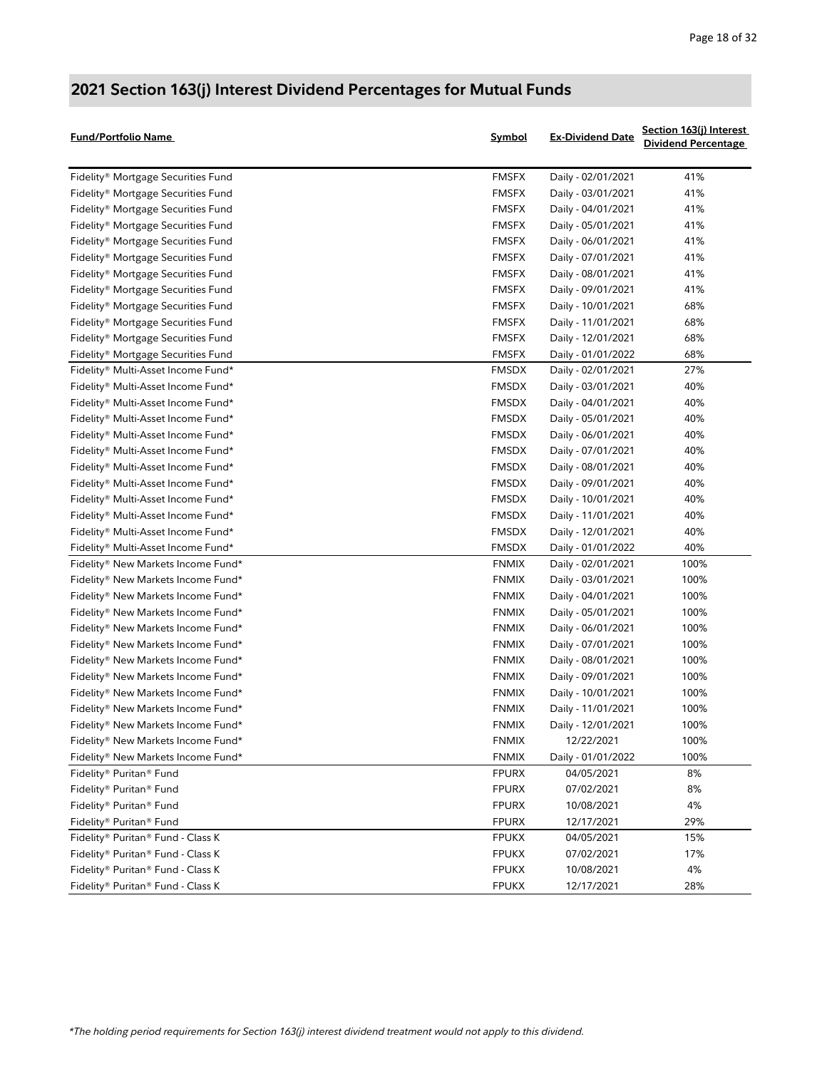| <b>Fund/Portfolio Name</b>         | <b>Symbol</b> | <b>Ex-Dividend Date</b> | <u>Section 163(j) Interest</u><br><b>Dividend Percentage</b> |
|------------------------------------|---------------|-------------------------|--------------------------------------------------------------|
| Fidelity® Mortgage Securities Fund | <b>FMSFX</b>  | Daily - 02/01/2021      | 41%                                                          |
| Fidelity® Mortgage Securities Fund | <b>FMSFX</b>  | Daily - 03/01/2021      | 41%                                                          |
| Fidelity® Mortgage Securities Fund | <b>FMSFX</b>  | Daily - 04/01/2021      | 41%                                                          |
| Fidelity® Mortgage Securities Fund | <b>FMSFX</b>  | Daily - 05/01/2021      | 41%                                                          |
| Fidelity® Mortgage Securities Fund | <b>FMSFX</b>  | Daily - 06/01/2021      | 41%                                                          |
| Fidelity® Mortgage Securities Fund | <b>FMSFX</b>  | Daily - 07/01/2021      | 41%                                                          |
| Fidelity® Mortgage Securities Fund | <b>FMSFX</b>  | Daily - 08/01/2021      | 41%                                                          |
| Fidelity® Mortgage Securities Fund | <b>FMSFX</b>  | Daily - 09/01/2021      | 41%                                                          |
| Fidelity® Mortgage Securities Fund | <b>FMSFX</b>  | Daily - 10/01/2021      | 68%                                                          |
| Fidelity® Mortgage Securities Fund | <b>FMSFX</b>  | Daily - 11/01/2021      | 68%                                                          |
| Fidelity® Mortgage Securities Fund | <b>FMSFX</b>  | Daily - 12/01/2021      | 68%                                                          |
| Fidelity® Mortgage Securities Fund | <b>FMSFX</b>  | Daily - 01/01/2022      | 68%                                                          |
| Fidelity® Multi-Asset Income Fund* | <b>FMSDX</b>  | Daily - 02/01/2021      | 27%                                                          |
| Fidelity® Multi-Asset Income Fund* | <b>FMSDX</b>  | Daily - 03/01/2021      | 40%                                                          |
| Fidelity® Multi-Asset Income Fund* | <b>FMSDX</b>  | Daily - 04/01/2021      | 40%                                                          |
| Fidelity® Multi-Asset Income Fund* | <b>FMSDX</b>  | Daily - 05/01/2021      | 40%                                                          |
| Fidelity® Multi-Asset Income Fund* | <b>FMSDX</b>  | Daily - 06/01/2021      | 40%                                                          |
| Fidelity® Multi-Asset Income Fund* | <b>FMSDX</b>  | Daily - 07/01/2021      | 40%                                                          |
| Fidelity® Multi-Asset Income Fund* | <b>FMSDX</b>  | Daily - 08/01/2021      | 40%                                                          |
| Fidelity® Multi-Asset Income Fund* | <b>FMSDX</b>  | Daily - 09/01/2021      | 40%                                                          |
| Fidelity® Multi-Asset Income Fund* | <b>FMSDX</b>  | Daily - 10/01/2021      | 40%                                                          |
| Fidelity® Multi-Asset Income Fund* | <b>FMSDX</b>  | Daily - 11/01/2021      | 40%                                                          |
| Fidelity® Multi-Asset Income Fund* | <b>FMSDX</b>  | Daily - 12/01/2021      | 40%                                                          |
| Fidelity® Multi-Asset Income Fund* | <b>FMSDX</b>  | Daily - 01/01/2022      | 40%                                                          |
| Fidelity® New Markets Income Fund* | <b>FNMIX</b>  | Daily - 02/01/2021      | 100%                                                         |
| Fidelity® New Markets Income Fund* | <b>FNMIX</b>  | Daily - 03/01/2021      | 100%                                                         |
| Fidelity® New Markets Income Fund* | <b>FNMIX</b>  | Daily - 04/01/2021      | 100%                                                         |
| Fidelity® New Markets Income Fund* | <b>FNMIX</b>  | Daily - 05/01/2021      | 100%                                                         |
| Fidelity® New Markets Income Fund* | <b>FNMIX</b>  | Daily - 06/01/2021      | 100%                                                         |
| Fidelity® New Markets Income Fund* | <b>FNMIX</b>  | Daily - 07/01/2021      | 100%                                                         |
| Fidelity® New Markets Income Fund* | <b>FNMIX</b>  | Daily - 08/01/2021      | 100%                                                         |
| Fidelity® New Markets Income Fund* | <b>FNMIX</b>  | Daily - 09/01/2021      | 100%                                                         |
| Fidelity® New Markets Income Fund* | <b>FNMIX</b>  | Daily - 10/01/2021      | 100%                                                         |
| Fidelity® New Markets Income Fund* | <b>FNMIX</b>  | Daily - 11/01/2021      | 100%                                                         |
| Fidelity® New Markets Income Fund* | <b>FNMIX</b>  | Daily - 12/01/2021      | 100%                                                         |
| Fidelity® New Markets Income Fund* | FNMIX         | 12/22/2021              | 100%                                                         |
| Fidelity® New Markets Income Fund* | <b>FNMIX</b>  | Daily - 01/01/2022      | 100%                                                         |
| Fidelity® Puritan® Fund            | <b>FPURX</b>  | 04/05/2021              | 8%                                                           |
| Fidelity® Puritan® Fund            | <b>FPURX</b>  | 07/02/2021              | 8%                                                           |
| Fidelity® Puritan® Fund            | <b>FPURX</b>  | 10/08/2021              | 4%                                                           |
| Fidelity® Puritan® Fund            | <b>FPURX</b>  | 12/17/2021              | 29%                                                          |
| Fidelity® Puritan® Fund - Class K  | <b>FPUKX</b>  | 04/05/2021              | 15%                                                          |
| Fidelity® Puritan® Fund - Class K  | <b>FPUKX</b>  | 07/02/2021              | 17%                                                          |
| Fidelity® Puritan® Fund - Class K  | <b>FPUKX</b>  | 10/08/2021              | 4%                                                           |
| Fidelity® Puritan® Fund - Class K  | <b>FPUKX</b>  | 12/17/2021              | 28%                                                          |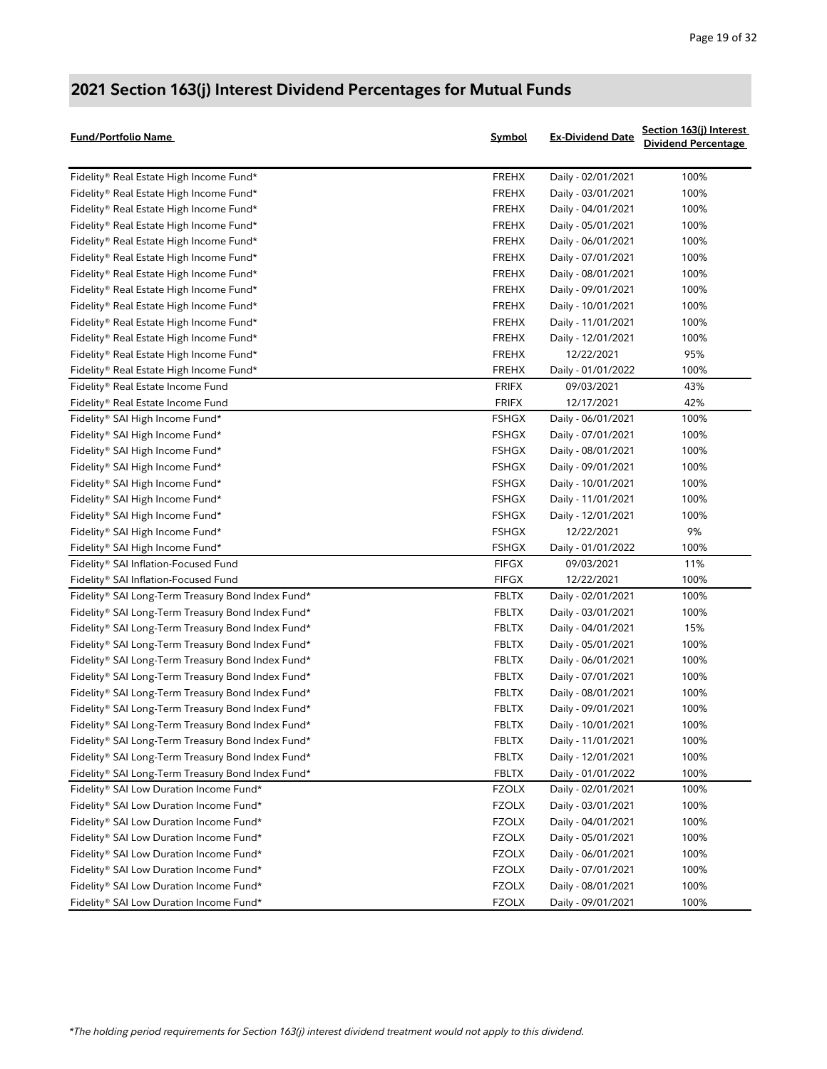| <b>Fund/Portfolio Name</b>                        | Symbol       | <b>Ex-Dividend Date</b> | <u>Section 163(j) Interest</u><br><b>Dividend Percentage</b> |
|---------------------------------------------------|--------------|-------------------------|--------------------------------------------------------------|
| Fidelity® Real Estate High Income Fund*           | <b>FREHX</b> | Daily - 02/01/2021      | 100%                                                         |
| Fidelity® Real Estate High Income Fund*           | <b>FREHX</b> | Daily - 03/01/2021      | 100%                                                         |
| Fidelity® Real Estate High Income Fund*           | <b>FREHX</b> | Daily - 04/01/2021      | 100%                                                         |
| Fidelity® Real Estate High Income Fund*           | <b>FREHX</b> | Daily - 05/01/2021      | 100%                                                         |
| Fidelity® Real Estate High Income Fund*           | <b>FREHX</b> | Daily - 06/01/2021      | 100%                                                         |
| Fidelity® Real Estate High Income Fund*           | <b>FREHX</b> | Daily - 07/01/2021      | 100%                                                         |
| Fidelity® Real Estate High Income Fund*           | <b>FREHX</b> | Daily - 08/01/2021      | 100%                                                         |
| Fidelity® Real Estate High Income Fund*           | <b>FREHX</b> | Daily - 09/01/2021      | 100%                                                         |
| Fidelity® Real Estate High Income Fund*           | <b>FREHX</b> | Daily - 10/01/2021      | 100%                                                         |
| Fidelity® Real Estate High Income Fund*           | <b>FREHX</b> | Daily - 11/01/2021      | 100%                                                         |
| Fidelity® Real Estate High Income Fund*           | <b>FREHX</b> | Daily - 12/01/2021      | 100%                                                         |
| Fidelity® Real Estate High Income Fund*           | <b>FREHX</b> | 12/22/2021              | 95%                                                          |
| Fidelity® Real Estate High Income Fund*           | <b>FREHX</b> | Daily - 01/01/2022      | 100%                                                         |
| Fidelity® Real Estate Income Fund                 | <b>FRIFX</b> | 09/03/2021              | 43%                                                          |
| Fidelity® Real Estate Income Fund                 | <b>FRIFX</b> | 12/17/2021              | 42%                                                          |
| Fidelity® SAI High Income Fund*                   | <b>FSHGX</b> | Daily - 06/01/2021      | 100%                                                         |
| Fidelity® SAI High Income Fund*                   | <b>FSHGX</b> | Daily - 07/01/2021      | 100%                                                         |
| Fidelity® SAI High Income Fund*                   | <b>FSHGX</b> | Daily - 08/01/2021      | 100%                                                         |
| Fidelity® SAI High Income Fund*                   | <b>FSHGX</b> | Daily - 09/01/2021      | 100%                                                         |
| Fidelity® SAI High Income Fund*                   | <b>FSHGX</b> | Daily - 10/01/2021      | 100%                                                         |
| Fidelity® SAI High Income Fund*                   | <b>FSHGX</b> | Daily - 11/01/2021      | 100%                                                         |
| Fidelity® SAI High Income Fund*                   | <b>FSHGX</b> | Daily - 12/01/2021      | 100%                                                         |
| Fidelity® SAI High Income Fund*                   | <b>FSHGX</b> | 12/22/2021              | 9%                                                           |
| Fidelity® SAI High Income Fund*                   | <b>FSHGX</b> | Daily - 01/01/2022      | 100%                                                         |
| Fidelity® SAI Inflation-Focused Fund              | <b>FIFGX</b> | 09/03/2021              | 11%                                                          |
| Fidelity® SAI Inflation-Focused Fund              | <b>FIFGX</b> | 12/22/2021              | 100%                                                         |
| Fidelity® SAI Long-Term Treasury Bond Index Fund* | <b>FBLTX</b> | Daily - 02/01/2021      | 100%                                                         |
| Fidelity® SAI Long-Term Treasury Bond Index Fund* | <b>FBLTX</b> | Daily - 03/01/2021      | 100%                                                         |
| Fidelity® SAI Long-Term Treasury Bond Index Fund* | <b>FBLTX</b> | Daily - 04/01/2021      | 15%                                                          |
| Fidelity® SAI Long-Term Treasury Bond Index Fund* | <b>FBLTX</b> | Daily - 05/01/2021      | 100%                                                         |
| Fidelity® SAI Long-Term Treasury Bond Index Fund* | <b>FBLTX</b> | Daily - 06/01/2021      | 100%                                                         |
| Fidelity® SAI Long-Term Treasury Bond Index Fund* | <b>FBLTX</b> | Daily - 07/01/2021      | 100%                                                         |
| Fidelity® SAI Long-Term Treasury Bond Index Fund* | <b>FBLTX</b> | Daily - 08/01/2021      | 100%                                                         |
| Fidelity® SAI Long-Term Treasury Bond Index Fund* | <b>FBLTX</b> | Daily - 09/01/2021      | 100%                                                         |
| Fidelity® SAI Long-Term Treasury Bond Index Fund* | FBLTX        | Daily - 10/01/2021      | 100%                                                         |
| Fidelity® SAI Long-Term Treasury Bond Index Fund* | FBLTX        | Daily - 11/01/2021      | 100%                                                         |
| Fidelity® SAI Long-Term Treasury Bond Index Fund* | <b>FBLTX</b> | Daily - 12/01/2021      | 100%                                                         |
| Fidelity® SAI Long-Term Treasury Bond Index Fund* | <b>FBLTX</b> | Daily - 01/01/2022      | 100%                                                         |
| Fidelity® SAI Low Duration Income Fund*           | <b>FZOLX</b> | Daily - 02/01/2021      | 100%                                                         |
| Fidelity® SAI Low Duration Income Fund*           | <b>FZOLX</b> | Daily - 03/01/2021      | 100%                                                         |
| Fidelity® SAI Low Duration Income Fund*           | <b>FZOLX</b> | Daily - 04/01/2021      | 100%                                                         |
| Fidelity® SAI Low Duration Income Fund*           | <b>FZOLX</b> | Daily - 05/01/2021      | 100%                                                         |
| Fidelity® SAI Low Duration Income Fund*           | FZOLX        | Daily - 06/01/2021      | 100%                                                         |
| Fidelity® SAI Low Duration Income Fund*           | <b>FZOLX</b> | Daily - 07/01/2021      | 100%                                                         |
| Fidelity® SAI Low Duration Income Fund*           | <b>FZOLX</b> | Daily - 08/01/2021      | 100%                                                         |
| Fidelity® SAI Low Duration Income Fund*           | <b>FZOLX</b> | Daily - 09/01/2021      | 100%                                                         |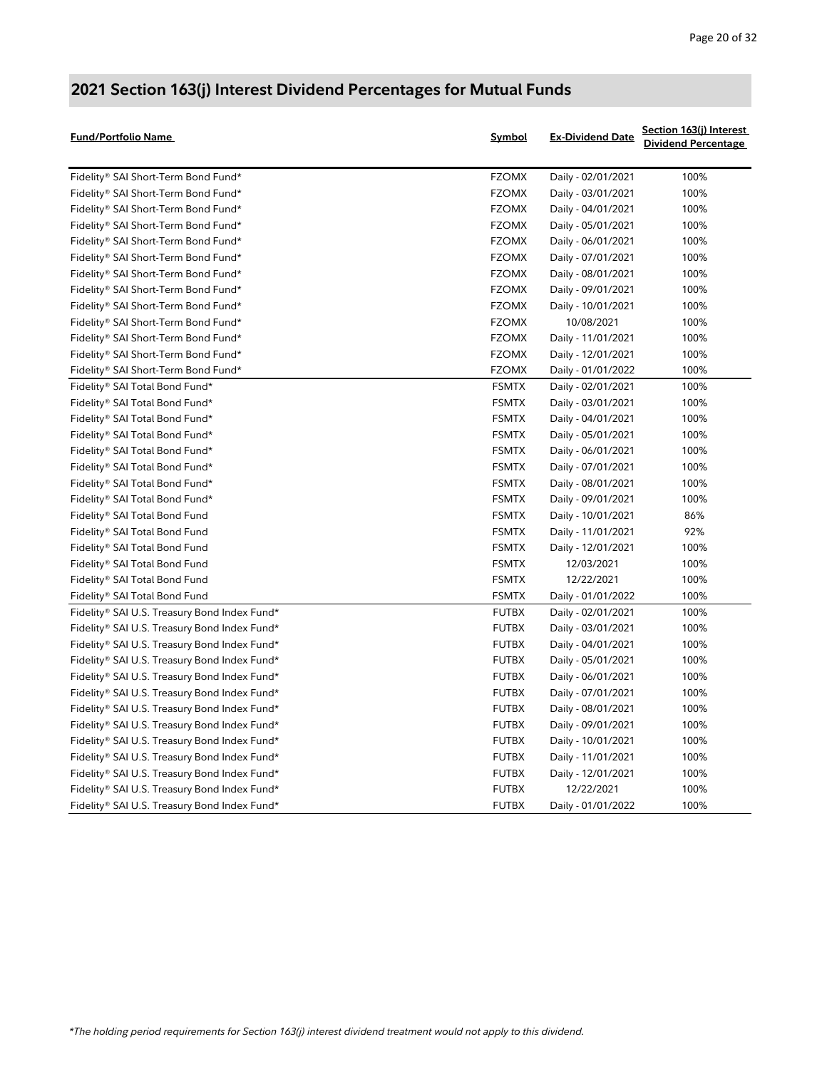| <b>Fund/Portfolio Name</b>                   | Symbol       | <b>Ex-Dividend Date</b> | Section 163(j) Interest<br><b>Dividend Percentage</b> |
|----------------------------------------------|--------------|-------------------------|-------------------------------------------------------|
| Fidelity® SAI Short-Term Bond Fund*          | <b>FZOMX</b> | Daily - 02/01/2021      | 100%                                                  |
| Fidelity® SAI Short-Term Bond Fund*          | <b>FZOMX</b> | Daily - 03/01/2021      | 100%                                                  |
| Fidelity® SAI Short-Term Bond Fund*          | <b>FZOMX</b> | Daily - 04/01/2021      | 100%                                                  |
| Fidelity® SAI Short-Term Bond Fund*          | <b>FZOMX</b> | Daily - 05/01/2021      | 100%                                                  |
| Fidelity® SAI Short-Term Bond Fund*          | <b>FZOMX</b> | Daily - 06/01/2021      | 100%                                                  |
| Fidelity® SAI Short-Term Bond Fund*          | <b>FZOMX</b> | Daily - 07/01/2021      | 100%                                                  |
| Fidelity® SAI Short-Term Bond Fund*          | <b>FZOMX</b> | Daily - 08/01/2021      | 100%                                                  |
| Fidelity® SAI Short-Term Bond Fund*          | <b>FZOMX</b> | Daily - 09/01/2021      | 100%                                                  |
| Fidelity® SAI Short-Term Bond Fund*          | <b>FZOMX</b> | Daily - 10/01/2021      | 100%                                                  |
| Fidelity® SAI Short-Term Bond Fund*          | <b>FZOMX</b> | 10/08/2021              | 100%                                                  |
| Fidelity® SAI Short-Term Bond Fund*          | <b>FZOMX</b> | Daily - 11/01/2021      | 100%                                                  |
| Fidelity® SAI Short-Term Bond Fund*          | <b>FZOMX</b> | Daily - 12/01/2021      | 100%                                                  |
| Fidelity® SAI Short-Term Bond Fund*          | <b>FZOMX</b> | Daily - 01/01/2022      | 100%                                                  |
| Fidelity® SAI Total Bond Fund*               | <b>FSMTX</b> | Daily - 02/01/2021      | 100%                                                  |
| Fidelity® SAI Total Bond Fund*               | <b>FSMTX</b> | Daily - 03/01/2021      | 100%                                                  |
| Fidelity® SAI Total Bond Fund*               | <b>FSMTX</b> | Daily - 04/01/2021      | 100%                                                  |
| Fidelity® SAI Total Bond Fund*               | <b>FSMTX</b> | Daily - 05/01/2021      | 100%                                                  |
| Fidelity® SAI Total Bond Fund*               | <b>FSMTX</b> | Daily - 06/01/2021      | 100%                                                  |
| Fidelity® SAI Total Bond Fund*               | <b>FSMTX</b> | Daily - 07/01/2021      | 100%                                                  |
| Fidelity® SAI Total Bond Fund*               | <b>FSMTX</b> | Daily - 08/01/2021      | 100%                                                  |
| Fidelity® SAI Total Bond Fund*               | <b>FSMTX</b> | Daily - 09/01/2021      | 100%                                                  |
| Fidelity® SAI Total Bond Fund                | <b>FSMTX</b> | Daily - 10/01/2021      | 86%                                                   |
| Fidelity® SAI Total Bond Fund                | <b>FSMTX</b> | Daily - 11/01/2021      | 92%                                                   |
| Fidelity® SAI Total Bond Fund                | <b>FSMTX</b> | Daily - 12/01/2021      | 100%                                                  |
| Fidelity® SAI Total Bond Fund                | <b>FSMTX</b> | 12/03/2021              | 100%                                                  |
| Fidelity® SAI Total Bond Fund                | <b>FSMTX</b> | 12/22/2021              | 100%                                                  |
| Fidelity® SAI Total Bond Fund                | <b>FSMTX</b> | Daily - 01/01/2022      | 100%                                                  |
| Fidelity® SAI U.S. Treasury Bond Index Fund* | <b>FUTBX</b> | Daily - 02/01/2021      | 100%                                                  |
| Fidelity® SAI U.S. Treasury Bond Index Fund* | <b>FUTBX</b> | Daily - 03/01/2021      | 100%                                                  |
| Fidelity® SAI U.S. Treasury Bond Index Fund* | <b>FUTBX</b> | Daily - 04/01/2021      | 100%                                                  |
| Fidelity® SAI U.S. Treasury Bond Index Fund* | <b>FUTBX</b> | Daily - 05/01/2021      | 100%                                                  |
| Fidelity® SAI U.S. Treasury Bond Index Fund* | <b>FUTBX</b> | Daily - 06/01/2021      | 100%                                                  |
| Fidelity® SAI U.S. Treasury Bond Index Fund* | <b>FUTBX</b> | Daily - 07/01/2021      | 100%                                                  |
| Fidelity® SAI U.S. Treasury Bond Index Fund* | <b>FUTBX</b> | Daily - 08/01/2021      | 100%                                                  |
| Fidelity® SAI U.S. Treasury Bond Index Fund* | <b>FUTBX</b> | Daily - 09/01/2021      | 100%                                                  |
| Fidelity® SAI U.S. Treasury Bond Index Fund* | <b>FUTBX</b> | Daily - 10/01/2021      | 100%                                                  |
| Fidelity® SAI U.S. Treasury Bond Index Fund* | <b>FUTBX</b> | Daily - 11/01/2021      | 100%                                                  |
| Fidelity® SAI U.S. Treasury Bond Index Fund* | <b>FUTBX</b> | Daily - 12/01/2021      | 100%                                                  |
| Fidelity® SAI U.S. Treasury Bond Index Fund* | <b>FUTBX</b> | 12/22/2021              | 100%                                                  |
| Fidelity® SAI U.S. Treasury Bond Index Fund* | <b>FUTBX</b> | Daily - 01/01/2022      | 100%                                                  |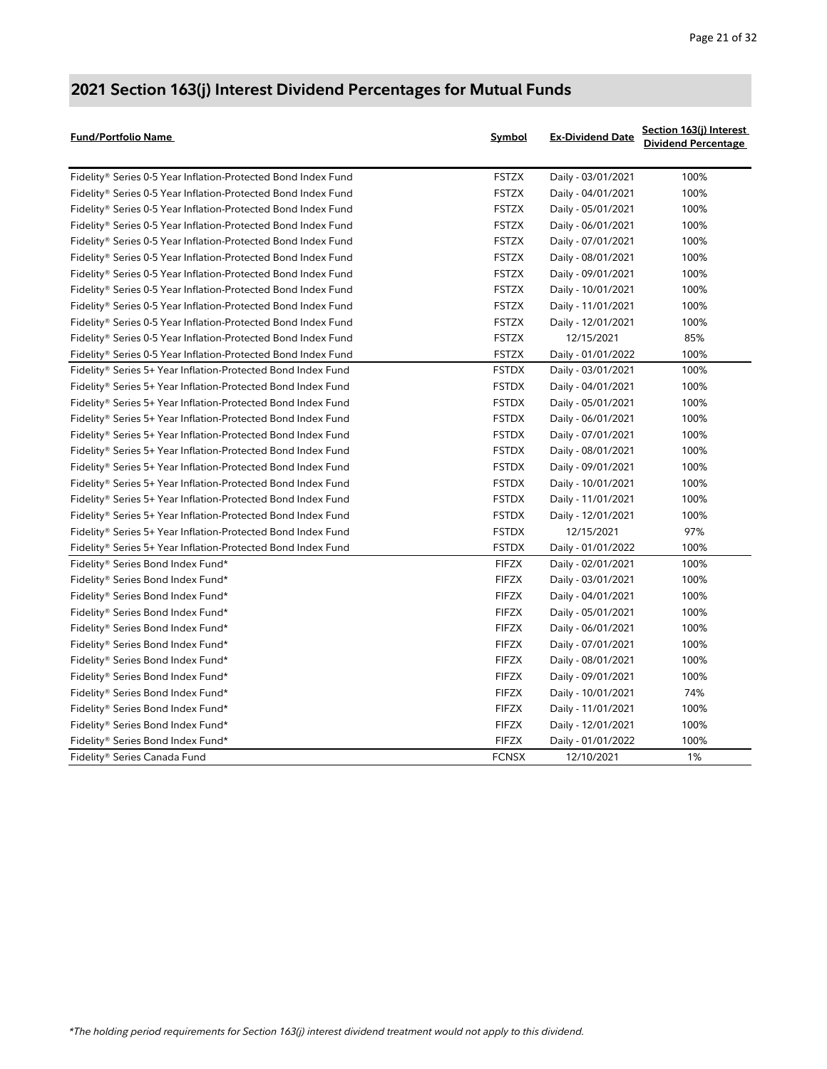| Fund/Portfolio Name                                           | Symbol       | <b>Ex-Dividend Date</b> | Section 163(j) Interest<br><b>Dividend Percentage</b> |
|---------------------------------------------------------------|--------------|-------------------------|-------------------------------------------------------|
| Fidelity® Series 0-5 Year Inflation-Protected Bond Index Fund | <b>FSTZX</b> | Daily - 03/01/2021      | 100%                                                  |
| Fidelity® Series 0-5 Year Inflation-Protected Bond Index Fund | <b>FSTZX</b> | Daily - 04/01/2021      | 100%                                                  |
| Fidelity® Series 0-5 Year Inflation-Protected Bond Index Fund | <b>FSTZX</b> | Daily - 05/01/2021      | 100%                                                  |
| Fidelity® Series 0-5 Year Inflation-Protected Bond Index Fund | <b>FSTZX</b> | Daily - 06/01/2021      | 100%                                                  |
| Fidelity® Series 0-5 Year Inflation-Protected Bond Index Fund | <b>FSTZX</b> | Daily - 07/01/2021      | 100%                                                  |
| Fidelity® Series 0-5 Year Inflation-Protected Bond Index Fund | <b>FSTZX</b> | Daily - 08/01/2021      | 100%                                                  |
| Fidelity® Series 0-5 Year Inflation-Protected Bond Index Fund | <b>FSTZX</b> | Daily - 09/01/2021      | 100%                                                  |
| Fidelity® Series 0-5 Year Inflation-Protected Bond Index Fund | <b>FSTZX</b> | Daily - 10/01/2021      | 100%                                                  |
| Fidelity® Series 0-5 Year Inflation-Protected Bond Index Fund | <b>FSTZX</b> | Daily - 11/01/2021      | 100%                                                  |
| Fidelity® Series 0-5 Year Inflation-Protected Bond Index Fund | <b>FSTZX</b> | Daily - 12/01/2021      | 100%                                                  |
| Fidelity® Series 0-5 Year Inflation-Protected Bond Index Fund | <b>FSTZX</b> | 12/15/2021              | 85%                                                   |
| Fidelity® Series 0-5 Year Inflation-Protected Bond Index Fund | <b>FSTZX</b> | Daily - 01/01/2022      | 100%                                                  |
| Fidelity® Series 5+ Year Inflation-Protected Bond Index Fund  | <b>FSTDX</b> | Daily - 03/01/2021      | 100%                                                  |
| Fidelity® Series 5+ Year Inflation-Protected Bond Index Fund  | <b>FSTDX</b> | Daily - 04/01/2021      | 100%                                                  |
| Fidelity® Series 5+ Year Inflation-Protected Bond Index Fund  | <b>FSTDX</b> | Daily - 05/01/2021      | 100%                                                  |
| Fidelity® Series 5+ Year Inflation-Protected Bond Index Fund  | <b>FSTDX</b> | Daily - 06/01/2021      | 100%                                                  |
| Fidelity® Series 5+ Year Inflation-Protected Bond Index Fund  | <b>FSTDX</b> | Daily - 07/01/2021      | 100%                                                  |
| Fidelity® Series 5+ Year Inflation-Protected Bond Index Fund  | <b>FSTDX</b> | Daily - 08/01/2021      | 100%                                                  |
| Fidelity® Series 5+ Year Inflation-Protected Bond Index Fund  | <b>FSTDX</b> | Daily - 09/01/2021      | 100%                                                  |
| Fidelity® Series 5+ Year Inflation-Protected Bond Index Fund  | <b>FSTDX</b> | Daily - 10/01/2021      | 100%                                                  |
| Fidelity® Series 5+ Year Inflation-Protected Bond Index Fund  | <b>FSTDX</b> | Daily - 11/01/2021      | 100%                                                  |
| Fidelity® Series 5+ Year Inflation-Protected Bond Index Fund  | <b>FSTDX</b> | Daily - 12/01/2021      | 100%                                                  |
| Fidelity® Series 5+ Year Inflation-Protected Bond Index Fund  | <b>FSTDX</b> | 12/15/2021              | 97%                                                   |
| Fidelity® Series 5+ Year Inflation-Protected Bond Index Fund  | <b>FSTDX</b> | Daily - 01/01/2022      | 100%                                                  |
| Fidelity® Series Bond Index Fund*                             | <b>FIFZX</b> | Daily - 02/01/2021      | 100%                                                  |
| Fidelity® Series Bond Index Fund*                             | <b>FIFZX</b> | Daily - 03/01/2021      | 100%                                                  |
| Fidelity® Series Bond Index Fund*                             | <b>FIFZX</b> | Daily - 04/01/2021      | 100%                                                  |
| Fidelity® Series Bond Index Fund*                             | <b>FIFZX</b> | Daily - 05/01/2021      | 100%                                                  |
| Fidelity® Series Bond Index Fund*                             | <b>FIFZX</b> | Daily - 06/01/2021      | 100%                                                  |
| Fidelity® Series Bond Index Fund*                             | <b>FIFZX</b> | Daily - 07/01/2021      | 100%                                                  |
| Fidelity® Series Bond Index Fund*                             | <b>FIFZX</b> | Daily - 08/01/2021      | 100%                                                  |
| Fidelity® Series Bond Index Fund*                             | <b>FIFZX</b> | Daily - 09/01/2021      | 100%                                                  |
| Fidelity® Series Bond Index Fund*                             | <b>FIFZX</b> | Daily - 10/01/2021      | 74%                                                   |
| Fidelity® Series Bond Index Fund*                             | <b>FIFZX</b> | Daily - 11/01/2021      | 100%                                                  |
| Fidelity® Series Bond Index Fund*                             | <b>FIFZX</b> | Daily - 12/01/2021      | 100%                                                  |
| Fidelity® Series Bond Index Fund*                             | <b>FIFZX</b> | Daily - 01/01/2022      | 100%                                                  |
| Fidelity® Series Canada Fund                                  | <b>FCNSX</b> | 12/10/2021              | 1%                                                    |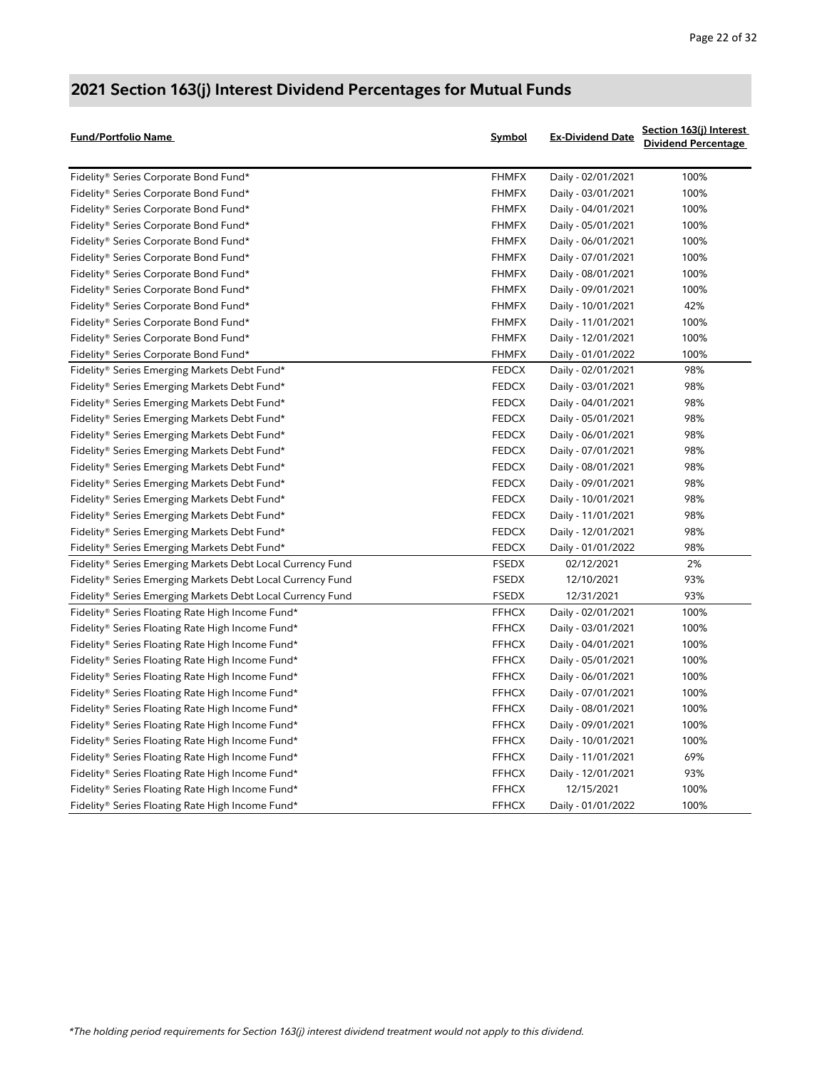| Fund/Portfolio Name                                        | Symbol       | <b>Ex-Dividend Date</b> | Section 163(j) Interest<br><b>Dividend Percentage</b> |
|------------------------------------------------------------|--------------|-------------------------|-------------------------------------------------------|
| Fidelity® Series Corporate Bond Fund*                      | <b>FHMFX</b> | Daily - 02/01/2021      | 100%                                                  |
| Fidelity® Series Corporate Bond Fund*                      | <b>FHMFX</b> | Daily - 03/01/2021      | 100%                                                  |
| Fidelity® Series Corporate Bond Fund*                      | <b>FHMFX</b> | Daily - 04/01/2021      | 100%                                                  |
| Fidelity <sup>®</sup> Series Corporate Bond Fund*          | <b>FHMFX</b> | Daily - 05/01/2021      | 100%                                                  |
| Fidelity <sup>®</sup> Series Corporate Bond Fund*          | <b>FHMFX</b> | Daily - 06/01/2021      | 100%                                                  |
| Fidelity® Series Corporate Bond Fund*                      | <b>FHMFX</b> | Daily - 07/01/2021      | 100%                                                  |
| Fidelity® Series Corporate Bond Fund*                      | <b>FHMFX</b> | Daily - 08/01/2021      | 100%                                                  |
| Fidelity® Series Corporate Bond Fund*                      | <b>FHMFX</b> | Daily - 09/01/2021      | 100%                                                  |
| Fidelity® Series Corporate Bond Fund*                      | <b>FHMFX</b> | Daily - 10/01/2021      | 42%                                                   |
| Fidelity <sup>®</sup> Series Corporate Bond Fund*          | <b>FHMFX</b> | Daily - 11/01/2021      | 100%                                                  |
| Fidelity® Series Corporate Bond Fund*                      | <b>FHMFX</b> | Daily - 12/01/2021      | 100%                                                  |
| Fidelity® Series Corporate Bond Fund*                      | <b>FHMFX</b> | Daily - 01/01/2022      | 100%                                                  |
| Fidelity® Series Emerging Markets Debt Fund*               | <b>FEDCX</b> | Daily - 02/01/2021      | 98%                                                   |
| Fidelity® Series Emerging Markets Debt Fund*               | <b>FEDCX</b> | Daily - 03/01/2021      | 98%                                                   |
| Fidelity® Series Emerging Markets Debt Fund*               | <b>FEDCX</b> | Daily - 04/01/2021      | 98%                                                   |
| Fidelity® Series Emerging Markets Debt Fund*               | <b>FEDCX</b> | Daily - 05/01/2021      | 98%                                                   |
| Fidelity® Series Emerging Markets Debt Fund*               | <b>FEDCX</b> | Daily - 06/01/2021      | 98%                                                   |
| Fidelity® Series Emerging Markets Debt Fund*               | <b>FEDCX</b> | Daily - 07/01/2021      | 98%                                                   |
| Fidelity® Series Emerging Markets Debt Fund*               | <b>FEDCX</b> | Daily - 08/01/2021      | 98%                                                   |
| Fidelity® Series Emerging Markets Debt Fund*               | <b>FEDCX</b> | Daily - 09/01/2021      | 98%                                                   |
| Fidelity® Series Emerging Markets Debt Fund*               | <b>FEDCX</b> | Daily - 10/01/2021      | 98%                                                   |
| Fidelity® Series Emerging Markets Debt Fund*               | <b>FEDCX</b> | Daily - 11/01/2021      | 98%                                                   |
| Fidelity® Series Emerging Markets Debt Fund*               | <b>FEDCX</b> | Daily - 12/01/2021      | 98%                                                   |
| Fidelity® Series Emerging Markets Debt Fund*               | <b>FEDCX</b> | Daily - 01/01/2022      | 98%                                                   |
| Fidelity® Series Emerging Markets Debt Local Currency Fund | <b>FSEDX</b> | 02/12/2021              | 2%                                                    |
| Fidelity® Series Emerging Markets Debt Local Currency Fund | <b>FSEDX</b> | 12/10/2021              | 93%                                                   |
| Fidelity® Series Emerging Markets Debt Local Currency Fund | <b>FSEDX</b> | 12/31/2021              | 93%                                                   |
| Fidelity® Series Floating Rate High Income Fund*           | <b>FFHCX</b> | Daily - 02/01/2021      | 100%                                                  |
| Fidelity® Series Floating Rate High Income Fund*           | <b>FFHCX</b> | Daily - 03/01/2021      | 100%                                                  |
| Fidelity® Series Floating Rate High Income Fund*           | <b>FFHCX</b> | Daily - 04/01/2021      | 100%                                                  |
| Fidelity® Series Floating Rate High Income Fund*           | <b>FFHCX</b> | Daily - 05/01/2021      | 100%                                                  |
| Fidelity® Series Floating Rate High Income Fund*           | <b>FFHCX</b> | Daily - 06/01/2021      | 100%                                                  |
| Fidelity® Series Floating Rate High Income Fund*           | <b>FFHCX</b> | Daily - 07/01/2021      | 100%                                                  |
| Fidelity® Series Floating Rate High Income Fund*           | <b>FFHCX</b> | Daily - 08/01/2021      | 100%                                                  |
| Fidelity® Series Floating Rate High Income Fund*           | <b>FFHCX</b> | Daily - 09/01/2021      | 100%                                                  |
| Fidelity® Series Floating Rate High Income Fund*           | <b>FFHCX</b> | Daily - 10/01/2021      | 100%                                                  |
| Fidelity® Series Floating Rate High Income Fund*           | <b>FFHCX</b> | Daily - 11/01/2021      | 69%                                                   |
| Fidelity® Series Floating Rate High Income Fund*           | <b>FFHCX</b> | Daily - 12/01/2021      | 93%                                                   |
| Fidelity® Series Floating Rate High Income Fund*           | <b>FFHCX</b> | 12/15/2021              | 100%                                                  |
| Fidelity® Series Floating Rate High Income Fund*           | <b>FFHCX</b> | Daily - 01/01/2022      | 100%                                                  |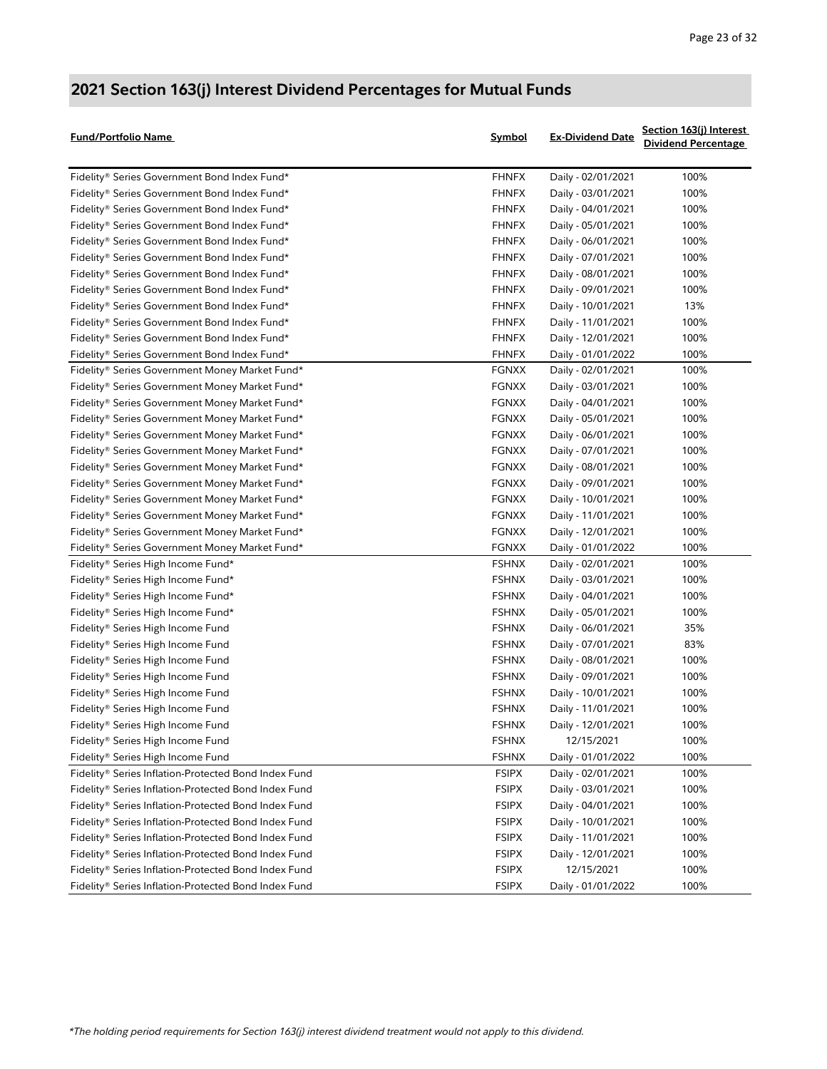| <b>Fund/Portfolio Name</b>                                       | Symbol       | <b>Ex-Dividend Date</b> | Section 163(j) Interest<br><b>Dividend Percentage</b> |
|------------------------------------------------------------------|--------------|-------------------------|-------------------------------------------------------|
| Fidelity® Series Government Bond Index Fund*                     | <b>FHNFX</b> | Daily - 02/01/2021      | 100%                                                  |
| Fidelity® Series Government Bond Index Fund*                     | <b>FHNFX</b> | Daily - 03/01/2021      | 100%                                                  |
| Fidelity® Series Government Bond Index Fund*                     | <b>FHNFX</b> | Daily - 04/01/2021      | 100%                                                  |
| Fidelity® Series Government Bond Index Fund*                     | <b>FHNFX</b> | Daily - 05/01/2021      | 100%                                                  |
| Fidelity® Series Government Bond Index Fund*                     | <b>FHNFX</b> | Daily - 06/01/2021      | 100%                                                  |
| Fidelity® Series Government Bond Index Fund*                     | <b>FHNFX</b> | Daily - 07/01/2021      | 100%                                                  |
| Fidelity® Series Government Bond Index Fund*                     | <b>FHNFX</b> | Daily - 08/01/2021      | 100%                                                  |
| Fidelity® Series Government Bond Index Fund*                     | <b>FHNFX</b> | Daily - 09/01/2021      | 100%                                                  |
| Fidelity® Series Government Bond Index Fund*                     | <b>FHNFX</b> | Daily - 10/01/2021      | 13%                                                   |
| Fidelity® Series Government Bond Index Fund*                     | <b>FHNFX</b> | Daily - 11/01/2021      | 100%                                                  |
| Fidelity® Series Government Bond Index Fund*                     | <b>FHNFX</b> | Daily - 12/01/2021      | 100%                                                  |
| Fidelity® Series Government Bond Index Fund*                     | <b>FHNFX</b> | Daily - 01/01/2022      | 100%                                                  |
| Fidelity® Series Government Money Market Fund*                   | <b>FGNXX</b> | Daily - 02/01/2021      | 100%                                                  |
| Fidelity® Series Government Money Market Fund*                   | <b>FGNXX</b> | Daily - 03/01/2021      | 100%                                                  |
| Fidelity® Series Government Money Market Fund*                   | <b>FGNXX</b> | Daily - 04/01/2021      | 100%                                                  |
| Fidelity® Series Government Money Market Fund*                   | <b>FGNXX</b> | Daily - 05/01/2021      | 100%                                                  |
| Fidelity® Series Government Money Market Fund*                   | <b>FGNXX</b> | Daily - 06/01/2021      | 100%                                                  |
| Fidelity® Series Government Money Market Fund*                   | <b>FGNXX</b> | Daily - 07/01/2021      | 100%                                                  |
| Fidelity® Series Government Money Market Fund*                   | <b>FGNXX</b> | Daily - 08/01/2021      | 100%                                                  |
| Fidelity® Series Government Money Market Fund*                   | <b>FGNXX</b> | Daily - 09/01/2021      | 100%                                                  |
| Fidelity® Series Government Money Market Fund*                   | <b>FGNXX</b> | Daily - 10/01/2021      | 100%                                                  |
| Fidelity® Series Government Money Market Fund*                   | <b>FGNXX</b> | Daily - 11/01/2021      | 100%                                                  |
| Fidelity® Series Government Money Market Fund*                   | <b>FGNXX</b> | Daily - 12/01/2021      | 100%                                                  |
| Fidelity® Series Government Money Market Fund*                   | FGNXX        | Daily - 01/01/2022      | 100%                                                  |
| Fidelity® Series High Income Fund*                               | <b>FSHNX</b> | Daily - 02/01/2021      | 100%                                                  |
| Fidelity® Series High Income Fund*                               | <b>FSHNX</b> | Daily - 03/01/2021      | 100%                                                  |
| Fidelity® Series High Income Fund*                               | <b>FSHNX</b> | Daily - 04/01/2021      | 100%                                                  |
| Fidelity® Series High Income Fund*                               | <b>FSHNX</b> | Daily - 05/01/2021      | 100%                                                  |
| Fidelity® Series High Income Fund                                | <b>FSHNX</b> | Daily - 06/01/2021      | 35%                                                   |
| Fidelity® Series High Income Fund                                | <b>FSHNX</b> | Daily - 07/01/2021      | 83%                                                   |
| Fidelity® Series High Income Fund                                | <b>FSHNX</b> | Daily - 08/01/2021      | 100%                                                  |
| Fidelity® Series High Income Fund                                | <b>FSHNX</b> | Daily - 09/01/2021      | 100%                                                  |
| Fidelity® Series High Income Fund                                | <b>FSHNX</b> | Daily - 10/01/2021      | 100%                                                  |
| Fidelity® Series High Income Fund                                | <b>FSHNX</b> | Daily - 11/01/2021      | 100%                                                  |
| Fidelity® Series High Income Fund                                | <b>FSHNX</b> | Daily - 12/01/2021      | 100%                                                  |
| Fidelity® Series High Income Fund                                | <b>FSHNX</b> | 12/15/2021              | 100%                                                  |
| Fidelity® Series High Income Fund                                | <b>FSHNX</b> | Daily - 01/01/2022      | 100%                                                  |
| Fidelity® Series Inflation-Protected Bond Index Fund             | <b>FSIPX</b> | Daily - 02/01/2021      | 100%                                                  |
| Fidelity® Series Inflation-Protected Bond Index Fund             | <b>FSIPX</b> | Daily - 03/01/2021      | 100%                                                  |
| Fidelity <sup>®</sup> Series Inflation-Protected Bond Index Fund | <b>FSIPX</b> | Daily - 04/01/2021      | 100%                                                  |
| Fidelity® Series Inflation-Protected Bond Index Fund             | <b>FSIPX</b> | Daily - 10/01/2021      | 100%                                                  |
| Fidelity® Series Inflation-Protected Bond Index Fund             | <b>FSIPX</b> | Daily - 11/01/2021      | 100%                                                  |
| Fidelity® Series Inflation-Protected Bond Index Fund             | <b>FSIPX</b> | Daily - 12/01/2021      | 100%                                                  |
| Fidelity® Series Inflation-Protected Bond Index Fund             | <b>FSIPX</b> | 12/15/2021              | 100%                                                  |
| Fidelity® Series Inflation-Protected Bond Index Fund             | <b>FSIPX</b> | Daily - 01/01/2022      | 100%                                                  |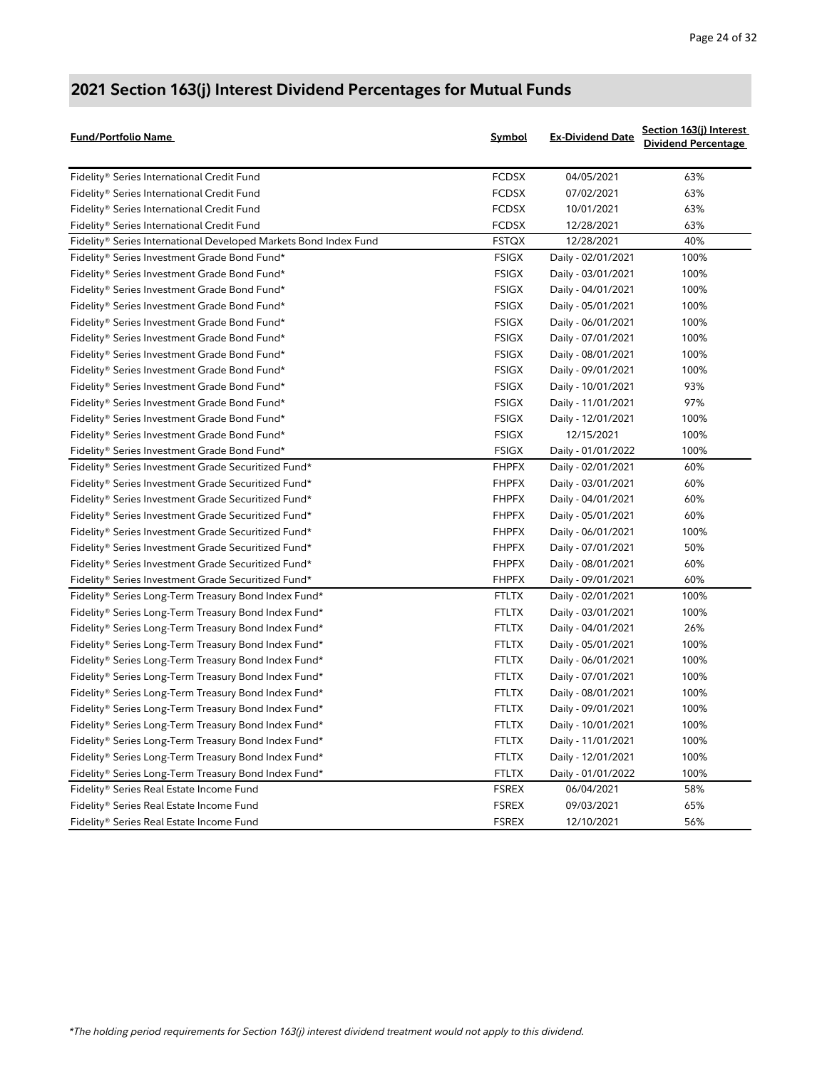| <b>Fund/Portfolio Name</b>                                       | Symbol       | <b>Ex-Dividend Date</b> | Section 163(j) Interest<br><b>Dividend Percentage</b> |
|------------------------------------------------------------------|--------------|-------------------------|-------------------------------------------------------|
| Fidelity® Series International Credit Fund                       | <b>FCDSX</b> | 04/05/2021              | 63%                                                   |
| Fidelity <sup>®</sup> Series International Credit Fund           | <b>FCDSX</b> | 07/02/2021              | 63%                                                   |
| Fidelity® Series International Credit Fund                       | <b>FCDSX</b> | 10/01/2021              | 63%                                                   |
| Fidelity® Series International Credit Fund                       | <b>FCDSX</b> | 12/28/2021              | 63%                                                   |
| Fidelity® Series International Developed Markets Bond Index Fund | <b>FSTQX</b> | 12/28/2021              | 40%                                                   |
| Fidelity® Series Investment Grade Bond Fund*                     | FSIGX        | Daily - 02/01/2021      | 100%                                                  |
| Fidelity® Series Investment Grade Bond Fund*                     | <b>FSIGX</b> | Daily - 03/01/2021      | 100%                                                  |
| Fidelity® Series Investment Grade Bond Fund*                     | <b>FSIGX</b> | Daily - 04/01/2021      | 100%                                                  |
| Fidelity® Series Investment Grade Bond Fund*                     | FSIGX        | Daily - 05/01/2021      | 100%                                                  |
| Fidelity® Series Investment Grade Bond Fund*                     | FSIGX        | Daily - 06/01/2021      | 100%                                                  |
| Fidelity® Series Investment Grade Bond Fund*                     | FSIGX        | Daily - 07/01/2021      | 100%                                                  |
| Fidelity® Series Investment Grade Bond Fund*                     | FSIGX        | Daily - 08/01/2021      | 100%                                                  |
| Fidelity® Series Investment Grade Bond Fund*                     | <b>FSIGX</b> | Daily - 09/01/2021      | 100%                                                  |
| Fidelity® Series Investment Grade Bond Fund*                     | <b>FSIGX</b> | Daily - 10/01/2021      | 93%                                                   |
| Fidelity® Series Investment Grade Bond Fund*                     | <b>FSIGX</b> | Daily - 11/01/2021      | 97%                                                   |
| Fidelity® Series Investment Grade Bond Fund*                     | <b>FSIGX</b> | Daily - 12/01/2021      | 100%                                                  |
| Fidelity® Series Investment Grade Bond Fund*                     | <b>FSIGX</b> | 12/15/2021              | 100%                                                  |
| Fidelity® Series Investment Grade Bond Fund*                     | FSIGX        | Daily - 01/01/2022      | 100%                                                  |
| Fidelity® Series Investment Grade Securitized Fund*              | <b>FHPFX</b> | Daily - 02/01/2021      | 60%                                                   |
| Fidelity® Series Investment Grade Securitized Fund*              | <b>FHPFX</b> | Daily - 03/01/2021      | 60%                                                   |
| Fidelity® Series Investment Grade Securitized Fund*              | <b>FHPFX</b> | Daily - 04/01/2021      | 60%                                                   |
| Fidelity® Series Investment Grade Securitized Fund*              | <b>FHPFX</b> | Daily - 05/01/2021      | 60%                                                   |
| Fidelity® Series Investment Grade Securitized Fund*              | <b>FHPFX</b> | Daily - 06/01/2021      | 100%                                                  |
| Fidelity® Series Investment Grade Securitized Fund*              | <b>FHPFX</b> | Daily - 07/01/2021      | 50%                                                   |
| Fidelity® Series Investment Grade Securitized Fund*              | <b>FHPFX</b> | Daily - 08/01/2021      | 60%                                                   |
| Fidelity® Series Investment Grade Securitized Fund*              | <b>FHPFX</b> | Daily - 09/01/2021      | 60%                                                   |
| Fidelity® Series Long-Term Treasury Bond Index Fund*             | <b>FTLTX</b> | Daily - 02/01/2021      | 100%                                                  |
| Fidelity® Series Long-Term Treasury Bond Index Fund*             | <b>FTLTX</b> | Daily - 03/01/2021      | 100%                                                  |
| Fidelity® Series Long-Term Treasury Bond Index Fund*             | FTLTX        | Daily - 04/01/2021      | 26%                                                   |
| Fidelity® Series Long-Term Treasury Bond Index Fund*             | FTLTX        | Daily - 05/01/2021      | 100%                                                  |
| Fidelity® Series Long-Term Treasury Bond Index Fund*             | FTLTX        | Daily - 06/01/2021      | 100%                                                  |
| Fidelity® Series Long-Term Treasury Bond Index Fund*             | FTLTX        | Daily - 07/01/2021      | 100%                                                  |
| Fidelity® Series Long-Term Treasury Bond Index Fund*             | FTLTX        | Daily - 08/01/2021      | 100%                                                  |
| Fidelity® Series Long-Term Treasury Bond Index Fund*             | <b>FTLTX</b> | Daily - 09/01/2021      | 100%                                                  |
| Fidelity® Series Long-Term Treasury Bond Index Fund*             | <b>FTLTX</b> | Daily - 10/01/2021      | 100%                                                  |
| Fidelity® Series Long-Term Treasury Bond Index Fund*             | <b>FTLTX</b> | Daily - 11/01/2021      | 100%                                                  |
| Fidelity® Series Long-Term Treasury Bond Index Fund*             | <b>FTLTX</b> | Daily - 12/01/2021      | 100%                                                  |
| Fidelity® Series Long-Term Treasury Bond Index Fund*             | <b>FTLTX</b> | Daily - 01/01/2022      | 100%                                                  |
| Fidelity® Series Real Estate Income Fund                         | <b>FSREX</b> | 06/04/2021              | 58%                                                   |
| Fidelity® Series Real Estate Income Fund                         | <b>FSREX</b> | 09/03/2021              | 65%                                                   |
| Fidelity® Series Real Estate Income Fund                         | <b>FSREX</b> | 12/10/2021              | 56%                                                   |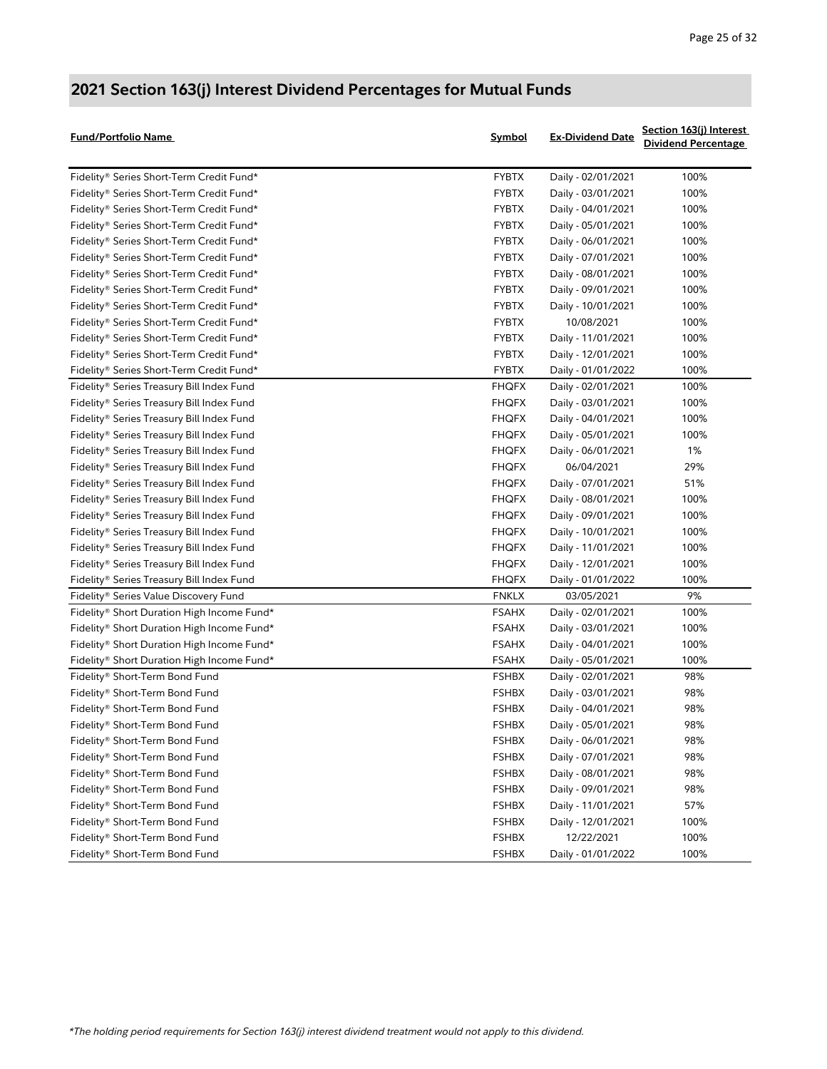| <b>Fund/Portfolio Name</b>                 | Symbol       | <b>Ex-Dividend Date</b> | Section 163(j) Interest<br><b>Dividend Percentage</b> |
|--------------------------------------------|--------------|-------------------------|-------------------------------------------------------|
| Fidelity® Series Short-Term Credit Fund*   | <b>FYBTX</b> | Daily - 02/01/2021      | 100%                                                  |
| Fidelity® Series Short-Term Credit Fund*   | <b>FYBTX</b> | Daily - 03/01/2021      | 100%                                                  |
| Fidelity® Series Short-Term Credit Fund*   | <b>FYBTX</b> | Daily - 04/01/2021      | 100%                                                  |
| Fidelity® Series Short-Term Credit Fund*   | <b>FYBTX</b> | Daily - 05/01/2021      | 100%                                                  |
| Fidelity® Series Short-Term Credit Fund*   | <b>FYBTX</b> | Daily - 06/01/2021      | 100%                                                  |
| Fidelity® Series Short-Term Credit Fund*   | <b>FYBTX</b> | Daily - 07/01/2021      | 100%                                                  |
| Fidelity® Series Short-Term Credit Fund*   | <b>FYBTX</b> | Daily - 08/01/2021      | 100%                                                  |
| Fidelity® Series Short-Term Credit Fund*   | <b>FYBTX</b> | Daily - 09/01/2021      | 100%                                                  |
| Fidelity® Series Short-Term Credit Fund*   | <b>FYBTX</b> | Daily - 10/01/2021      | 100%                                                  |
| Fidelity® Series Short-Term Credit Fund*   | <b>FYBTX</b> | 10/08/2021              | 100%                                                  |
| Fidelity® Series Short-Term Credit Fund*   | <b>FYBTX</b> | Daily - 11/01/2021      | 100%                                                  |
| Fidelity® Series Short-Term Credit Fund*   | <b>FYBTX</b> | Daily - 12/01/2021      | 100%                                                  |
| Fidelity® Series Short-Term Credit Fund*   | <b>FYBTX</b> | Daily - 01/01/2022      | 100%                                                  |
| Fidelity® Series Treasury Bill Index Fund  | <b>FHQFX</b> | Daily - 02/01/2021      | 100%                                                  |
| Fidelity® Series Treasury Bill Index Fund  | <b>FHQFX</b> | Daily - 03/01/2021      | 100%                                                  |
| Fidelity® Series Treasury Bill Index Fund  | <b>FHQFX</b> | Daily - 04/01/2021      | 100%                                                  |
| Fidelity® Series Treasury Bill Index Fund  | <b>FHQFX</b> | Daily - 05/01/2021      | 100%                                                  |
| Fidelity® Series Treasury Bill Index Fund  | <b>FHQFX</b> | Daily - 06/01/2021      | 1%                                                    |
| Fidelity® Series Treasury Bill Index Fund  | <b>FHQFX</b> | 06/04/2021              | 29%                                                   |
| Fidelity® Series Treasury Bill Index Fund  | <b>FHQFX</b> | Daily - 07/01/2021      | 51%                                                   |
| Fidelity® Series Treasury Bill Index Fund  | <b>FHQFX</b> | Daily - 08/01/2021      | 100%                                                  |
| Fidelity® Series Treasury Bill Index Fund  | <b>FHQFX</b> | Daily - 09/01/2021      | 100%                                                  |
| Fidelity® Series Treasury Bill Index Fund  | <b>FHQFX</b> | Daily - 10/01/2021      | 100%                                                  |
| Fidelity® Series Treasury Bill Index Fund  | <b>FHQFX</b> | Daily - 11/01/2021      | 100%                                                  |
| Fidelity® Series Treasury Bill Index Fund  | <b>FHQFX</b> | Daily - 12/01/2021      | 100%                                                  |
| Fidelity® Series Treasury Bill Index Fund  | <b>FHQFX</b> | Daily - 01/01/2022      | 100%                                                  |
| Fidelity® Series Value Discovery Fund      | <b>FNKLX</b> | 03/05/2021              | 9%                                                    |
| Fidelity® Short Duration High Income Fund* | <b>FSAHX</b> | Daily - 02/01/2021      | 100%                                                  |
| Fidelity® Short Duration High Income Fund* | <b>FSAHX</b> | Daily - 03/01/2021      | 100%                                                  |
| Fidelity® Short Duration High Income Fund* | <b>FSAHX</b> | Daily - 04/01/2021      | 100%                                                  |
| Fidelity® Short Duration High Income Fund* | <b>FSAHX</b> | Daily - 05/01/2021      | 100%                                                  |
| Fidelity® Short-Term Bond Fund             | <b>FSHBX</b> | Daily - 02/01/2021      | 98%                                                   |
| Fidelity® Short-Term Bond Fund             | <b>FSHBX</b> | Daily - 03/01/2021      | 98%                                                   |
| Fidelity® Short-Term Bond Fund             | <b>FSHBX</b> | Daily - 04/01/2021      | 98%                                                   |
| Fidelity® Short-Term Bond Fund             | <b>FSHBX</b> | Daily - 05/01/2021      | 98%                                                   |
| Fidelity® Short-Term Bond Fund             | FSHBX        | Daily - 06/01/2021      | 98%                                                   |
| Fidelity® Short-Term Bond Fund             | <b>FSHBX</b> | Daily - 07/01/2021      | 98%                                                   |
| Fidelity® Short-Term Bond Fund             | <b>FSHBX</b> | Daily - 08/01/2021      | 98%                                                   |
| Fidelity® Short-Term Bond Fund             | <b>FSHBX</b> | Daily - 09/01/2021      | 98%                                                   |
| Fidelity® Short-Term Bond Fund             | <b>FSHBX</b> | Daily - 11/01/2021      | 57%                                                   |
| Fidelity® Short-Term Bond Fund             | <b>FSHBX</b> | Daily - 12/01/2021      | 100%                                                  |
| Fidelity® Short-Term Bond Fund             | <b>FSHBX</b> | 12/22/2021              | 100%                                                  |
| Fidelity® Short-Term Bond Fund             | <b>FSHBX</b> | Daily - 01/01/2022      | 100%                                                  |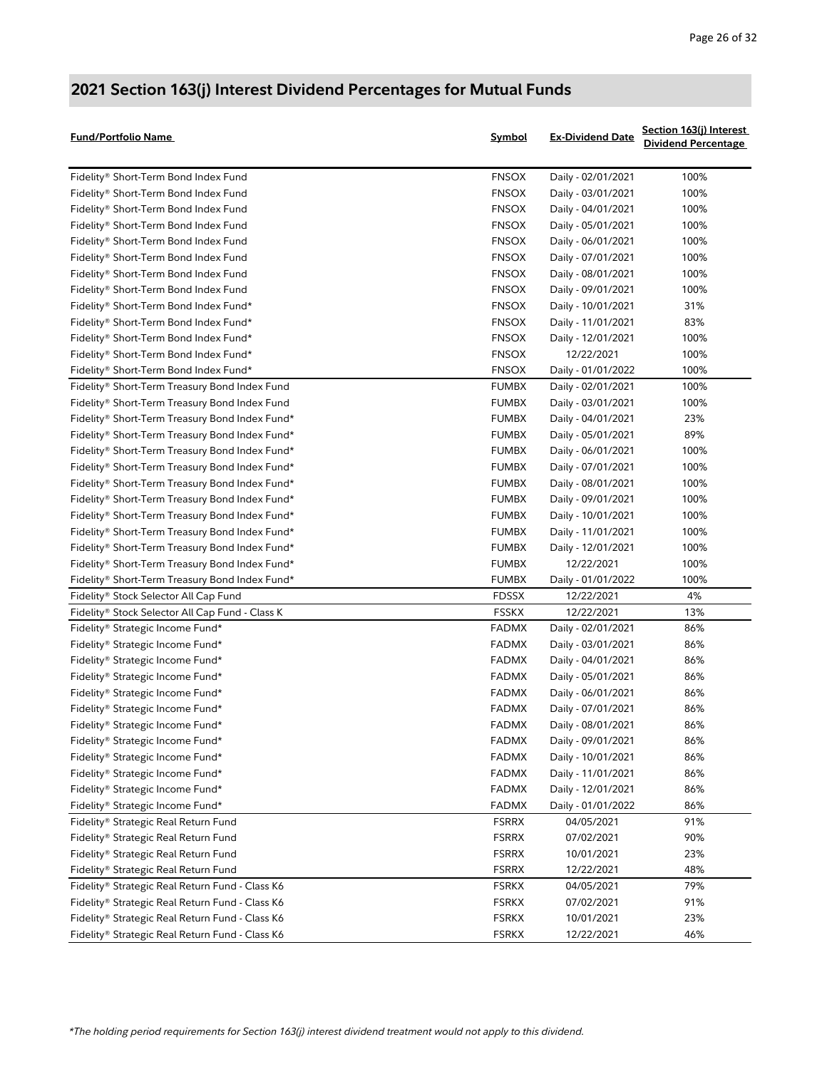| Fund/Portfolio Name                             | <b>Symbol</b> | <b>Ex-Dividend Date</b> | Section 163(j) Interest<br><b>Dividend Percentage</b> |
|-------------------------------------------------|---------------|-------------------------|-------------------------------------------------------|
| Fidelity® Short-Term Bond Index Fund            | <b>FNSOX</b>  | Daily - 02/01/2021      | 100%                                                  |
| Fidelity® Short-Term Bond Index Fund            | <b>FNSOX</b>  | Daily - 03/01/2021      | 100%                                                  |
| Fidelity® Short-Term Bond Index Fund            | <b>FNSOX</b>  | Daily - 04/01/2021      | 100%                                                  |
| Fidelity® Short-Term Bond Index Fund            | <b>FNSOX</b>  | Daily - 05/01/2021      | 100%                                                  |
| Fidelity® Short-Term Bond Index Fund            | <b>FNSOX</b>  | Daily - 06/01/2021      | 100%                                                  |
| Fidelity® Short-Term Bond Index Fund            | <b>FNSOX</b>  | Daily - 07/01/2021      | 100%                                                  |
| Fidelity® Short-Term Bond Index Fund            | <b>FNSOX</b>  | Daily - 08/01/2021      | 100%                                                  |
| Fidelity® Short-Term Bond Index Fund            | <b>FNSOX</b>  | Daily - 09/01/2021      | 100%                                                  |
| Fidelity® Short-Term Bond Index Fund*           | <b>FNSOX</b>  | Daily - 10/01/2021      | 31%                                                   |
| Fidelity® Short-Term Bond Index Fund*           | <b>FNSOX</b>  | Daily - 11/01/2021      | 83%                                                   |
| Fidelity® Short-Term Bond Index Fund*           | <b>FNSOX</b>  | Daily - 12/01/2021      | 100%                                                  |
| Fidelity® Short-Term Bond Index Fund*           | <b>FNSOX</b>  | 12/22/2021              | 100%                                                  |
| Fidelity® Short-Term Bond Index Fund*           | <b>FNSOX</b>  | Daily - 01/01/2022      | 100%                                                  |
| Fidelity® Short-Term Treasury Bond Index Fund   | <b>FUMBX</b>  | Daily - 02/01/2021      | 100%                                                  |
| Fidelity® Short-Term Treasury Bond Index Fund   | <b>FUMBX</b>  | Daily - 03/01/2021      | 100%                                                  |
| Fidelity® Short-Term Treasury Bond Index Fund*  | <b>FUMBX</b>  | Daily - 04/01/2021      | 23%                                                   |
| Fidelity® Short-Term Treasury Bond Index Fund*  | <b>FUMBX</b>  | Daily - 05/01/2021      | 89%                                                   |
| Fidelity® Short-Term Treasury Bond Index Fund*  | <b>FUMBX</b>  | Daily - 06/01/2021      | 100%                                                  |
| Fidelity® Short-Term Treasury Bond Index Fund*  | <b>FUMBX</b>  | Daily - 07/01/2021      | 100%                                                  |
| Fidelity® Short-Term Treasury Bond Index Fund*  | <b>FUMBX</b>  | Daily - 08/01/2021      | 100%                                                  |
| Fidelity® Short-Term Treasury Bond Index Fund*  | <b>FUMBX</b>  | Daily - 09/01/2021      | 100%                                                  |
| Fidelity® Short-Term Treasury Bond Index Fund*  | <b>FUMBX</b>  | Daily - 10/01/2021      | 100%                                                  |
| Fidelity® Short-Term Treasury Bond Index Fund*  | <b>FUMBX</b>  | Daily - 11/01/2021      | 100%                                                  |
| Fidelity® Short-Term Treasury Bond Index Fund*  | <b>FUMBX</b>  | Daily - 12/01/2021      | 100%                                                  |
| Fidelity® Short-Term Treasury Bond Index Fund*  | <b>FUMBX</b>  | 12/22/2021              | 100%                                                  |
| Fidelity® Short-Term Treasury Bond Index Fund*  | <b>FUMBX</b>  | Daily - 01/01/2022      | 100%                                                  |
| Fidelity® Stock Selector All Cap Fund           | <b>FDSSX</b>  | 12/22/2021              | 4%                                                    |
| Fidelity® Stock Selector All Cap Fund - Class K | <b>FSSKX</b>  | 12/22/2021              | 13%                                                   |
| Fidelity® Strategic Income Fund*                | <b>FADMX</b>  | Daily - 02/01/2021      | 86%                                                   |
| Fidelity® Strategic Income Fund*                | <b>FADMX</b>  | Daily - 03/01/2021      | 86%                                                   |
| Fidelity® Strategic Income Fund*                | <b>FADMX</b>  | Daily - 04/01/2021      | 86%                                                   |
| Fidelity® Strategic Income Fund*                | <b>FADMX</b>  | Daily - 05/01/2021      | 86%                                                   |
| Fidelity® Strategic Income Fund*                | <b>FADMX</b>  | Daily - 06/01/2021      | 86%                                                   |
| Fidelity® Strategic Income Fund*                | <b>FADMX</b>  | Daily - 07/01/2021      | 86%                                                   |
| Fidelity® Strategic Income Fund*                | <b>FADMX</b>  | Daily - 08/01/2021      | 86%                                                   |
| Fidelity® Strategic Income Fund*                | FADMX         | Daily - 09/01/2021      | 86%                                                   |
| Fidelity® Strategic Income Fund*                | <b>FADMX</b>  | Daily - 10/01/2021      | 86%                                                   |
| Fidelity® Strategic Income Fund*                | <b>FADMX</b>  | Daily - 11/01/2021      | 86%                                                   |
| Fidelity® Strategic Income Fund*                | <b>FADMX</b>  | Daily - 12/01/2021      | 86%                                                   |
| Fidelity® Strategic Income Fund*                | <b>FADMX</b>  | Daily - 01/01/2022      | 86%                                                   |
| Fidelity® Strategic Real Return Fund            | <b>FSRRX</b>  | 04/05/2021              | 91%                                                   |
| Fidelity® Strategic Real Return Fund            | <b>FSRRX</b>  | 07/02/2021              | 90%                                                   |
| Fidelity® Strategic Real Return Fund            | <b>FSRRX</b>  | 10/01/2021              | 23%                                                   |
| Fidelity® Strategic Real Return Fund            | <b>FSRRX</b>  | 12/22/2021              | 48%                                                   |
| Fidelity® Strategic Real Return Fund - Class K6 | <b>FSRKX</b>  | 04/05/2021              | 79%                                                   |
| Fidelity® Strategic Real Return Fund - Class K6 | <b>FSRKX</b>  | 07/02/2021              | 91%                                                   |
| Fidelity® Strategic Real Return Fund - Class K6 | <b>FSRKX</b>  | 10/01/2021              | 23%                                                   |
| Fidelity® Strategic Real Return Fund - Class K6 | <b>FSRKX</b>  | 12/22/2021              | 46%                                                   |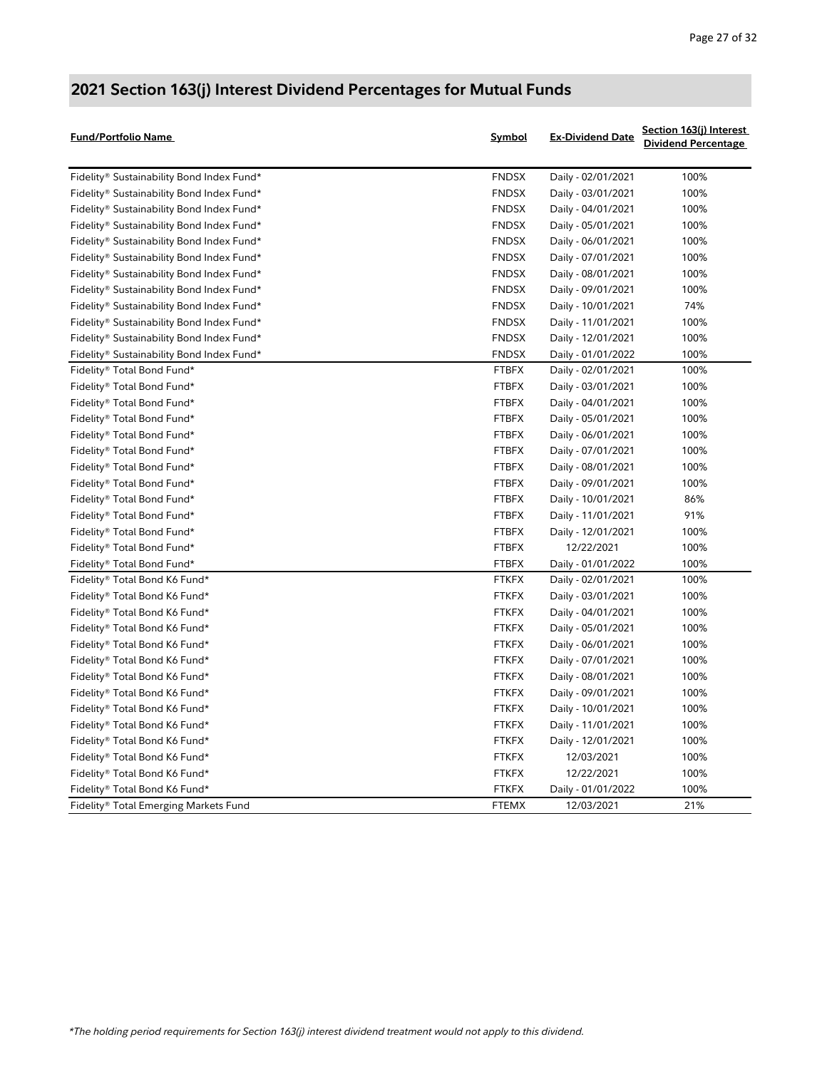| <b>Fund/Portfolio Name</b>                | <b>Symbol</b> | <b>Ex-Dividend Date</b> | Section 163(j) Interest<br><b>Dividend Percentage</b> |
|-------------------------------------------|---------------|-------------------------|-------------------------------------------------------|
| Fidelity® Sustainability Bond Index Fund* | FNDSX         | Daily - 02/01/2021      | 100%                                                  |
| Fidelity® Sustainability Bond Index Fund* | FNDSX         | Daily - 03/01/2021      | 100%                                                  |
| Fidelity® Sustainability Bond Index Fund* | <b>FNDSX</b>  | Daily - 04/01/2021      | 100%                                                  |
| Fidelity® Sustainability Bond Index Fund* | FNDSX         | Daily - 05/01/2021      | 100%                                                  |
| Fidelity® Sustainability Bond Index Fund* | <b>FNDSX</b>  | Daily - 06/01/2021      | 100%                                                  |
| Fidelity® Sustainability Bond Index Fund* | FNDSX         | Daily - 07/01/2021      | 100%                                                  |
| Fidelity® Sustainability Bond Index Fund* | FNDSX         | Daily - 08/01/2021      | 100%                                                  |
| Fidelity® Sustainability Bond Index Fund* | <b>FNDSX</b>  | Daily - 09/01/2021      | 100%                                                  |
| Fidelity® Sustainability Bond Index Fund* | <b>FNDSX</b>  | Daily - 10/01/2021      | 74%                                                   |
| Fidelity® Sustainability Bond Index Fund* | FNDSX         | Daily - 11/01/2021      | 100%                                                  |
| Fidelity® Sustainability Bond Index Fund* | <b>FNDSX</b>  | Daily - 12/01/2021      | 100%                                                  |
| Fidelity® Sustainability Bond Index Fund* | FNDSX         | Daily - 01/01/2022      | 100%                                                  |
| Fidelity® Total Bond Fund*                | <b>FTBFX</b>  | Daily - 02/01/2021      | 100%                                                  |
| Fidelity® Total Bond Fund*                | <b>FTBFX</b>  | Daily - 03/01/2021      | 100%                                                  |
| Fidelity® Total Bond Fund*                | <b>FTBFX</b>  | Daily - 04/01/2021      | 100%                                                  |
| Fidelity® Total Bond Fund*                | <b>FTBFX</b>  | Daily - 05/01/2021      | 100%                                                  |
| Fidelity® Total Bond Fund*                | <b>FTBFX</b>  | Daily - 06/01/2021      | 100%                                                  |
| Fidelity® Total Bond Fund*                | <b>FTBFX</b>  | Daily - 07/01/2021      | 100%                                                  |
| Fidelity® Total Bond Fund*                | <b>FTBFX</b>  | Daily - 08/01/2021      | 100%                                                  |
| Fidelity® Total Bond Fund*                | <b>FTBFX</b>  | Daily - 09/01/2021      | 100%                                                  |
| Fidelity® Total Bond Fund*                | <b>FTBFX</b>  | Daily - 10/01/2021      | 86%                                                   |
| Fidelity® Total Bond Fund*                | <b>FTBFX</b>  | Daily - 11/01/2021      | 91%                                                   |
| Fidelity® Total Bond Fund*                | <b>FTBFX</b>  | Daily - 12/01/2021      | 100%                                                  |
| Fidelity® Total Bond Fund*                | <b>FTBFX</b>  | 12/22/2021              | 100%                                                  |
| Fidelity® Total Bond Fund*                | <b>FTBFX</b>  | Daily - 01/01/2022      | 100%                                                  |
| Fidelity® Total Bond K6 Fund*             | <b>FTKFX</b>  | Daily - 02/01/2021      | 100%                                                  |
| Fidelity® Total Bond K6 Fund*             | <b>FTKFX</b>  | Daily - 03/01/2021      | 100%                                                  |
| Fidelity® Total Bond K6 Fund*             | <b>FTKFX</b>  | Daily - 04/01/2021      | 100%                                                  |
| Fidelity® Total Bond K6 Fund*             | <b>FTKFX</b>  | Daily - 05/01/2021      | 100%                                                  |
| Fidelity® Total Bond K6 Fund*             | <b>FTKFX</b>  | Daily - 06/01/2021      | 100%                                                  |
| Fidelity® Total Bond K6 Fund*             | <b>FTKFX</b>  | Daily - 07/01/2021      | 100%                                                  |
| Fidelity® Total Bond K6 Fund*             | <b>FTKFX</b>  | Daily - 08/01/2021      | 100%                                                  |
| Fidelity® Total Bond K6 Fund*             | <b>FTKFX</b>  | Daily - 09/01/2021      | 100%                                                  |
| Fidelity® Total Bond K6 Fund*             | <b>FTKFX</b>  | Daily - 10/01/2021      | 100%                                                  |
| Fidelity® Total Bond K6 Fund*             | <b>FTKFX</b>  | Daily - 11/01/2021      | 100%                                                  |
| Fidelity® Total Bond K6 Fund*             | <b>FTKFX</b>  | Daily - 12/01/2021      | 100%                                                  |
| Fidelity® Total Bond K6 Fund*             | <b>FTKFX</b>  | 12/03/2021              | 100%                                                  |
| Fidelity® Total Bond K6 Fund*             | <b>FTKFX</b>  | 12/22/2021              | 100%                                                  |
| Fidelity® Total Bond K6 Fund*             | <b>FTKFX</b>  | Daily - 01/01/2022      | 100%                                                  |
| Fidelity® Total Emerging Markets Fund     | <b>FTEMX</b>  | 12/03/2021              | 21%                                                   |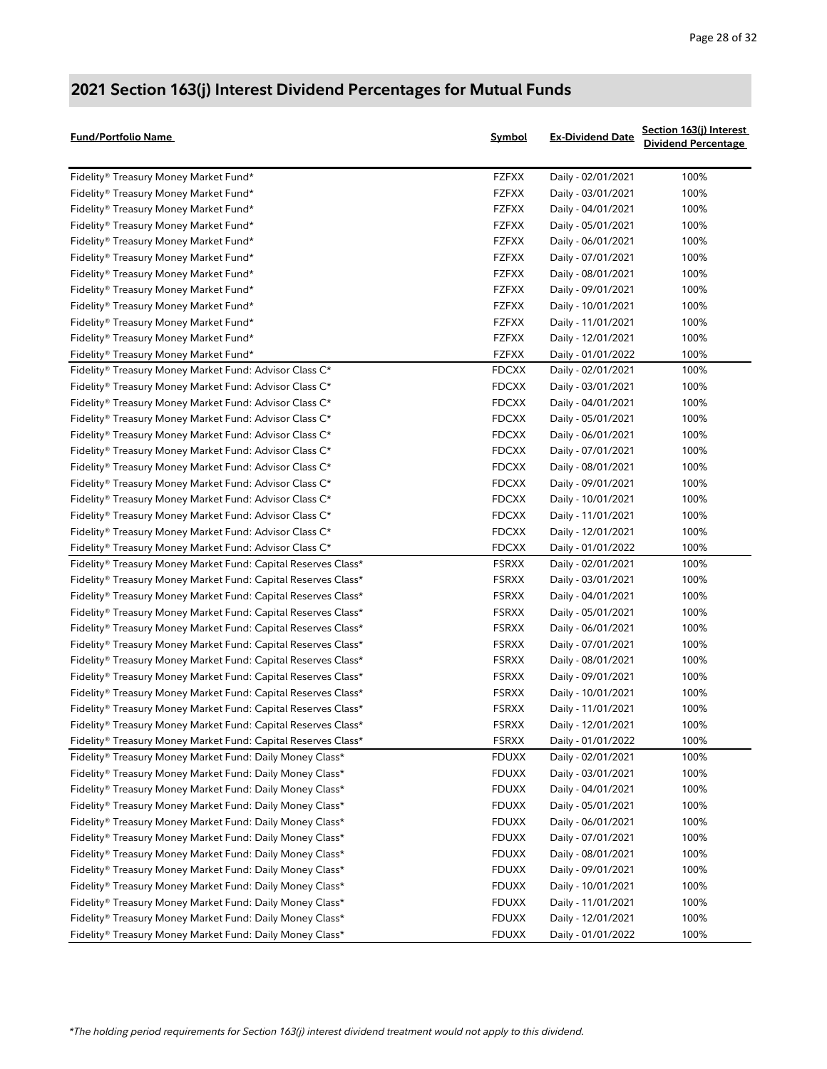| <b>Fund/Portfolio Name</b>                                    | Symbol       | <b>Ex-Dividend Date</b> | Section 163(j) Interest<br><b>Dividend Percentage</b> |
|---------------------------------------------------------------|--------------|-------------------------|-------------------------------------------------------|
| Fidelity® Treasury Money Market Fund*                         | <b>FZFXX</b> | Daily - 02/01/2021      | 100%                                                  |
| Fidelity® Treasury Money Market Fund*                         | <b>FZFXX</b> | Daily - 03/01/2021      | 100%                                                  |
| Fidelity® Treasury Money Market Fund*                         | <b>FZFXX</b> | Daily - 04/01/2021      | 100%                                                  |
| Fidelity® Treasury Money Market Fund*                         | <b>FZFXX</b> | Daily - 05/01/2021      | 100%                                                  |
| Fidelity® Treasury Money Market Fund*                         | <b>FZFXX</b> | Daily - 06/01/2021      | 100%                                                  |
| Fidelity® Treasury Money Market Fund*                         | <b>FZFXX</b> | Daily - 07/01/2021      | 100%                                                  |
| Fidelity® Treasury Money Market Fund*                         | <b>FZFXX</b> | Daily - 08/01/2021      | 100%                                                  |
| Fidelity® Treasury Money Market Fund*                         | <b>FZFXX</b> | Daily - 09/01/2021      | 100%                                                  |
| Fidelity® Treasury Money Market Fund*                         | <b>FZFXX</b> | Daily - 10/01/2021      | 100%                                                  |
| Fidelity® Treasury Money Market Fund*                         | <b>FZFXX</b> | Daily - 11/01/2021      | 100%                                                  |
| Fidelity® Treasury Money Market Fund*                         | <b>FZFXX</b> | Daily - 12/01/2021      | 100%                                                  |
| Fidelity® Treasury Money Market Fund*                         | <b>FZFXX</b> | Daily - 01/01/2022      | 100%                                                  |
| Fidelity® Treasury Money Market Fund: Advisor Class C*        | <b>FDCXX</b> | Daily - 02/01/2021      | 100%                                                  |
| Fidelity® Treasury Money Market Fund: Advisor Class C*        | <b>FDCXX</b> | Daily - 03/01/2021      | 100%                                                  |
| Fidelity® Treasury Money Market Fund: Advisor Class C*        | <b>FDCXX</b> | Daily - 04/01/2021      | 100%                                                  |
| Fidelity® Treasury Money Market Fund: Advisor Class C*        | <b>FDCXX</b> | Daily - 05/01/2021      | 100%                                                  |
| Fidelity® Treasury Money Market Fund: Advisor Class C*        | <b>FDCXX</b> | Daily - 06/01/2021      | 100%                                                  |
| Fidelity® Treasury Money Market Fund: Advisor Class C*        | <b>FDCXX</b> | Daily - 07/01/2021      | 100%                                                  |
| Fidelity® Treasury Money Market Fund: Advisor Class C*        | <b>FDCXX</b> | Daily - 08/01/2021      | 100%                                                  |
| Fidelity® Treasury Money Market Fund: Advisor Class C*        | <b>FDCXX</b> | Daily - 09/01/2021      | 100%                                                  |
| Fidelity® Treasury Money Market Fund: Advisor Class C*        | <b>FDCXX</b> | Daily - 10/01/2021      | 100%                                                  |
| Fidelity® Treasury Money Market Fund: Advisor Class C*        | <b>FDCXX</b> | Daily - 11/01/2021      | 100%                                                  |
| Fidelity® Treasury Money Market Fund: Advisor Class C*        | <b>FDCXX</b> | Daily - 12/01/2021      | 100%                                                  |
| Fidelity® Treasury Money Market Fund: Advisor Class C*        | <b>FDCXX</b> | Daily - 01/01/2022      | 100%                                                  |
| Fidelity® Treasury Money Market Fund: Capital Reserves Class* | <b>FSRXX</b> | Daily - 02/01/2021      | 100%                                                  |
| Fidelity® Treasury Money Market Fund: Capital Reserves Class* | <b>FSRXX</b> | Daily - 03/01/2021      | 100%                                                  |
| Fidelity® Treasury Money Market Fund: Capital Reserves Class* | <b>FSRXX</b> | Daily - 04/01/2021      | 100%                                                  |
| Fidelity® Treasury Money Market Fund: Capital Reserves Class* | <b>FSRXX</b> | Daily - 05/01/2021      | 100%                                                  |
| Fidelity® Treasury Money Market Fund: Capital Reserves Class* | <b>FSRXX</b> | Daily - 06/01/2021      | 100%                                                  |
| Fidelity® Treasury Money Market Fund: Capital Reserves Class* | <b>FSRXX</b> | Daily - 07/01/2021      | 100%                                                  |
| Fidelity® Treasury Money Market Fund: Capital Reserves Class* | <b>FSRXX</b> | Daily - 08/01/2021      | 100%                                                  |
| Fidelity® Treasury Money Market Fund: Capital Reserves Class* | <b>FSRXX</b> | Daily - 09/01/2021      | 100%                                                  |
| Fidelity® Treasury Money Market Fund: Capital Reserves Class* | <b>FSRXX</b> | Daily - 10/01/2021      | 100%                                                  |
| Fidelity® Treasury Money Market Fund: Capital Reserves Class* | <b>FSRXX</b> | Daily - 11/01/2021      | 100%                                                  |
| Fidelity® Treasury Money Market Fund: Capital Reserves Class* | <b>FSRXX</b> | Daily - 12/01/2021      | 100%                                                  |
| Fidelity® Treasury Money Market Fund: Capital Reserves Class* | <b>FSRXX</b> | Daily - 01/01/2022      | 100%                                                  |
| Fidelity® Treasury Money Market Fund: Daily Money Class*      | <b>FDUXX</b> | Daily - 02/01/2021      | 100%                                                  |
| Fidelity® Treasury Money Market Fund: Daily Money Class*      | <b>FDUXX</b> | Daily - 03/01/2021      | 100%                                                  |
| Fidelity® Treasury Money Market Fund: Daily Money Class*      | <b>FDUXX</b> | Daily - 04/01/2021      | 100%                                                  |
| Fidelity® Treasury Money Market Fund: Daily Money Class*      | <b>FDUXX</b> | Daily - 05/01/2021      | 100%                                                  |
| Fidelity® Treasury Money Market Fund: Daily Money Class*      | <b>FDUXX</b> | Daily - 06/01/2021      | 100%                                                  |
| Fidelity® Treasury Money Market Fund: Daily Money Class*      | <b>FDUXX</b> | Daily - 07/01/2021      | 100%                                                  |
| Fidelity® Treasury Money Market Fund: Daily Money Class*      | <b>FDUXX</b> | Daily - 08/01/2021      | 100%                                                  |
| Fidelity® Treasury Money Market Fund: Daily Money Class*      | <b>FDUXX</b> | Daily - 09/01/2021      | 100%                                                  |
| Fidelity® Treasury Money Market Fund: Daily Money Class*      | <b>FDUXX</b> | Daily - 10/01/2021      | 100%                                                  |
| Fidelity® Treasury Money Market Fund: Daily Money Class*      | <b>FDUXX</b> | Daily - 11/01/2021      | 100%                                                  |
| Fidelity® Treasury Money Market Fund: Daily Money Class*      | <b>FDUXX</b> | Daily - 12/01/2021      | 100%                                                  |
| Fidelity® Treasury Money Market Fund: Daily Money Class*      | <b>FDUXX</b> | Daily - 01/01/2022      | 100%                                                  |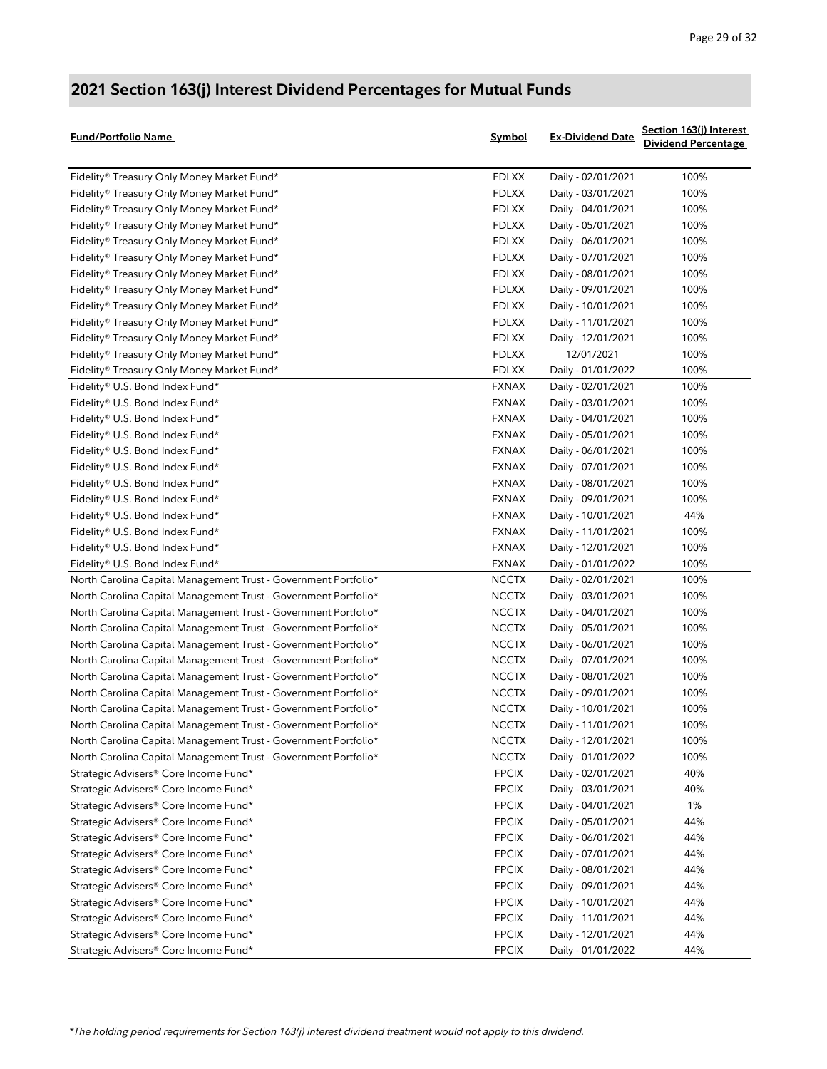| Fund/Portfolio Name                                             | Symbol       | <b>Ex-Dividend Date</b> | Section 163(j) Interest<br><b>Dividend Percentage</b> |
|-----------------------------------------------------------------|--------------|-------------------------|-------------------------------------------------------|
| Fidelity® Treasury Only Money Market Fund*                      | <b>FDLXX</b> | Daily - 02/01/2021      | 100%                                                  |
| Fidelity® Treasury Only Money Market Fund*                      | <b>FDLXX</b> | Daily - 03/01/2021      | 100%                                                  |
| Fidelity® Treasury Only Money Market Fund*                      | <b>FDLXX</b> | Daily - 04/01/2021      | 100%                                                  |
| Fidelity® Treasury Only Money Market Fund*                      | <b>FDLXX</b> | Daily - 05/01/2021      | 100%                                                  |
| Fidelity® Treasury Only Money Market Fund*                      | <b>FDLXX</b> | Daily - 06/01/2021      | 100%                                                  |
| Fidelity® Treasury Only Money Market Fund*                      | <b>FDLXX</b> | Daily - 07/01/2021      | 100%                                                  |
| Fidelity® Treasury Only Money Market Fund*                      | <b>FDLXX</b> | Daily - 08/01/2021      | 100%                                                  |
| Fidelity® Treasury Only Money Market Fund*                      | <b>FDLXX</b> | Daily - 09/01/2021      | 100%                                                  |
| Fidelity® Treasury Only Money Market Fund*                      | <b>FDLXX</b> | Daily - 10/01/2021      | 100%                                                  |
| Fidelity® Treasury Only Money Market Fund*                      | <b>FDLXX</b> | Daily - 11/01/2021      | 100%                                                  |
| Fidelity® Treasury Only Money Market Fund*                      | <b>FDLXX</b> | Daily - 12/01/2021      | 100%                                                  |
| Fidelity® Treasury Only Money Market Fund*                      | <b>FDLXX</b> | 12/01/2021              | 100%                                                  |
| Fidelity® Treasury Only Money Market Fund*                      | <b>FDLXX</b> | Daily - 01/01/2022      | 100%                                                  |
| Fidelity® U.S. Bond Index Fund*                                 | <b>FXNAX</b> | Daily - 02/01/2021      | 100%                                                  |
| Fidelity® U.S. Bond Index Fund*                                 | <b>FXNAX</b> | Daily - 03/01/2021      | 100%                                                  |
| Fidelity® U.S. Bond Index Fund*                                 | <b>FXNAX</b> | Daily - 04/01/2021      | 100%                                                  |
| Fidelity® U.S. Bond Index Fund*                                 | <b>FXNAX</b> | Daily - 05/01/2021      | 100%                                                  |
| Fidelity® U.S. Bond Index Fund*                                 | <b>FXNAX</b> | Daily - 06/01/2021      | 100%                                                  |
| Fidelity® U.S. Bond Index Fund*                                 | <b>FXNAX</b> | Daily - 07/01/2021      | 100%                                                  |
| Fidelity® U.S. Bond Index Fund*                                 | <b>FXNAX</b> | Daily - 08/01/2021      | 100%                                                  |
| Fidelity® U.S. Bond Index Fund*                                 | <b>FXNAX</b> | Daily - 09/01/2021      | 100%                                                  |
| Fidelity® U.S. Bond Index Fund*                                 | <b>FXNAX</b> | Daily - 10/01/2021      | 44%                                                   |
| Fidelity® U.S. Bond Index Fund*                                 | <b>FXNAX</b> | Daily - 11/01/2021      | 100%                                                  |
| Fidelity® U.S. Bond Index Fund*                                 | <b>FXNAX</b> | Daily - 12/01/2021      | 100%                                                  |
| Fidelity® U.S. Bond Index Fund*                                 | <b>FXNAX</b> | Daily - 01/01/2022      | 100%                                                  |
| North Carolina Capital Management Trust - Government Portfolio* | <b>NCCTX</b> | Daily - 02/01/2021      | 100%                                                  |
| North Carolina Capital Management Trust - Government Portfolio* | <b>NCCTX</b> | Daily - 03/01/2021      | 100%                                                  |
| North Carolina Capital Management Trust - Government Portfolio* | <b>NCCTX</b> | Daily - 04/01/2021      | 100%                                                  |
| North Carolina Capital Management Trust - Government Portfolio* | <b>NCCTX</b> | Daily - 05/01/2021      | 100%                                                  |
| North Carolina Capital Management Trust - Government Portfolio* | <b>NCCTX</b> | Daily - 06/01/2021      | 100%                                                  |
| North Carolina Capital Management Trust - Government Portfolio* | <b>NCCTX</b> | Daily - 07/01/2021      | 100%                                                  |
| North Carolina Capital Management Trust - Government Portfolio* | <b>NCCTX</b> | Daily - 08/01/2021      | 100%                                                  |
| North Carolina Capital Management Trust - Government Portfolio* | <b>NCCTX</b> | Daily - 09/01/2021      | 100%                                                  |
| North Carolina Capital Management Trust - Government Portfolio* | <b>NCCTX</b> | Daily - 10/01/2021      | 100%                                                  |
| North Carolina Capital Management Trust - Government Portfolio* | <b>NCCTX</b> | Daily - 11/01/2021      | 100%                                                  |
| North Carolina Capital Management Trust - Government Portfolio* | NCCTX        | Daily - 12/01/2021      | 100%                                                  |
| North Carolina Capital Management Trust - Government Portfolio* | NCCTX        | Daily - 01/01/2022      | 100%                                                  |
| Strategic Advisers® Core Income Fund*                           | <b>FPCIX</b> | Daily - 02/01/2021      | 40%                                                   |
| Strategic Advisers® Core Income Fund*                           | <b>FPCIX</b> | Daily - 03/01/2021      | 40%                                                   |
| Strategic Advisers® Core Income Fund*                           | <b>FPCIX</b> | Daily - 04/01/2021      | 1%                                                    |
| Strategic Advisers® Core Income Fund*                           | <b>FPCIX</b> | Daily - 05/01/2021      | 44%                                                   |
| Strategic Advisers® Core Income Fund*                           | <b>FPCIX</b> | Daily - 06/01/2021      | 44%                                                   |
| Strategic Advisers® Core Income Fund*                           | <b>FPCIX</b> | Daily - 07/01/2021      | 44%                                                   |
| Strategic Advisers® Core Income Fund*                           | <b>FPCIX</b> | Daily - 08/01/2021      | 44%                                                   |
| Strategic Advisers® Core Income Fund*                           | <b>FPCIX</b> | Daily - 09/01/2021      | 44%                                                   |
| Strategic Advisers® Core Income Fund*                           | <b>FPCIX</b> | Daily - 10/01/2021      | 44%                                                   |
| Strategic Advisers® Core Income Fund*                           | <b>FPCIX</b> | Daily - 11/01/2021      | 44%                                                   |
| Strategic Advisers® Core Income Fund*                           | <b>FPCIX</b> | Daily - 12/01/2021      | 44%                                                   |
| Strategic Advisers® Core Income Fund*                           | <b>FPCIX</b> | Daily - 01/01/2022      | 44%                                                   |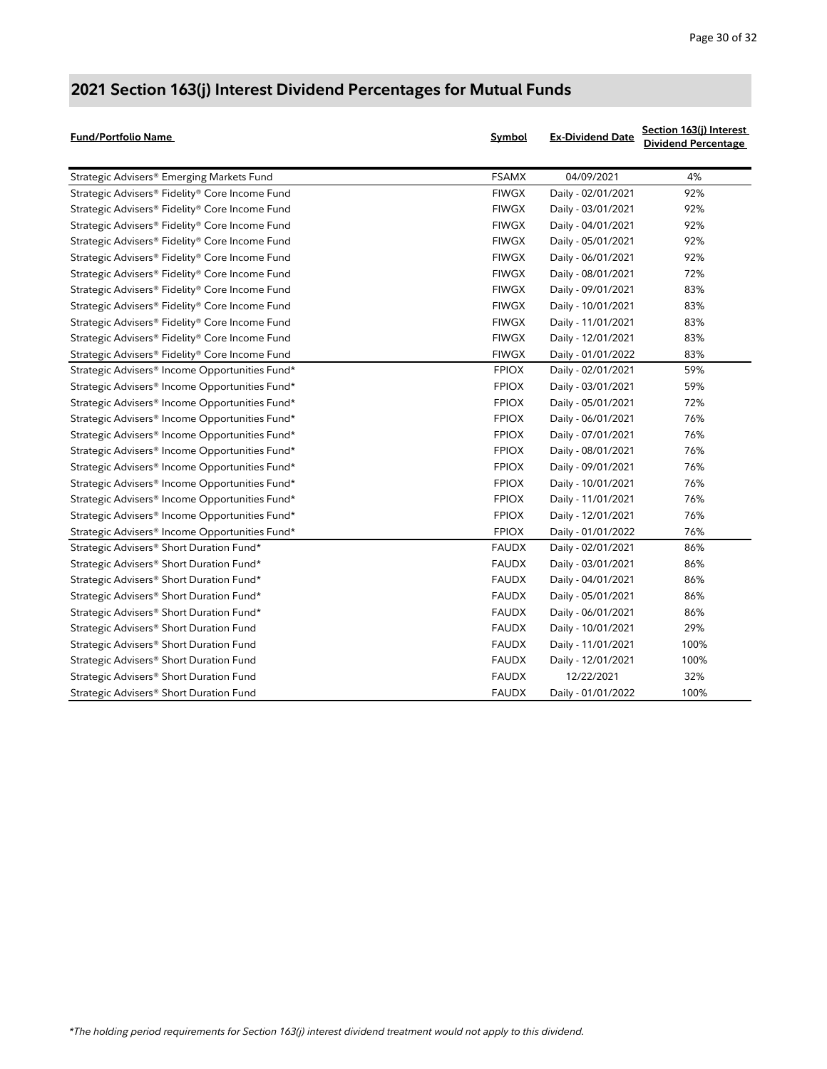| <b>Fund/Portfolio Name</b>                                 | Symbol       | <b>Ex-Dividend Date</b> | Section 163(j) Interest<br><b>Dividend Percentage</b> |
|------------------------------------------------------------|--------------|-------------------------|-------------------------------------------------------|
| Strategic Advisers® Emerging Markets Fund                  | <b>FSAMX</b> | 04/09/2021              | 4%                                                    |
| Strategic Advisers® Fidelity® Core Income Fund             | <b>FIWGX</b> | Daily - 02/01/2021      | 92%                                                   |
| Strategic Advisers® Fidelity® Core Income Fund             | <b>FIWGX</b> | Daily - 03/01/2021      | 92%                                                   |
| Strategic Advisers® Fidelity® Core Income Fund             | <b>FIWGX</b> | Daily - 04/01/2021      | 92%                                                   |
| Strategic Advisers® Fidelity® Core Income Fund             | <b>FIWGX</b> | Daily - 05/01/2021      | 92%                                                   |
| Strategic Advisers® Fidelity® Core Income Fund             | <b>FIWGX</b> | Daily - 06/01/2021      | 92%                                                   |
| Strategic Advisers® Fidelity® Core Income Fund             | <b>FIWGX</b> | Daily - 08/01/2021      | 72%                                                   |
| Strategic Advisers® Fidelity® Core Income Fund             | <b>FIWGX</b> | Daily - 09/01/2021      | 83%                                                   |
| Strategic Advisers® Fidelity® Core Income Fund             | <b>FIWGX</b> | Daily - 10/01/2021      | 83%                                                   |
| Strategic Advisers® Fidelity® Core Income Fund             | <b>FIWGX</b> | Daily - 11/01/2021      | 83%                                                   |
| Strategic Advisers® Fidelity® Core Income Fund             | <b>FIWGX</b> | Daily - 12/01/2021      | 83%                                                   |
| Strategic Advisers® Fidelity® Core Income Fund             | <b>FIWGX</b> | Daily - 01/01/2022      | 83%                                                   |
| Strategic Advisers® Income Opportunities Fund*             | <b>FPIOX</b> | Daily - 02/01/2021      | 59%                                                   |
| Strategic Advisers® Income Opportunities Fund*             | <b>FPIOX</b> | Daily - 03/01/2021      | 59%                                                   |
| Strategic Advisers <sup>®</sup> Income Opportunities Fund* | <b>FPIOX</b> | Daily - 05/01/2021      | 72%                                                   |
| Strategic Advisers® Income Opportunities Fund*             | <b>FPIOX</b> | Daily - 06/01/2021      | 76%                                                   |
| Strategic Advisers® Income Opportunities Fund*             | <b>FPIOX</b> | Daily - 07/01/2021      | 76%                                                   |
| Strategic Advisers® Income Opportunities Fund*             | <b>FPIOX</b> | Daily - 08/01/2021      | 76%                                                   |
| Strategic Advisers® Income Opportunities Fund*             | <b>FPIOX</b> | Daily - 09/01/2021      | 76%                                                   |
| Strategic Advisers® Income Opportunities Fund*             | <b>FPIOX</b> | Daily - 10/01/2021      | 76%                                                   |
| Strategic Advisers® Income Opportunities Fund*             | <b>FPIOX</b> | Daily - 11/01/2021      | 76%                                                   |
| Strategic Advisers® Income Opportunities Fund*             | <b>FPIOX</b> | Daily - 12/01/2021      | 76%                                                   |
| Strategic Advisers® Income Opportunities Fund*             | <b>FPIOX</b> | Daily - 01/01/2022      | 76%                                                   |
| Strategic Advisers® Short Duration Fund*                   | <b>FAUDX</b> | Daily - 02/01/2021      | 86%                                                   |
| Strategic Advisers® Short Duration Fund*                   | <b>FAUDX</b> | Daily - 03/01/2021      | 86%                                                   |
| Strategic Advisers® Short Duration Fund*                   | <b>FAUDX</b> | Daily - 04/01/2021      | 86%                                                   |
| Strategic Advisers® Short Duration Fund*                   | <b>FAUDX</b> | Daily - 05/01/2021      | 86%                                                   |
| Strategic Advisers <sup>®</sup> Short Duration Fund*       | <b>FAUDX</b> | Daily - 06/01/2021      | 86%                                                   |
| Strategic Advisers® Short Duration Fund                    | <b>FAUDX</b> | Daily - 10/01/2021      | 29%                                                   |
| Strategic Advisers® Short Duration Fund                    | <b>FAUDX</b> | Daily - 11/01/2021      | 100%                                                  |
| Strategic Advisers® Short Duration Fund                    | <b>FAUDX</b> | Daily - 12/01/2021      | 100%                                                  |
| Strategic Advisers <sup>®</sup> Short Duration Fund        | <b>FAUDX</b> | 12/22/2021              | 32%                                                   |
| Strategic Advisers® Short Duration Fund                    | <b>FAUDX</b> | Daily - 01/01/2022      | 100%                                                  |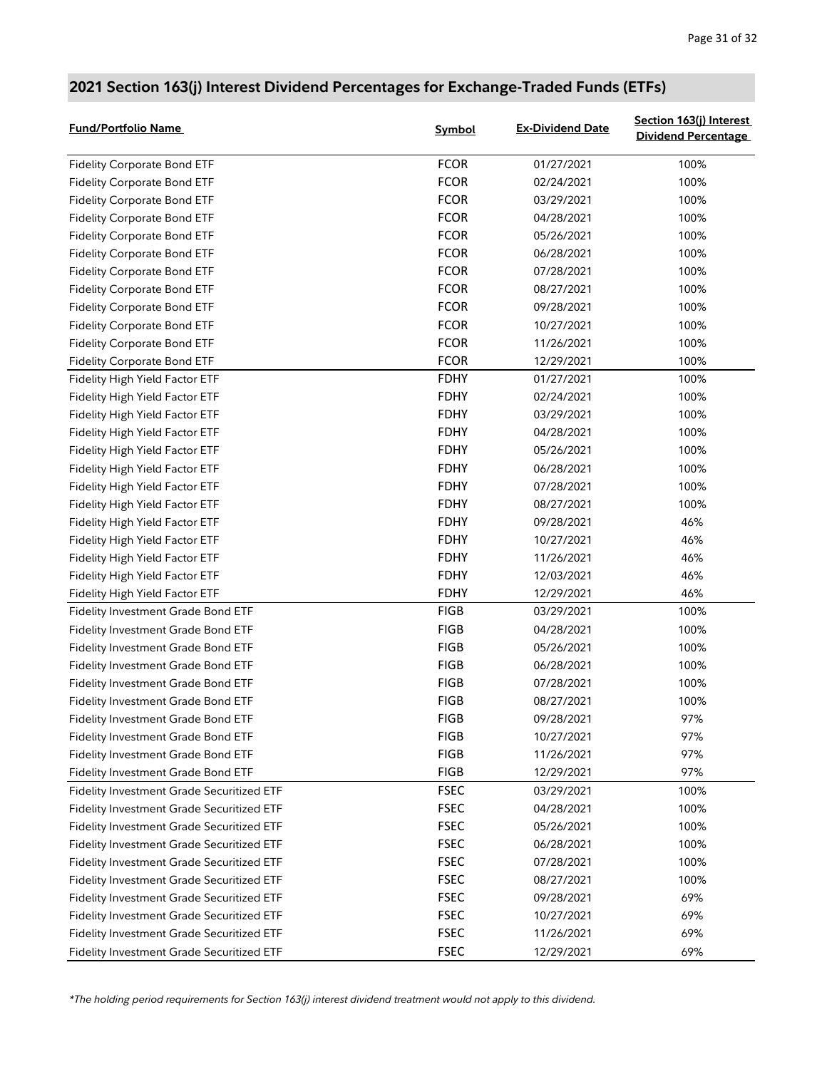#### Fidelity Corporate Bond ETF **FIDELITY FCOR** 01/27/2021 100% Fidelity Corporate Bond ETF **FIDELITY FCOR** 02/24/2021 100% Fidelity Corporate Bond ETF **FIDELITY FCOR** 03/29/2021 100% Fidelity Corporate Bond ETF **FIDELITY FCOR** 04/28/2021 100% Fidelity Corporate Bond ETF **FIDELITY FCOR** 05/26/2021 100% Fidelity Corporate Bond ETF **FIDELITY FCOR** 06/28/2021 100% Fidelity Corporate Bond ETF **FIDELITY FCOR** 07/28/2021 100% Fidelity Corporate Bond ETF **FIDELITY FCOR** 08/27/2021 100% Fidelity Corporate Bond ETF **FIDELITY FCOR** 09/28/2021 100% Fidelity Corporate Bond ETF **FIDELITY FCOR** 10/27/2021 100% Fidelity Corporate Bond ETF **FIDELITY FCOR** 11/26/2021 100% Fidelity Corporate Bond ETF **FIDELITY FCOR** 12/29/2021 100% Fidelity High Yield Factor ETF **FIDHY** 61/27/2021 100% Fidelity High Yield Factor ETF THE RESOLUTION CONSUMING THE RESOLUTION OF THE RESOLUTION OF THE RESOLUTION OF THE RESOLUTION OF THE RESOLUTION OF THE RESOLUTION OF THE RESOLUTION OF THE RESOLUTION OF THE RESOLUTION OF THE Fidelity High Yield Factor ETF THE RESOLUTION CONSUMING THE RESOLUTION CONSUMING THE RESOLUTION OF THE RESOLUTION Fidelity High Yield Factor ETF **Fig. 100%** FDHY 04/28/2021 100% Fidelity High Yield Factor ETF THE RESOLUTION CONSUMING THE RESOLUTION OF THE RESOLUTION OF THE RESOLUTION OF THE RESOLUTION OF THE RESOLUTION OF THE RESOLUTION OF THE RESOLUTION OF THE RESOLUTION OF THE RESOLUTION OF THE Fidelity High Yield Factor ETF **Fig. 100%** FDHY 06/28/2021 100% Fidelity High Yield Factor ETF The State of the State of the FDHY 100% of the 100% of the 100% of the FDHY 100% Fidelity High Yield Factor ETF **Finally Research Control FDHY** 08/27/2021 100% Fidelity High Yield Factor ETF THE RESOLUTION OF THE RESOLUTION OF THE RESOLUTION OF THE RESOLUTION OF THE RESOLUTION OF THE RESOLUTION OF THE RESOLUTION OF THE RESOLUTION OF THE RESOLUTION OF THE RESOLUTION OF THE RESOLUT Fidelity High Yield Factor ETF **FIDHY** FDHY 10/27/2021 46% Fidelity High Yield Factor ETF **FDHY** FDHY 11/26/2021 26% Fidelity High Yield Factor ETF THE RESOLUTION OF THE RESOLUTION OF THE RESOLUTION OF THE RESOLUTION OF THE RESOLUTION OF THE RESOLUTION OF THE RESOLUTION OF THE RESOLUTION OF THE RESOLUTION OF THE RESOLUTION OF THE RESOLUT Fidelity High Yield Factor ETF **FIDHY** 12/29/2021 46% Fidelity Investment Grade Bond ETF The Contract of the Contract of the Contract of the Contract of the Contract of the Contract of the Contract of the Contract of the Contract of the Contract of the Contract of the Contrac Fidelity Investment Grade Bond ETF **FIGB FIGB** 04/28/2021 100% Fidelity Investment Grade Bond ETF The State of the Control of the Control of the Control of the Control of the Control of the Control of the Control of the Control of the Control of the Control of the Control of the Contr Fidelity Investment Grade Bond ETF The State of the State of the FIGB 100% of the MOS of the MOS of the State o Fidelity Investment Grade Bond ETF The Contract of the Contract of the Contract of the Contract of the Contract of the Contract of the Contract of the Contract of the Contract of the Contract of the Contract of the Contrac Fidelity Investment Grade Bond ETF The State of the State of the State of the Magnus of the State of the State of the State of the State of the State of the State of the State of the State of the State of the State of the Fidelity Investment Grade Bond ETF THE RESOLUTION CONTROL CONTROL CONTROL CONTROL CONTROL CONTROL CONTROL CONTR<br>FIGURE 2001 2002 2012 12:00 2012 2021 2022 2023 2024 2022 2023 2024 2022 2023 2024 2022 2023 2022 2023 2024 20 Fidelity Investment Grade Bond ETF THE RESOLUTION CONTROL CONTROL CONTROL 10/27/2021 97% Fidelity Investment Grade Bond ETF THE RESOLUTION CONTROL RESOLUTION OF THE RESOLUTION OF THE RESOLUTION OF TH Fidelity Investment Grade Bond ETF THE RESOLUTION CONTROL RESOLUTION OF THE RESOLUTION OF THE RESOLUTION OF TH Fidelity Investment Grade Securitized ETF THE RESOCIES RESOCIES 100% AND 100% Fidelity Investment Grade Securitized ETF FREE RESEC 104/28/2021 100% Fidelity Investment Grade Securitized ETF FREE RESEC 105/26/2021 100% Fidelity Investment Grade Securitized ETF FREE RESEC 06/28/2021 100% Fidelity Investment Grade Securitized ETF THE RESOCITY RESOCITY 100% AND THE RESOCITY OF THE RESOCITY OF THE R Fidelity Investment Grade Securitized ETF THE RESOCITY STATE RESOCITY 100% AND THE RESOCITY OF THE RESOCITY OF THE RESOCITY OF THE RESOCITY OF THE RESOCITY OF THE RESOCITY OF THE RESOCITY OF THE RESOCITY OF THE RESOCITY OF Fidelity Investment Grade Securitized ETF FIGURE FINE REC 699/28/2021 69% Fidelity Investment Grade Securitized ETF FIGURE 10/27/2021 69% Fidelity Investment Grade Securitized ETF FIDEL RESOC FIDEL ASSEC FIDEL 20021 69% Fidelity Investment Grade Securitized ETF FIGURE 12/29/2021 69% **Fund/Portfolio Name Symbol Ex-Dividend Date Section 163(j) Interest Dividend Percentage**

#### **2021 Section 163(j) Interest Dividend Percentages for Exchange-Traded Funds (ETFs)**

*\*The holding period requirements for Section 163(j) interest dividend treatment would not apply to this dividend.*